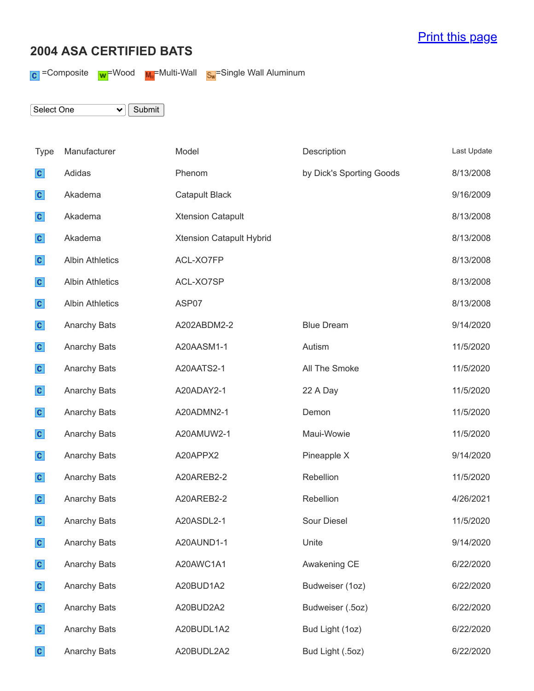## [Print this page](javascript:print();)

## **2004 ASA CERTIFIED BATS**

 $\text{C}$  =Composite  $\text{w}$ =Wood  $\text{w}$ =Multi-Wall  $\text{s}$ <sub>x</sub>=Single Wall Aluminum

Select One  $\overline{\smile}$  Submit

| Type         | Manufacturer           | Model                    | Description              | Last Update |
|--------------|------------------------|--------------------------|--------------------------|-------------|
| $\mathbf{c}$ | Adidas                 | Phenom                   | by Dick's Sporting Goods | 8/13/2008   |
| $\mathbf{c}$ | Akadema                | <b>Catapult Black</b>    |                          | 9/16/2009   |
| $\mathbf{c}$ | Akadema                | <b>Xtension Catapult</b> |                          | 8/13/2008   |
| $\mathbf{c}$ | Akadema                | Xtension Catapult Hybrid |                          | 8/13/2008   |
| $\mathbf{c}$ | <b>Albin Athletics</b> | ACL-XO7FP                |                          | 8/13/2008   |
| $\mathbf{c}$ | <b>Albin Athletics</b> | ACL-XO7SP                |                          | 8/13/2008   |
| $\mathbf{c}$ | <b>Albin Athletics</b> | ASP07                    |                          | 8/13/2008   |
| $\mathbf{c}$ | <b>Anarchy Bats</b>    | A202ABDM2-2              | <b>Blue Dream</b>        | 9/14/2020   |
| $\mathbf{c}$ | <b>Anarchy Bats</b>    | A20AASM1-1               | Autism                   | 11/5/2020   |
| $\mathbf{c}$ | <b>Anarchy Bats</b>    | A20AATS2-1               | All The Smoke            | 11/5/2020   |
| $\mathbf{c}$ | Anarchy Bats           | A20ADAY2-1               | 22 A Day                 | 11/5/2020   |
| $\mathbf{c}$ | <b>Anarchy Bats</b>    | A20ADMN2-1               | Demon                    | 11/5/2020   |
| $\mathbf{c}$ | <b>Anarchy Bats</b>    | A20AMUW2-1               | Maui-Wowie               | 11/5/2020   |
| $\mathbf{c}$ | Anarchy Bats           | A20APPX2                 | Pineapple X              | 9/14/2020   |
| $\mathbf{c}$ | Anarchy Bats           | A20AREB2-2               | Rebellion                | 11/5/2020   |
| $\mathbf{c}$ | Anarchy Bats           | A20AREB2-2               | Rebellion                | 4/26/2021   |
| $\mathbf{c}$ | Anarchy Bats           | A20ASDL2-1               | <b>Sour Diesel</b>       | 11/5/2020   |
| $\mathbf{c}$ | Anarchy Bats           | A20AUND1-1               | Unite                    | 9/14/2020   |
| $\mathbf{c}$ | Anarchy Bats           | A20AWC1A1                | Awakening CE             | 6/22/2020   |
| $\mathbf{c}$ | Anarchy Bats           | A20BUD1A2                | Budweiser (1oz)          | 6/22/2020   |
| $\mathbf{c}$ | Anarchy Bats           | A20BUD2A2                | Budweiser (.5oz)         | 6/22/2020   |
| $\mathbf{c}$ | Anarchy Bats           | A20BUDL1A2               | Bud Light (1oz)          | 6/22/2020   |
| $\mathbf{c}$ | <b>Anarchy Bats</b>    | A20BUDL2A2               | Bud Light (.5oz)         | 6/22/2020   |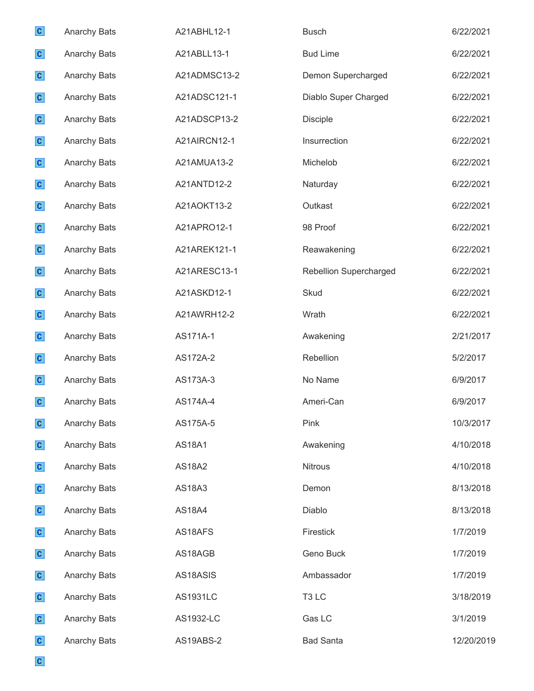| $\mathbf{c}$ | Anarchy Bats        | A21ABHL12-1   | <b>Busch</b>                  | 6/22/2021  |
|--------------|---------------------|---------------|-------------------------------|------------|
| $\mathbf{c}$ | Anarchy Bats        | A21ABLL13-1   | <b>Bud Lime</b>               | 6/22/2021  |
| $\mathbf{c}$ | Anarchy Bats        | A21ADMSC13-2  | Demon Supercharged            | 6/22/2021  |
| $\mathbf{c}$ | Anarchy Bats        | A21ADSC121-1  | Diablo Super Charged          | 6/22/2021  |
| $\mathbf{c}$ | Anarchy Bats        | A21ADSCP13-2  | <b>Disciple</b>               | 6/22/2021  |
| $\mathbf{c}$ | Anarchy Bats        | A21AIRCN12-1  | Insurrection                  | 6/22/2021  |
| $\mathbf{c}$ | Anarchy Bats        | A21AMUA13-2   | Michelob                      | 6/22/2021  |
| $\mathbf{c}$ | Anarchy Bats        | A21ANTD12-2   | Naturday                      | 6/22/2021  |
| $\mathbf{c}$ | <b>Anarchy Bats</b> | A21AOKT13-2   | Outkast                       | 6/22/2021  |
| $\mathbf{c}$ | Anarchy Bats        | A21APRO12-1   | 98 Proof                      | 6/22/2021  |
| $\mathbf{c}$ | Anarchy Bats        | A21AREK121-1  | Reawakening                   | 6/22/2021  |
| $\mathbf{c}$ | Anarchy Bats        | A21ARESC13-1  | <b>Rebellion Supercharged</b> | 6/22/2021  |
| $\mathbf{c}$ | Anarchy Bats        | A21ASKD12-1   | Skud                          | 6/22/2021  |
| $\mathbf{c}$ | Anarchy Bats        | A21AWRH12-2   | Wrath                         | 6/22/2021  |
| $\mathbf{c}$ | Anarchy Bats        | AS171A-1      | Awakening                     | 2/21/2017  |
| $\mathbf{c}$ | Anarchy Bats        | AS172A-2      | Rebellion                     | 5/2/2017   |
| $\mathbf{c}$ | Anarchy Bats        | AS173A-3      | No Name                       | 6/9/2017   |
| $\mathbf{c}$ | Anarchy Bats        | AS174A-4      | Ameri-Can                     | 6/9/2017   |
| $\mathbf{c}$ | Anarchy Bats        | AS175A-5      | Pink                          | 10/3/2017  |
| $\mathbf{c}$ | Anarchy Bats        | <b>AS18A1</b> | Awakening                     | 4/10/2018  |
| $\mathbf{c}$ | Anarchy Bats        | <b>AS18A2</b> | <b>Nitrous</b>                | 4/10/2018  |
| $\mathbf{c}$ | <b>Anarchy Bats</b> | <b>AS18A3</b> | Demon                         | 8/13/2018  |
| $\mathbf{c}$ | Anarchy Bats        | <b>AS18A4</b> | Diablo                        | 8/13/2018  |
| $\mathbf{c}$ | <b>Anarchy Bats</b> | AS18AFS       | Firestick                     | 1/7/2019   |
| $\mathbf{c}$ | <b>Anarchy Bats</b> | AS18AGB       | Geno Buck                     | 1/7/2019   |
| $\mathbf{c}$ | <b>Anarchy Bats</b> | AS18ASIS      | Ambassador                    | 1/7/2019   |
| $\mathbf{c}$ | <b>Anarchy Bats</b> | AS1931LC      | T <sub>3</sub> LC             | 3/18/2019  |
| $\mathbf{c}$ | Anarchy Bats        | AS1932-LC     | Gas LC                        | 3/1/2019   |
| $\mathbf{c}$ | Anarchy Bats        | AS19ABS-2     | <b>Bad Santa</b>              | 12/20/2019 |

 $\mathbf{c}$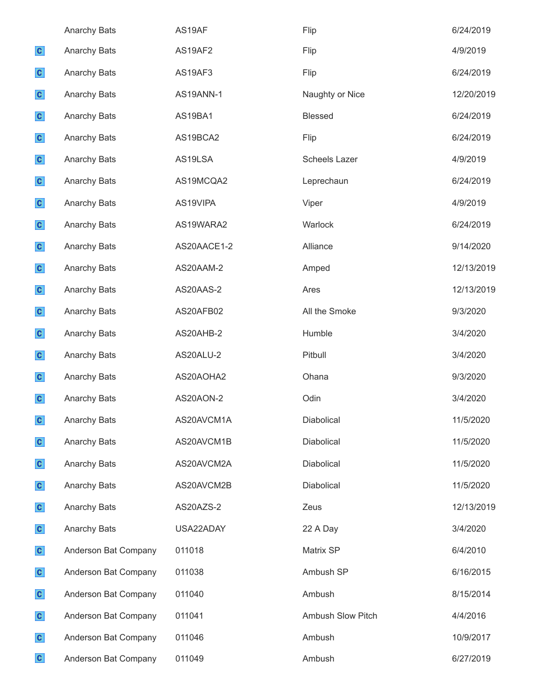|              | <b>Anarchy Bats</b>  | AS19AF      | Flip                 | 6/24/2019  |
|--------------|----------------------|-------------|----------------------|------------|
| $\mathbf{c}$ | Anarchy Bats         | AS19AF2     | Flip                 | 4/9/2019   |
| $\mathbf{c}$ | Anarchy Bats         | AS19AF3     | Flip                 | 6/24/2019  |
| $\mathbf{c}$ | Anarchy Bats         | AS19ANN-1   | Naughty or Nice      | 12/20/2019 |
| $\mathbf{c}$ | <b>Anarchy Bats</b>  | AS19BA1     | <b>Blessed</b>       | 6/24/2019  |
| $\mathbf{c}$ | Anarchy Bats         | AS19BCA2    | Flip                 | 6/24/2019  |
| $\mathbf{c}$ | Anarchy Bats         | AS19LSA     | <b>Scheels Lazer</b> | 4/9/2019   |
| $\mathbf{c}$ | Anarchy Bats         | AS19MCQA2   | Leprechaun           | 6/24/2019  |
| $\mathbf{c}$ | <b>Anarchy Bats</b>  | AS19VIPA    | Viper                | 4/9/2019   |
| $\mathbf{c}$ | Anarchy Bats         | AS19WARA2   | Warlock              | 6/24/2019  |
| $\mathbf{c}$ | <b>Anarchy Bats</b>  | AS20AACE1-2 | Alliance             | 9/14/2020  |
| $\mathbf{c}$ | Anarchy Bats         | AS20AAM-2   | Amped                | 12/13/2019 |
| $\mathbf{c}$ | Anarchy Bats         | AS20AAS-2   | Ares                 | 12/13/2019 |
| $\mathbf{c}$ | Anarchy Bats         | AS20AFB02   | All the Smoke        | 9/3/2020   |
| $\mathbf{c}$ | Anarchy Bats         | AS20AHB-2   | Humble               | 3/4/2020   |
| $\mathbf{c}$ | Anarchy Bats         | AS20ALU-2   | Pitbull              | 3/4/2020   |
| $\mathbf{c}$ | Anarchy Bats         | AS20AOHA2   | Ohana                | 9/3/2020   |
| $\mathbf{c}$ | Anarchy Bats         | AS20AON-2   | Odin                 | 3/4/2020   |
| $\mathbf{c}$ | Anarchy Bats         | AS20AVCM1A  | Diabolical           | 11/5/2020  |
| $\mathbf{c}$ | Anarchy Bats         | AS20AVCM1B  | Diabolical           | 11/5/2020  |
| $\mathbf{c}$ | Anarchy Bats         | AS20AVCM2A  | Diabolical           | 11/5/2020  |
| $\mathbf{c}$ | <b>Anarchy Bats</b>  | AS20AVCM2B  | Diabolical           | 11/5/2020  |
| $\mathbf{c}$ | <b>Anarchy Bats</b>  | AS20AZS-2   | Zeus                 | 12/13/2019 |
| $\mathbf{c}$ | Anarchy Bats         | USA22ADAY   | 22 A Day             | 3/4/2020   |
| $\mathbf{c}$ | Anderson Bat Company | 011018      | Matrix SP            | 6/4/2010   |
| $\mathbf{c}$ | Anderson Bat Company | 011038      | Ambush SP            | 6/16/2015  |
| $\mathbf{c}$ | Anderson Bat Company | 011040      | Ambush               | 8/15/2014  |
| $\mathbf{c}$ | Anderson Bat Company | 011041      | Ambush Slow Pitch    | 4/4/2016   |
| $\mathbf{c}$ | Anderson Bat Company | 011046      | Ambush               | 10/9/2017  |
| $\mathbf{c}$ | Anderson Bat Company | 011049      | Ambush               | 6/27/2019  |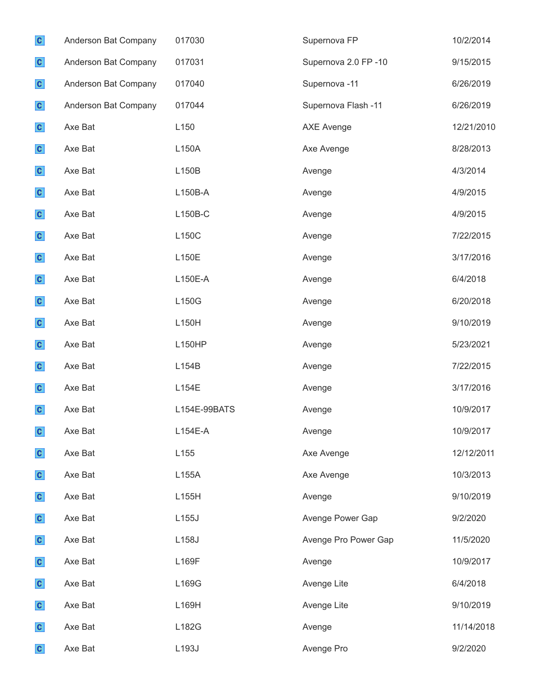| $\mathbf{c}$ | Anderson Bat Company | 017030       | Supernova FP         | 10/2/2014  |
|--------------|----------------------|--------------|----------------------|------------|
| $\mathbf{c}$ | Anderson Bat Company | 017031       | Supernova 2.0 FP-10  | 9/15/2015  |
| $\mathbf{c}$ | Anderson Bat Company | 017040       | Supernova-11         | 6/26/2019  |
| $\mathbf{c}$ | Anderson Bat Company | 017044       | Supernova Flash -11  | 6/26/2019  |
| $\mathbf{c}$ | Axe Bat              | L150         | <b>AXE Avenge</b>    | 12/21/2010 |
| $\mathbf{c}$ | Axe Bat              | L150A        | Axe Avenge           | 8/28/2013  |
| $\mathbf{c}$ | Axe Bat              | L150B        | Avenge               | 4/3/2014   |
| $\mathbf{c}$ | Axe Bat              | L150B-A      | Avenge               | 4/9/2015   |
| $\mathbf{c}$ | Axe Bat              | L150B-C      | Avenge               | 4/9/2015   |
| $\mathbf{c}$ | Axe Bat              | L150C        | Avenge               | 7/22/2015  |
| $\mathbf{c}$ | Axe Bat              | L150E        | Avenge               | 3/17/2016  |
| $\mathbf{c}$ | Axe Bat              | L150E-A      | Avenge               | 6/4/2018   |
| $\mathbf{c}$ | Axe Bat              | L150G        | Avenge               | 6/20/2018  |
| $\mathbf{c}$ | Axe Bat              | L150H        | Avenge               | 9/10/2019  |
| $\mathbf{c}$ | Axe Bat              | L150HP       | Avenge               | 5/23/2021  |
| $\mathbf{c}$ | Axe Bat              | L154B        | Avenge               | 7/22/2015  |
| $\mathbf{c}$ | Axe Bat              | L154E        | Avenge               | 3/17/2016  |
| $\mathbf{C}$ | Axe Bat              | L154E-99BATS | Avenge               | 10/9/2017  |
| $\mathbf{c}$ | Axe Bat              | $L154E-A$    | Avenge               | 10/9/2017  |
| $\mathbf{c}$ | Axe Bat              | L155         | Axe Avenge           | 12/12/2011 |
| $\mathbf{c}$ | Axe Bat              | L155A        | Axe Avenge           | 10/3/2013  |
| $\mathbf{c}$ | Axe Bat              | L155H        | Avenge               | 9/10/2019  |
| $\mathbf{c}$ | Axe Bat              | L155J        | Avenge Power Gap     | 9/2/2020   |
| $\mathbf{c}$ | Axe Bat              | L158J        | Avenge Pro Power Gap | 11/5/2020  |
| $\mathbf{c}$ | Axe Bat              | L169F        | Avenge               | 10/9/2017  |
| $\mathbf{c}$ | Axe Bat              | L169G        | Avenge Lite          | 6/4/2018   |
| $\mathbf{c}$ | Axe Bat              | L169H        | Avenge Lite          | 9/10/2019  |
| $\mathbf{c}$ | Axe Bat              | L182G        | Avenge               | 11/14/2018 |
| $\mathbf{c}$ | Axe Bat              | L193J        | Avenge Pro           | 9/2/2020   |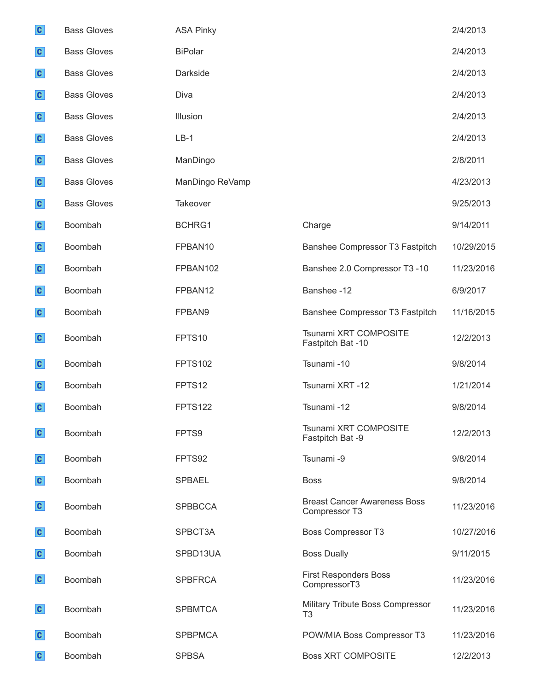| $\mathbf{c}$ | <b>Bass Gloves</b> | <b>ASA Pinky</b> |                                                      | 2/4/2013   |
|--------------|--------------------|------------------|------------------------------------------------------|------------|
| $\mathbf{c}$ | <b>Bass Gloves</b> | <b>BiPolar</b>   |                                                      | 2/4/2013   |
| $\mathbf{c}$ | <b>Bass Gloves</b> | Darkside         |                                                      | 2/4/2013   |
| $\mathbf{c}$ | <b>Bass Gloves</b> | Diva             |                                                      | 2/4/2013   |
| $\mathbf{c}$ | <b>Bass Gloves</b> | Illusion         |                                                      | 2/4/2013   |
| $\mathbf{c}$ | <b>Bass Gloves</b> | $LB-1$           |                                                      | 2/4/2013   |
| $\mathbf{c}$ | <b>Bass Gloves</b> | ManDingo         |                                                      | 2/8/2011   |
| $\mathbf{c}$ | <b>Bass Gloves</b> | ManDingo ReVamp  |                                                      | 4/23/2013  |
| $\mathbf{c}$ | <b>Bass Gloves</b> | Takeover         |                                                      | 9/25/2013  |
| $\mathbf{c}$ | Boombah            | BCHRG1           | Charge                                               | 9/14/2011  |
| $\mathbf{c}$ | Boombah            | FPBAN10          | Banshee Compressor T3 Fastpitch                      | 10/29/2015 |
| $\mathbf{c}$ | Boombah            | FPBAN102         | Banshee 2.0 Compressor T3 -10                        | 11/23/2016 |
| $\mathbf{c}$ | Boombah            | FPBAN12          | Banshee -12                                          | 6/9/2017   |
| $\mathbf{c}$ | Boombah            | FPBAN9           | Banshee Compressor T3 Fastpitch                      | 11/16/2015 |
| $\mathbf{c}$ | Boombah            | FPTS10           | Tsunami XRT COMPOSITE<br>Fastpitch Bat -10           | 12/2/2013  |
| $\mathbf{c}$ | Boombah            | <b>FPTS102</b>   | Tsunami -10                                          | 9/8/2014   |
| $\mathbf{c}$ | Boombah            | FPTS12           | Tsunami XRT -12                                      | 1/21/2014  |
| $\mathbf{c}$ | Boombah            | <b>FPTS122</b>   | Tsunami -12                                          | 9/8/2014   |
| $\mathbf{C}$ | Boombah            | FPTS9            | Tsunami XRT COMPOSITE<br>Fastpitch Bat -9            | 12/2/2013  |
| $\mathbf{c}$ | Boombah            | FPTS92           | Tsunami -9                                           | 9/8/2014   |
| $\mathbf{c}$ | Boombah            | <b>SPBAEL</b>    | <b>Boss</b>                                          | 9/8/2014   |
| $\mathbf{c}$ | Boombah            | <b>SPBBCCA</b>   | <b>Breast Cancer Awareness Boss</b><br>Compressor T3 | 11/23/2016 |
| $\mathbf{c}$ | Boombah            | SPBCT3A          | <b>Boss Compressor T3</b>                            | 10/27/2016 |
| $\mathbf{c}$ | Boombah            | SPBD13UA         | <b>Boss Dually</b>                                   | 9/11/2015  |
| $\mathbf{c}$ | Boombah            | <b>SPBFRCA</b>   | <b>First Responders Boss</b><br>CompressorT3         | 11/23/2016 |
| $\mathbf{c}$ | Boombah            | <b>SPBMTCA</b>   | Military Tribute Boss Compressor<br>T <sub>3</sub>   | 11/23/2016 |
| $\mathbf{c}$ | Boombah            | <b>SPBPMCA</b>   | POW/MIA Boss Compressor T3                           | 11/23/2016 |
| $\mathbf{c}$ | Boombah            | <b>SPBSA</b>     | <b>Boss XRT COMPOSITE</b>                            | 12/2/2013  |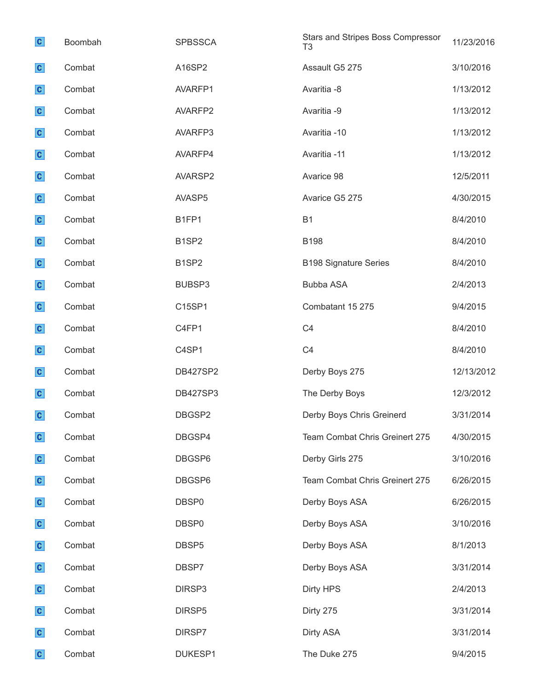| $\mathbf{c}$ | Boombah | <b>SPBSSCA</b>                 | Stars and Stripes Boss Compressor<br>T <sub>3</sub> | 11/23/2016 |
|--------------|---------|--------------------------------|-----------------------------------------------------|------------|
| $\mathbf{c}$ | Combat  | A16SP2                         | Assault G5 275                                      | 3/10/2016  |
| $\mathbf{c}$ | Combat  | AVARFP1                        | Avaritia -8                                         | 1/13/2012  |
| $\mathbf{c}$ | Combat  | AVARFP2                        | Avaritia -9                                         | 1/13/2012  |
| $\mathbf{c}$ | Combat  | AVARFP3                        | Avaritia -10                                        | 1/13/2012  |
| $\mathbf{c}$ | Combat  | AVARFP4                        | Avaritia -11                                        | 1/13/2012  |
| $\mathbf{c}$ | Combat  | AVARSP2                        | Avarice 98                                          | 12/5/2011  |
| $\mathbf{c}$ | Combat  | AVASP5                         | Avarice G5 275                                      | 4/30/2015  |
| $\mathbf{c}$ | Combat  | B1FP1                          | <b>B1</b>                                           | 8/4/2010   |
| $\mathbf{c}$ | Combat  | B <sub>1</sub> SP <sub>2</sub> | <b>B198</b>                                         | 8/4/2010   |
| $\mathbf{c}$ | Combat  | B <sub>1</sub> SP <sub>2</sub> | <b>B198 Signature Series</b>                        | 8/4/2010   |
| $\mathbf{c}$ | Combat  | BUBSP3                         | <b>Bubba ASA</b>                                    | 2/4/2013   |
| $\mathbf{c}$ | Combat  | C15SP1                         | Combatant 15 275                                    | 9/4/2015   |
| $\mathbf{c}$ | Combat  | C4FP1                          | C <sub>4</sub>                                      | 8/4/2010   |
| $\mathbf{c}$ | Combat  | C4SP1                          | C <sub>4</sub>                                      | 8/4/2010   |
| $\mathbf{c}$ | Combat  | <b>DB427SP2</b>                | Derby Boys 275                                      | 12/13/2012 |
| $\mathbf{c}$ | Combat  | <b>DB427SP3</b>                | The Derby Boys                                      | 12/3/2012  |
| $\mathbf{C}$ | Combat  | DBGSP2                         | Derby Boys Chris Greinerd                           | 3/31/2014  |
| $\mathbf{c}$ | Combat  | DBGSP4                         | Team Combat Chris Greinert 275                      | 4/30/2015  |
| $\mathbf{c}$ | Combat  | DBGSP6                         | Derby Girls 275                                     | 3/10/2016  |
| $\mathbf{c}$ | Combat  | DBGSP6                         | Team Combat Chris Greinert 275                      | 6/26/2015  |
| $\mathbf{c}$ | Combat  | DBSP0                          | Derby Boys ASA                                      | 6/26/2015  |
| $\mathbf{c}$ | Combat  | DBSP <sub>0</sub>              | Derby Boys ASA                                      | 3/10/2016  |
| $\mathbf{c}$ | Combat  | DBSP <sub>5</sub>              | Derby Boys ASA                                      | 8/1/2013   |
| $\mathbf{c}$ | Combat  | DBSP7                          | Derby Boys ASA                                      | 3/31/2014  |
| $\mathbf{c}$ | Combat  | DIRSP3                         | <b>Dirty HPS</b>                                    | 2/4/2013   |
| $\mathbf{c}$ | Combat  | DIRSP5                         | Dirty 275                                           | 3/31/2014  |
| $\mathbf{c}$ | Combat  | DIRSP7                         | Dirty ASA                                           | 3/31/2014  |
| $\mathbf{c}$ | Combat  | DUKESP1                        | The Duke 275                                        | 9/4/2015   |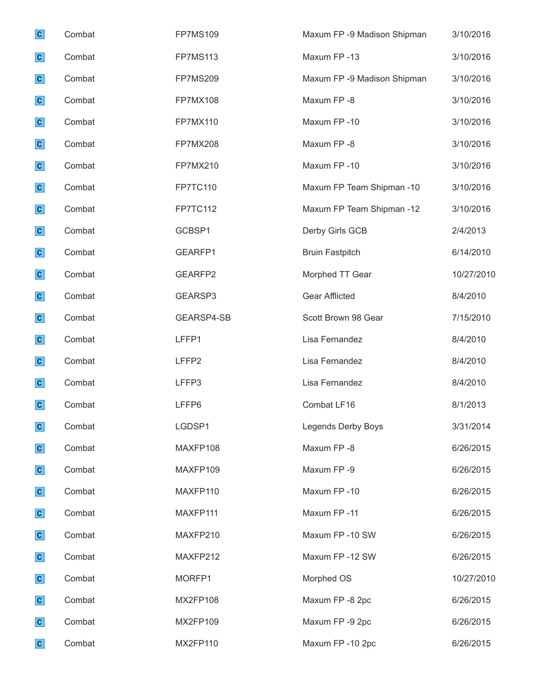| $\mathbf{c}$ | Combat | <b>FP7MS109</b>   | Maxum FP -9 Madison Shipman | 3/10/2016  |
|--------------|--------|-------------------|-----------------------------|------------|
| $\mathbf{c}$ | Combat | <b>FP7MS113</b>   | Maxum FP-13                 | 3/10/2016  |
| $\mathbf{c}$ | Combat | <b>FP7MS209</b>   | Maxum FP -9 Madison Shipman | 3/10/2016  |
| $\mathbf{c}$ | Combat | <b>FP7MX108</b>   | Maxum FP-8                  | 3/10/2016  |
| $\mathbf{c}$ | Combat | <b>FP7MX110</b>   | Maxum FP-10                 | 3/10/2016  |
| $\mathbf{c}$ | Combat | FP7MX208          | Maxum FP-8                  | 3/10/2016  |
| $\mathbf{c}$ | Combat | FP7MX210          | Maxum FP-10                 | 3/10/2016  |
| $\mathbf{c}$ | Combat | <b>FP7TC110</b>   | Maxum FP Team Shipman -10   | 3/10/2016  |
| $\mathbf{c}$ | Combat | <b>FP7TC112</b>   | Maxum FP Team Shipman -12   | 3/10/2016  |
| $\mathbf{c}$ | Combat | GCBSP1            | Derby Girls GCB             | 2/4/2013   |
| $\mathbf{c}$ | Combat | GEARFP1           | <b>Bruin Fastpitch</b>      | 6/14/2010  |
| $\mathbf{c}$ | Combat | GEARFP2           | Morphed TT Gear             | 10/27/2010 |
| $\mathbf{c}$ | Combat | GEARSP3           | <b>Gear Afflicted</b>       | 8/4/2010   |
| $\mathbf{c}$ | Combat | GEARSP4-SB        | Scott Brown 98 Gear         | 7/15/2010  |
| $\mathbf{c}$ | Combat | LFFP1             | Lisa Fernandez              | 8/4/2010   |
| $\mathbf{c}$ | Combat | LFFP <sub>2</sub> | Lisa Fernandez              | 8/4/2010   |
| $\mathbf{c}$ | Combat | LFFP3             | Lisa Fernandez              | 8/4/2010   |
| $\mathbf{c}$ | Combat | LFFP6             | Combat LF16                 | 8/1/2013   |
| $\mathbf{c}$ | Combat | LGDSP1            | Legends Derby Boys          | 3/31/2014  |
| $\mathbf{c}$ | Combat | MAXFP108          | Maxum FP-8                  | 6/26/2015  |
| $\mathbf{c}$ | Combat | MAXFP109          | Maxum FP-9                  | 6/26/2015  |
| $\mathbf{c}$ | Combat | MAXFP110          | Maxum FP-10                 | 6/26/2015  |
| $\mathbf{c}$ | Combat | MAXFP111          | Maxum FP-11                 | 6/26/2015  |
| $\mathbf{c}$ | Combat | MAXFP210          | Maxum FP-10 SW              | 6/26/2015  |
| $\mathbf{c}$ | Combat | MAXFP212          | Maxum FP-12 SW              | 6/26/2015  |
| $\mathbf{c}$ | Combat | MORFP1            | Morphed OS                  | 10/27/2010 |
| $\mathbf{c}$ | Combat | MX2FP108          | Maxum FP -8 2pc             | 6/26/2015  |
| $\mathbf{c}$ | Combat | MX2FP109          | Maxum FP -9 2pc             | 6/26/2015  |
| $\mathbf{c}$ | Combat | MX2FP110          | Maxum FP-10 2pc             | 6/26/2015  |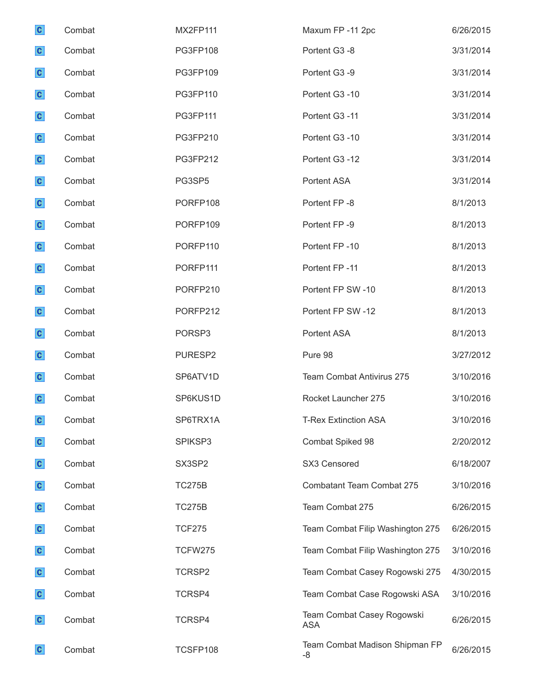| $\mathbf{c}$ | Combat | MX2FP111       | Maxum FP-11 2pc                          | 6/26/2015 |
|--------------|--------|----------------|------------------------------------------|-----------|
| $\mathbf{c}$ | Combat | PG3FP108       | Portent G3 -8                            | 3/31/2014 |
| $\mathbf{c}$ | Combat | PG3FP109       | Portent G3 -9                            | 3/31/2014 |
| $\mathbf{c}$ | Combat | PG3FP110       | Portent G3 -10                           | 3/31/2014 |
| $\mathbf{c}$ | Combat | PG3FP111       | Portent G3-11                            | 3/31/2014 |
| $\mathbf{c}$ | Combat | PG3FP210       | Portent G3 -10                           | 3/31/2014 |
| $\mathbf{c}$ | Combat | PG3FP212       | Portent G3 -12                           | 3/31/2014 |
| $\mathbf{c}$ | Combat | PG3SP5         | Portent ASA                              | 3/31/2014 |
| $\mathbf{c}$ | Combat | PORFP108       | Portent FP-8                             | 8/1/2013  |
| $\mathbf{c}$ | Combat | PORFP109       | Portent FP-9                             | 8/1/2013  |
| $\mathbf{c}$ | Combat | PORFP110       | Portent FP-10                            | 8/1/2013  |
| $\mathbf{c}$ | Combat | PORFP111       | Portent FP-11                            | 8/1/2013  |
| $\mathbf{c}$ | Combat | PORFP210       | Portent FP SW-10                         | 8/1/2013  |
| $\mathbf{c}$ | Combat | PORFP212       | Portent FP SW-12                         | 8/1/2013  |
| $\mathbf{c}$ | Combat | PORSP3         | Portent ASA                              | 8/1/2013  |
| $\mathbf{c}$ | Combat | PURESP2        | Pure 98                                  | 3/27/2012 |
| $\mathbf{c}$ | Combat | SP6ATV1D       | <b>Team Combat Antivirus 275</b>         | 3/10/2016 |
| $\mathbf{c}$ | Combat | SP6KUS1D       | Rocket Launcher 275                      | 3/10/2016 |
| $\mathbf{c}$ | Combat | SP6TRX1A       | <b>T-Rex Extinction ASA</b>              | 3/10/2016 |
| $\mathbf{c}$ | Combat | SPIKSP3        | Combat Spiked 98                         | 2/20/2012 |
| $\mathbf{c}$ | Combat | SX3SP2         | SX3 Censored                             | 6/18/2007 |
| $\mathbf{c}$ | Combat | <b>TC275B</b>  | <b>Combatant Team Combat 275</b>         | 3/10/2016 |
| $\mathbf{c}$ | Combat | <b>TC275B</b>  | Team Combat 275                          | 6/26/2015 |
| $\mathbf{c}$ | Combat | <b>TCF275</b>  | Team Combat Filip Washington 275         | 6/26/2015 |
| $\mathbf{c}$ | Combat | <b>TCFW275</b> | Team Combat Filip Washington 275         | 3/10/2016 |
| $\mathbf{c}$ | Combat | TCRSP2         | Team Combat Casey Rogowski 275           | 4/30/2015 |
| $\mathbf{c}$ | Combat | TCRSP4         | Team Combat Case Rogowski ASA            | 3/10/2016 |
| $\mathbf{c}$ | Combat | TCRSP4         | Team Combat Casey Rogowski<br><b>ASA</b> | 6/26/2015 |
| $\mathbf{c}$ | Combat | TCSFP108       | Team Combat Madison Shipman FP<br>-8     | 6/26/2015 |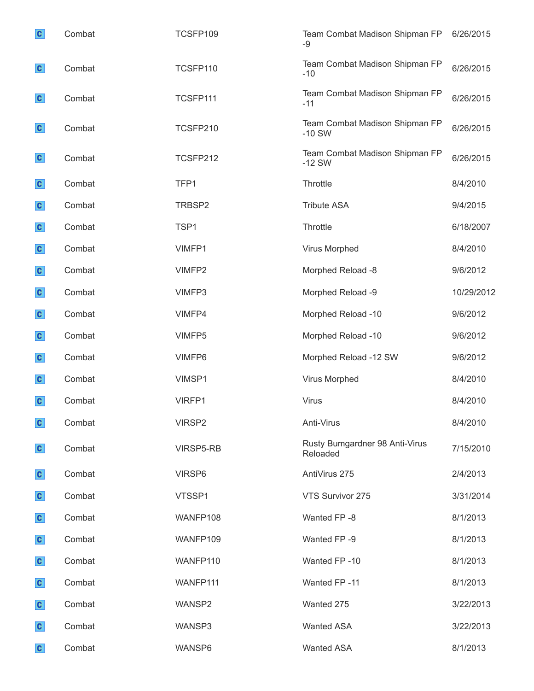| $\mathbf{c}$ | Combat | TCSFP109  | Team Combat Madison Shipman FP<br>-9       | 6/26/2015  |
|--------------|--------|-----------|--------------------------------------------|------------|
| $\mathbf{c}$ | Combat | TCSFP110  | Team Combat Madison Shipman FP<br>$-10$    | 6/26/2015  |
| $\mathbf{c}$ | Combat | TCSFP111  | Team Combat Madison Shipman FP<br>$-11$    | 6/26/2015  |
| $\mathbf{c}$ | Combat | TCSFP210  | Team Combat Madison Shipman FP<br>$-10$ SW | 6/26/2015  |
| $\mathbf{c}$ | Combat | TCSFP212  | Team Combat Madison Shipman FP<br>$-12$ SW | 6/26/2015  |
| $\mathbf{c}$ | Combat | TFP1      | Throttle                                   | 8/4/2010   |
| $\mathbf{c}$ | Combat | TRBSP2    | <b>Tribute ASA</b>                         | 9/4/2015   |
| $\mathbf{c}$ | Combat | TSP1      | Throttle                                   | 6/18/2007  |
| $\mathbf{c}$ | Combat | VIMFP1    | Virus Morphed                              | 8/4/2010   |
| $\mathbf{c}$ | Combat | VIMFP2    | Morphed Reload -8                          | 9/6/2012   |
| $\mathbf{c}$ | Combat | VIMFP3    | Morphed Reload -9                          | 10/29/2012 |
| $\mathbf{c}$ | Combat | VIMFP4    | Morphed Reload -10                         | 9/6/2012   |
| $\mathbf{c}$ | Combat | VIMFP5    | Morphed Reload -10                         | 9/6/2012   |
| $\mathbf{c}$ | Combat | VIMFP6    | Morphed Reload -12 SW                      | 9/6/2012   |
| $\mathbf{c}$ | Combat | VIMSP1    | Virus Morphed                              | 8/4/2010   |
| $\mathbf{c}$ | Combat | VIRFP1    | Virus                                      | 8/4/2010   |
| $\mathbf{c}$ | Combat | VIRSP2    | Anti-Virus                                 | 8/4/2010   |
| $\mathbf{c}$ | Combat | VIRSP5-RB | Rusty Bumgardner 98 Anti-Virus<br>Reloaded | 7/15/2010  |
| $\mathbf{c}$ | Combat | VIRSP6    | AntiVirus 275                              | 2/4/2013   |
| $\mathbf{c}$ | Combat | VTSSP1    | VTS Survivor 275                           | 3/31/2014  |
| $\mathbf{c}$ | Combat | WANFP108  | Wanted FP-8                                | 8/1/2013   |
| $\mathbf{c}$ | Combat | WANFP109  | Wanted FP-9                                | 8/1/2013   |
| $\mathbf{c}$ | Combat | WANFP110  | Wanted FP-10                               | 8/1/2013   |
| $\mathbf{c}$ | Combat | WANFP111  | Wanted FP-11                               | 8/1/2013   |
| $\mathbf{c}$ | Combat | WANSP2    | Wanted 275                                 | 3/22/2013  |
| $\mathbf{c}$ | Combat | WANSP3    | <b>Wanted ASA</b>                          | 3/22/2013  |
| $\mathbf{c}$ | Combat | WANSP6    | <b>Wanted ASA</b>                          | 8/1/2013   |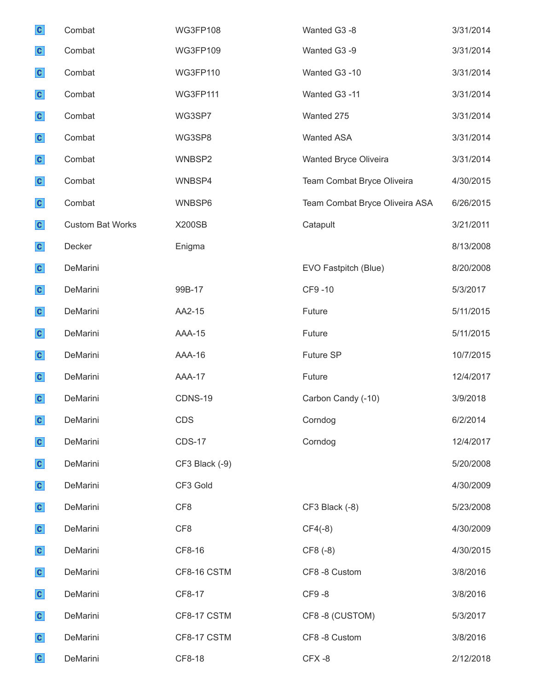| $\mathbf{c}$ | Combat                  | <b>WG3FP108</b> | Wanted G3 -8                   | 3/31/2014 |
|--------------|-------------------------|-----------------|--------------------------------|-----------|
| $\mathbf{c}$ | Combat                  | <b>WG3FP109</b> | Wanted G3 -9                   | 3/31/2014 |
| $\mathbf{c}$ | Combat                  | <b>WG3FP110</b> | Wanted G3 -10                  | 3/31/2014 |
| $\mathbf{c}$ | Combat                  | <b>WG3FP111</b> | Wanted G3 -11                  | 3/31/2014 |
| $\mathbf{c}$ | Combat                  | WG3SP7          | Wanted 275                     | 3/31/2014 |
| $\mathbf{c}$ | Combat                  | WG3SP8          | <b>Wanted ASA</b>              | 3/31/2014 |
| $\mathbf{c}$ | Combat                  | WNBSP2          | Wanted Bryce Oliveira          | 3/31/2014 |
| $\mathbf{c}$ | Combat                  | WNBSP4          | Team Combat Bryce Oliveira     | 4/30/2015 |
| $\mathbf{c}$ | Combat                  | WNBSP6          | Team Combat Bryce Oliveira ASA | 6/26/2015 |
| $\mathbf{c}$ | <b>Custom Bat Works</b> | <b>X200SB</b>   | Catapult                       | 3/21/2011 |
| $\mathbf{c}$ | Decker                  | Enigma          |                                | 8/13/2008 |
| $\mathbf{c}$ | DeMarini                |                 | EVO Fastpitch (Blue)           | 8/20/2008 |
| $\mathbf{c}$ | DeMarini                | 99B-17          | CF9-10                         | 5/3/2017  |
| $\mathbf{c}$ | DeMarini                | AA2-15          | Future                         | 5/11/2015 |
| $\mathbf{c}$ | DeMarini                | <b>AAA-15</b>   | Future                         | 5/11/2015 |
| $\mathbf{c}$ | DeMarini                | AAA-16          | Future SP                      | 10/7/2015 |
| $\mathbf{c}$ | DeMarini                | AAA-17          | Future                         | 12/4/2017 |
| $\mathbf{c}$ | DeMarini                | CDNS-19         | Carbon Candy (-10)             | 3/9/2018  |
| $\mathbf{c}$ | DeMarini                | <b>CDS</b>      | Corndog                        | 6/2/2014  |
| $\mathbf{c}$ | DeMarini                | <b>CDS-17</b>   | Corndog                        | 12/4/2017 |
| $\mathbf{c}$ | DeMarini                | CF3 Black (-9)  |                                | 5/20/2008 |
| $\mathbf{c}$ | DeMarini                | CF3 Gold        |                                | 4/30/2009 |
| $\mathbf{c}$ | DeMarini                | CF <sub>8</sub> | CF3 Black (-8)                 | 5/23/2008 |
| $\mathbf{c}$ | DeMarini                | CF <sub>8</sub> | $CF4(-8)$                      | 4/30/2009 |
| $\mathbf{c}$ | DeMarini                | CF8-16          | CF8 (-8)                       | 4/30/2015 |
| $\mathbf{c}$ | DeMarini                | CF8-16 CSTM     | CF8 -8 Custom                  | 3/8/2016  |
| $\mathbf{c}$ | DeMarini                | CF8-17          | CF9-8                          | 3/8/2016  |
| $\mathbf{c}$ | DeMarini                | CF8-17 CSTM     | CF8-8 (CUSTOM)                 | 5/3/2017  |
| $\mathbf{c}$ | DeMarini                | CF8-17 CSTM     | CF8 -8 Custom                  | 3/8/2016  |
| $\mathbf{c}$ | DeMarini                | CF8-18          | CFX-8                          | 2/12/2018 |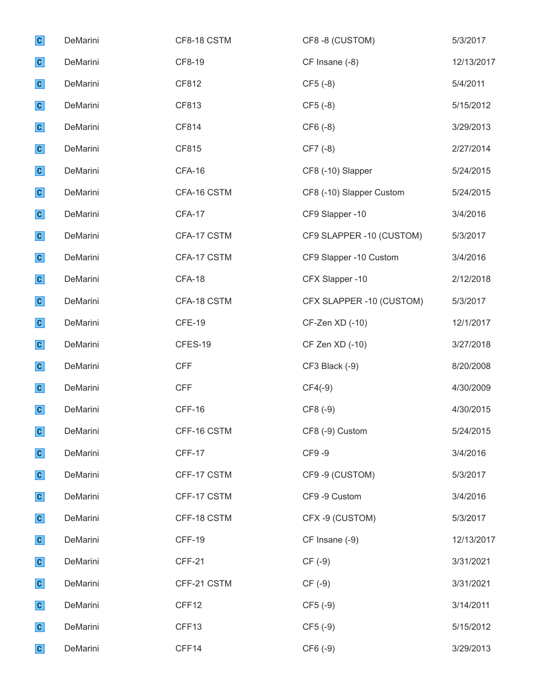| $\mathbf{c}$ | DeMarini | CF8-18 CSTM   | CF8-8 (CUSTOM)           | 5/3/2017   |
|--------------|----------|---------------|--------------------------|------------|
| $\mathbf{c}$ | DeMarini | CF8-19        | CF Insane (-8)           | 12/13/2017 |
| $\mathbf{c}$ | DeMarini | CF812         | $CF5(-8)$                | 5/4/2011   |
| $\mathbf{c}$ | DeMarini | CF813         | $CF5(-8)$                | 5/15/2012  |
| $\mathbf{c}$ | DeMarini | CF814         | CF6 (-8)                 | 3/29/2013  |
| $\mathbf{c}$ | DeMarini | CF815         | CF7 (-8)                 | 2/27/2014  |
| $\mathbf{c}$ | DeMarini | CFA-16        | CF8 (-10) Slapper        | 5/24/2015  |
| $\mathbf{c}$ | DeMarini | CFA-16 CSTM   | CF8 (-10) Slapper Custom | 5/24/2015  |
| $\mathbf{c}$ | DeMarini | CFA-17        | CF9 Slapper -10          | 3/4/2016   |
| $\mathbf{c}$ | DeMarini | CFA-17 CSTM   | CF9 SLAPPER -10 (CUSTOM) | 5/3/2017   |
| $\mathbf{c}$ | DeMarini | CFA-17 CSTM   | CF9 Slapper -10 Custom   | 3/4/2016   |
| $\mathbf{c}$ | DeMarini | CFA-18        | CFX Slapper -10          | 2/12/2018  |
| $\mathbf{c}$ | DeMarini | CFA-18 CSTM   | CFX SLAPPER -10 (CUSTOM) | 5/3/2017   |
| $\mathbf{c}$ | DeMarini | <b>CFE-19</b> | CF-Zen XD (-10)          | 12/1/2017  |
| $\mathbf{c}$ | DeMarini | CFES-19       | CF Zen XD (-10)          | 3/27/2018  |
| $\mathbf{c}$ | DeMarini | <b>CFF</b>    | CF3 Black (-9)           | 8/20/2008  |
| $\mathbf{c}$ | DeMarini | <b>CFF</b>    | $CF4(-9)$                | 4/30/2009  |
| $\mathbf{c}$ | DeMarini | CFF-16        | CF8 (-9)                 | 4/30/2015  |
| $\mathbf{c}$ | DeMarini | CFF-16 CSTM   | CF8 (-9) Custom          | 5/24/2015  |
| $\mathbf{c}$ | DeMarini | CFF-17        | CF9-9                    | 3/4/2016   |
| $\mathbf{c}$ | DeMarini | CFF-17 CSTM   | CF9-9 (CUSTOM)           | 5/3/2017   |
| $\mathbf{c}$ | DeMarini | CFF-17 CSTM   | CF9 -9 Custom            | 3/4/2016   |
| $\mathbf{c}$ | DeMarini | CFF-18 CSTM   | CFX-9 (CUSTOM)           | 5/3/2017   |
| $\mathbf{c}$ | DeMarini | <b>CFF-19</b> | CF Insane (-9)           | 12/13/2017 |
| $\mathbf{c}$ | DeMarini | CFF-21        | $CF(-9)$                 | 3/31/2021  |
| $\mathbf{c}$ | DeMarini | CFF-21 CSTM   | $CF(-9)$                 | 3/31/2021  |
| $\mathbf{c}$ | DeMarini | CFF12         | $CF5(-9)$                | 3/14/2011  |
| $\mathbf{c}$ | DeMarini | CFF13         | $CF5(-9)$                | 5/15/2012  |
| $\mathbf{c}$ | DeMarini | CFF14         | CF6 (-9)                 | 3/29/2013  |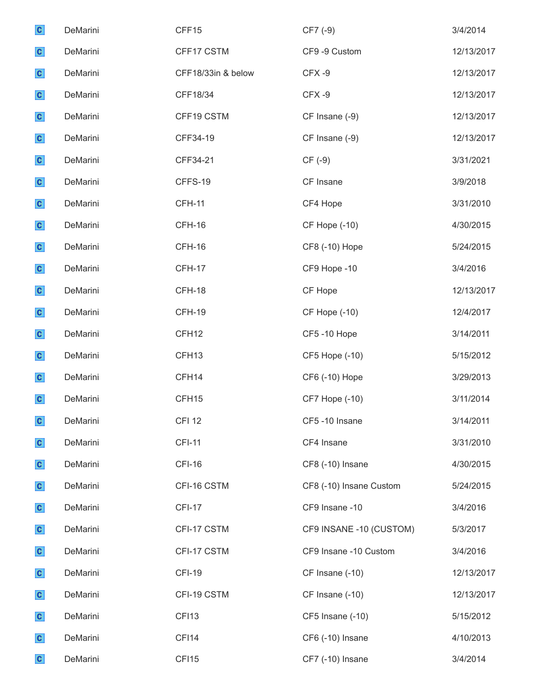| $\mathbf{c}$ | DeMarini | CFF15              | CF7 (-9)                | 3/4/2014   |
|--------------|----------|--------------------|-------------------------|------------|
| $\mathbf{c}$ | DeMarini | CFF17 CSTM         | CF9 -9 Custom           | 12/13/2017 |
| $\mathbf{c}$ | DeMarini | CFF18/33in & below | CFX-9                   | 12/13/2017 |
| $\mathbf{c}$ | DeMarini | CFF18/34           | CFX-9                   | 12/13/2017 |
| $\mathbf{c}$ | DeMarini | CFF19 CSTM         | CF Insane (-9)          | 12/13/2017 |
| $\mathbf{c}$ | DeMarini | CFF34-19           | CF Insane (-9)          | 12/13/2017 |
| $\mathbf{c}$ | DeMarini | CFF34-21           | $CF(-9)$                | 3/31/2021  |
| $\mathbf{c}$ | DeMarini | CFFS-19            | CF Insane               | 3/9/2018   |
| $\mathbf{c}$ | DeMarini | <b>CFH-11</b>      | CF4 Hope                | 3/31/2010  |
| $\mathbf{c}$ | DeMarini | CFH-16             | <b>CF Hope (-10)</b>    | 4/30/2015  |
| $\mathbf{c}$ | DeMarini | CFH-16             | CF8 (-10) Hope          | 5/24/2015  |
| $\mathbf{c}$ | DeMarini | CFH-17             | CF9 Hope -10            | 3/4/2016   |
| $\mathbf{c}$ | DeMarini | CFH-18             | CF Hope                 | 12/13/2017 |
| $\mathbf{c}$ | DeMarini | CFH-19             | <b>CF Hope (-10)</b>    | 12/4/2017  |
| $\mathbf{c}$ | DeMarini | CFH <sub>12</sub>  | CF5-10 Hope             | 3/14/2011  |
| $\mathbf{c}$ | DeMarini | CFH <sub>13</sub>  | CF5 Hope (-10)          | 5/15/2012  |
| $\mathbf{c}$ | DeMarini | CFH14              | CF6 (-10) Hope          | 3/29/2013  |
| $\mathbf{c}$ | DeMarini | CFH <sub>15</sub>  | <b>CF7 Hope (-10)</b>   | 3/11/2014  |
| $\mathbf{c}$ | DeMarini | <b>CFI 12</b>      | CF5-10 Insane           | 3/14/2011  |
| $\mathbf{c}$ | DeMarini | <b>CFI-11</b>      | CF4 Insane              | 3/31/2010  |
| $\mathbf{c}$ | DeMarini | <b>CFI-16</b>      | CF8 (-10) Insane        | 4/30/2015  |
| $\mathbf{c}$ | DeMarini | CFI-16 CSTM        | CF8 (-10) Insane Custom | 5/24/2015  |
| $\mathbf{c}$ | DeMarini | <b>CFI-17</b>      | CF9 Insane -10          | 3/4/2016   |
| $\mathbf{c}$ | DeMarini | CFI-17 CSTM        | CF9 INSANE -10 (CUSTOM) | 5/3/2017   |
| $\mathbf{c}$ | DeMarini | CFI-17 CSTM        | CF9 Insane -10 Custom   | 3/4/2016   |
| $\mathbf{c}$ | DeMarini | <b>CFI-19</b>      | CF Insane (-10)         | 12/13/2017 |
| $\mathbf{c}$ | DeMarini | CFI-19 CSTM        | CF Insane (-10)         | 12/13/2017 |
| $\mathbf{c}$ | DeMarini | CFI13              | CF5 Insane (-10)        | 5/15/2012  |
| $\mathbf{c}$ | DeMarini | CFI14              | CF6 (-10) Insane        | 4/10/2013  |
| $\mathbf{c}$ | DeMarini | CFI15              | CF7 (-10) Insane        | 3/4/2014   |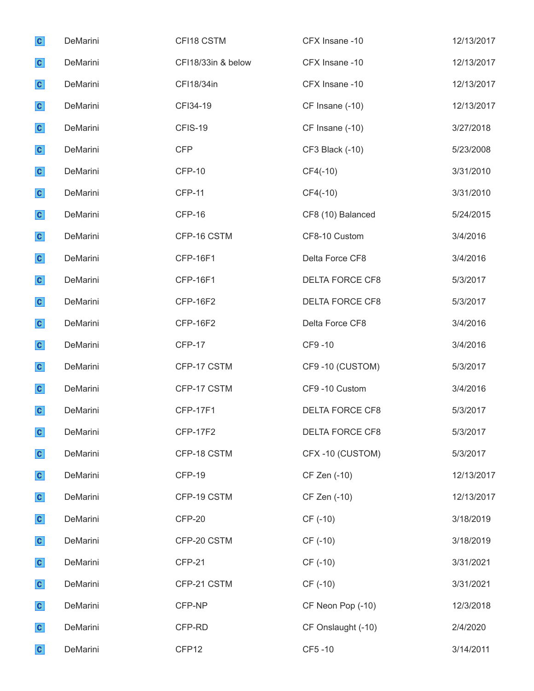| $\mathbf{c}$ | DeMarini | CFI18 CSTM         | CFX Insane -10         | 12/13/2017 |
|--------------|----------|--------------------|------------------------|------------|
| $\mathbf{c}$ | DeMarini | CFI18/33in & below | CFX Insane -10         | 12/13/2017 |
| $\mathbf{c}$ | DeMarini | CFI18/34in         | CFX Insane -10         | 12/13/2017 |
| $\mathbf{c}$ | DeMarini | CFI34-19           | CF Insane (-10)        | 12/13/2017 |
| $\mathbf{c}$ | DeMarini | CFIS-19            | CF Insane (-10)        | 3/27/2018  |
| $\mathbf{c}$ | DeMarini | <b>CFP</b>         | CF3 Black (-10)        | 5/23/2008  |
| $\mathbf{c}$ | DeMarini | <b>CFP-10</b>      | $CF4(-10)$             | 3/31/2010  |
| $\mathbf{c}$ | DeMarini | <b>CFP-11</b>      | $CF4(-10)$             | 3/31/2010  |
| $\mathbf{c}$ | DeMarini | CFP-16             | CF8 (10) Balanced      | 5/24/2015  |
| $\mathbf{c}$ | DeMarini | CFP-16 CSTM        | CF8-10 Custom          | 3/4/2016   |
| $\mathbf{c}$ | DeMarini | <b>CFP-16F1</b>    | Delta Force CF8        | 3/4/2016   |
| $\mathbf{c}$ | DeMarini | <b>CFP-16F1</b>    | DELTA FORCE CF8        | 5/3/2017   |
| $\mathbf{c}$ | DeMarini | <b>CFP-16F2</b>    | DELTA FORCE CF8        | 5/3/2017   |
| $\mathbf{c}$ | DeMarini | <b>CFP-16F2</b>    | Delta Force CF8        | 3/4/2016   |
| $\mathbf{c}$ | DeMarini | <b>CFP-17</b>      | CF9-10                 | 3/4/2016   |
| $\mathbf{c}$ | DeMarini | CFP-17 CSTM        | CF9-10 (CUSTOM)        | 5/3/2017   |
| $\mathbf{c}$ | DeMarini | CFP-17 CSTM        | CF9-10 Custom          | 3/4/2016   |
| $\mathbf{c}$ | DeMarini | <b>CFP-17F1</b>    | <b>DELTA FORCE CF8</b> | 5/3/2017   |
| $\mathbf{c}$ | DeMarini | <b>CFP-17F2</b>    | DELTA FORCE CF8        | 5/3/2017   |
| $\mathbf{c}$ | DeMarini | CFP-18 CSTM        | CFX-10 (CUSTOM)        | 5/3/2017   |
| $\mathbf{c}$ | DeMarini | <b>CFP-19</b>      | CF Zen (-10)           | 12/13/2017 |
| $\mathbf{c}$ | DeMarini | CFP-19 CSTM        | CF Zen (-10)           | 12/13/2017 |
| $\mathbf{c}$ | DeMarini | CFP-20             | CF (-10)               | 3/18/2019  |
| $\mathbf{c}$ | DeMarini | CFP-20 CSTM        | CF (-10)               | 3/18/2019  |
| $\mathbf{c}$ | DeMarini | <b>CFP-21</b>      | CF (-10)               | 3/31/2021  |
| $\mathbf{c}$ | DeMarini | CFP-21 CSTM        | CF (-10)               | 3/31/2021  |
| $\mathbf{c}$ | DeMarini | CFP-NP             | CF Neon Pop (-10)      | 12/3/2018  |
| $\mathbf{c}$ | DeMarini | CFP-RD             | CF Onslaught (-10)     | 2/4/2020   |
| $\mathbf{c}$ | DeMarini | CFP12              | CF5-10                 | 3/14/2011  |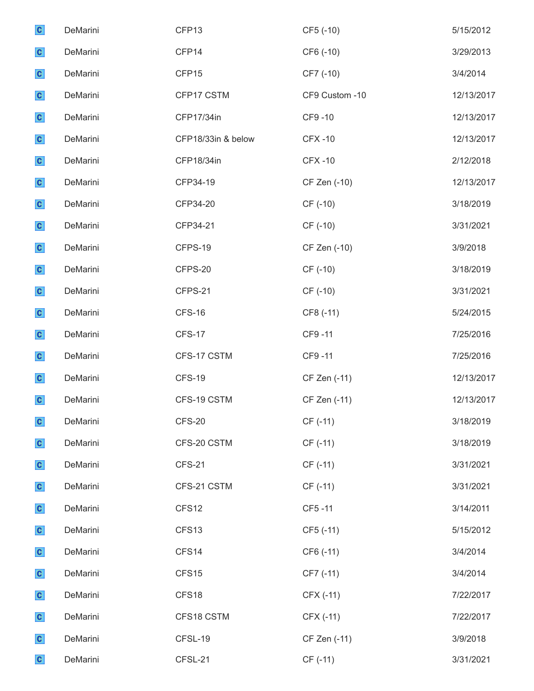| $\mathbf{c}$ | DeMarini | CFP13              | CF5 (-10)      | 5/15/2012  |
|--------------|----------|--------------------|----------------|------------|
| $\mathbf{c}$ | DeMarini | CFP14              | CF6 (-10)      | 3/29/2013  |
| $\mathbf{c}$ | DeMarini | CFP15              | CF7 (-10)      | 3/4/2014   |
| $\mathbf{c}$ | DeMarini | CFP17 CSTM         | CF9 Custom -10 | 12/13/2017 |
| $\mathbf{c}$ | DeMarini | CFP17/34in         | CF9-10         | 12/13/2017 |
| $\mathbf{c}$ | DeMarini | CFP18/33in & below | <b>CFX-10</b>  | 12/13/2017 |
| $\mathbf{c}$ | DeMarini | CFP18/34in         | <b>CFX-10</b>  | 2/12/2018  |
| $\mathbf{c}$ | DeMarini | CFP34-19           | CF Zen (-10)   | 12/13/2017 |
| $\mathbf{c}$ | DeMarini | CFP34-20           | CF (-10)       | 3/18/2019  |
| $\mathbf{c}$ | DeMarini | CFP34-21           | CF (-10)       | 3/31/2021  |
| $\mathbf{c}$ | DeMarini | CFPS-19            | CF Zen (-10)   | 3/9/2018   |
| $\mathbf{c}$ | DeMarini | CFPS-20            | CF (-10)       | 3/18/2019  |
| $\mathbf{c}$ | DeMarini | CFPS-21            | CF (-10)       | 3/31/2021  |
| $\mathbf{c}$ | DeMarini | <b>CFS-16</b>      | CF8 (-11)      | 5/24/2015  |
| $\mathbf{c}$ | DeMarini | <b>CFS-17</b>      | CF9-11         | 7/25/2016  |
| $\mathbf{c}$ | DeMarini | CFS-17 CSTM        | CF9-11         | 7/25/2016  |
| $\mathbf{c}$ | DeMarini | <b>CFS-19</b>      | CF Zen (-11)   | 12/13/2017 |
| $\mathbf{c}$ | DeMarini | CFS-19 CSTM        | CF Zen (-11)   | 12/13/2017 |
| $\mathbf{c}$ | DeMarini | <b>CFS-20</b>      | CF (-11)       | 3/18/2019  |
| $\mathbf{c}$ | DeMarini | CFS-20 CSTM        | CF (-11)       | 3/18/2019  |
| $\mathbf{c}$ | DeMarini | <b>CFS-21</b>      | CF (-11)       | 3/31/2021  |
| $\mathbf{c}$ | DeMarini | CFS-21 CSTM        | CF (-11)       | 3/31/2021  |
| $\mathbf{c}$ | DeMarini | CFS12              | CF5-11         | 3/14/2011  |
| $\mathbf{c}$ | DeMarini | CFS13              | CF5 (-11)      | 5/15/2012  |
| $\mathbf{c}$ | DeMarini | CFS14              | CF6 (-11)      | 3/4/2014   |
| $\mathbf{c}$ | DeMarini | CFS15              | CF7 (-11)      | 3/4/2014   |
| $\mathbf{c}$ | DeMarini | CFS18              | CFX (-11)      | 7/22/2017  |
| $\mathbf{c}$ | DeMarini | CFS18 CSTM         | CFX (-11)      | 7/22/2017  |
| $\mathbf{c}$ | DeMarini | CFSL-19            | CF Zen (-11)   | 3/9/2018   |
| $\mathbf{c}$ | DeMarini | CFSL-21            | CF (-11)       | 3/31/2021  |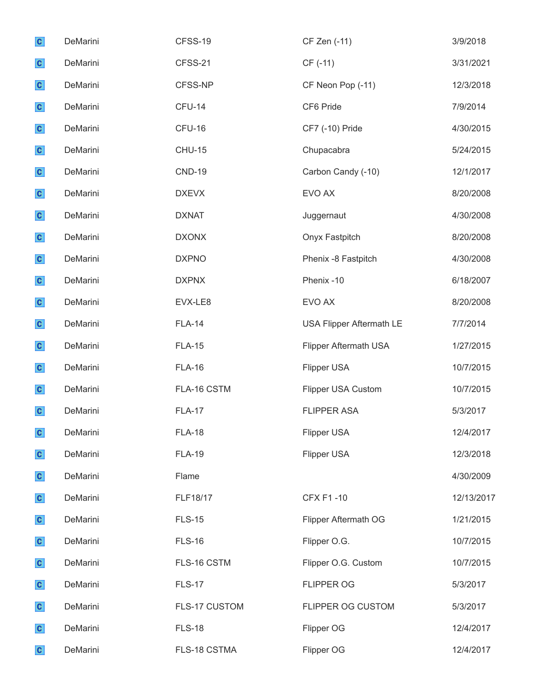| $\mathbf{c}$ | DeMarini | CFSS-19       | CF Zen (-11)                    | 3/9/2018   |
|--------------|----------|---------------|---------------------------------|------------|
| $\mathbf{c}$ | DeMarini | CFSS-21       | CF (-11)                        | 3/31/2021  |
| $\mathbf{c}$ | DeMarini | CFSS-NP       | CF Neon Pop (-11)               | 12/3/2018  |
| $\mathbf{c}$ | DeMarini | <b>CFU-14</b> | CF6 Pride                       | 7/9/2014   |
| $\mathbf{c}$ | DeMarini | CFU-16        | CF7 (-10) Pride                 | 4/30/2015  |
| $\mathbf{c}$ | DeMarini | <b>CHU-15</b> | Chupacabra                      | 5/24/2015  |
| $\mathbf{c}$ | DeMarini | <b>CND-19</b> | Carbon Candy (-10)              | 12/1/2017  |
| $\mathbf{c}$ | DeMarini | <b>DXEVX</b>  | EVO AX                          | 8/20/2008  |
| $\mathbf{c}$ | DeMarini | <b>DXNAT</b>  | Juggernaut                      | 4/30/2008  |
| $\mathbf{c}$ | DeMarini | <b>DXONX</b>  | Onyx Fastpitch                  | 8/20/2008  |
| $\mathbf{c}$ | DeMarini | <b>DXPNO</b>  | Phenix -8 Fastpitch             | 4/30/2008  |
| $\mathbf{c}$ | DeMarini | <b>DXPNX</b>  | Phenix -10                      | 6/18/2007  |
| $\mathbf{c}$ | DeMarini | EVX-LE8       | EVO AX                          | 8/20/2008  |
| $\mathbf{c}$ | DeMarini | <b>FLA-14</b> | <b>USA Flipper Aftermath LE</b> | 7/7/2014   |
| $\mathbf{c}$ | DeMarini | <b>FLA-15</b> | Flipper Aftermath USA           | 1/27/2015  |
| $\mathbf{c}$ | DeMarini | <b>FLA-16</b> | Flipper USA                     | 10/7/2015  |
| $\mathbf{c}$ | DeMarini | FLA-16 CSTM   | Flipper USA Custom              | 10/7/2015  |
| $\mathbf{c}$ | DeMarini | <b>FLA-17</b> | <b>FLIPPER ASA</b>              | 5/3/2017   |
| $\mathbf{C}$ | DeMarini | <b>FLA-18</b> | Flipper USA                     | 12/4/2017  |
| $\mathbf{c}$ | DeMarini | <b>FLA-19</b> | Flipper USA                     | 12/3/2018  |
| $\mathbf{c}$ | DeMarini | Flame         |                                 | 4/30/2009  |
| $\mathbf{c}$ | DeMarini | FLF18/17      | <b>CFX F1-10</b>                | 12/13/2017 |
| $\mathbf{c}$ | DeMarini | <b>FLS-15</b> | Flipper Aftermath OG            | 1/21/2015  |
| $\mathbf{c}$ | DeMarini | <b>FLS-16</b> | Flipper O.G.                    | 10/7/2015  |
| $\mathbf{c}$ | DeMarini | FLS-16 CSTM   | Flipper O.G. Custom             | 10/7/2015  |
| $\mathbf{c}$ | DeMarini | <b>FLS-17</b> | <b>FLIPPER OG</b>               | 5/3/2017   |
| $\mathbf{c}$ | DeMarini | FLS-17 CUSTOM | FLIPPER OG CUSTOM               | 5/3/2017   |
| $\mathbf{c}$ | DeMarini | <b>FLS-18</b> | Flipper OG                      | 12/4/2017  |
| $\mathbf{c}$ | DeMarini | FLS-18 CSTMA  | Flipper OG                      | 12/4/2017  |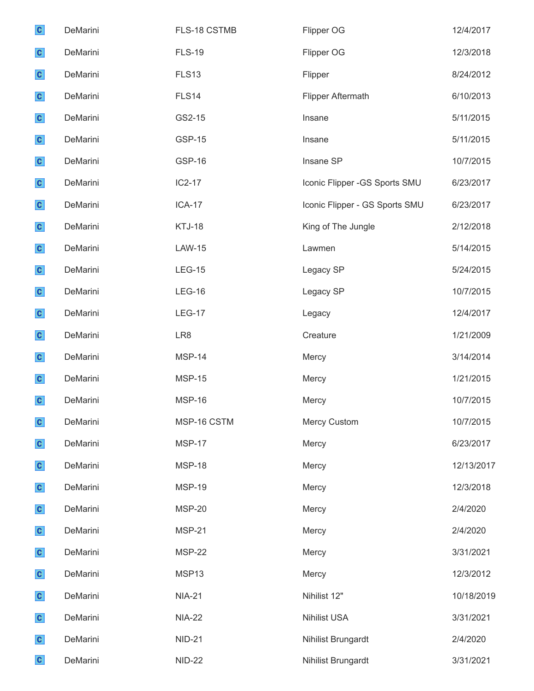| $\mathbf{c}$ | DeMarini | FLS-18 CSTMB    | Flipper OG                     | 12/4/2017  |
|--------------|----------|-----------------|--------------------------------|------------|
| $\mathbf{c}$ | DeMarini | <b>FLS-19</b>   | Flipper OG                     | 12/3/2018  |
| $\mathbf{c}$ | DeMarini | <b>FLS13</b>    | Flipper                        | 8/24/2012  |
| $\mathbf{c}$ | DeMarini | FLS14           | Flipper Aftermath              | 6/10/2013  |
| $\mathbf{c}$ | DeMarini | GS2-15          | Insane                         | 5/11/2015  |
| $\mathbf{c}$ | DeMarini | <b>GSP-15</b>   | Insane                         | 5/11/2015  |
| $\mathbf{c}$ | DeMarini | <b>GSP-16</b>   | Insane SP                      | 10/7/2015  |
| $\mathbf{c}$ | DeMarini | $IC2-17$        | Iconic Flipper -GS Sports SMU  | 6/23/2017  |
| $\mathbf{c}$ | DeMarini | <b>ICA-17</b>   | Iconic Flipper - GS Sports SMU | 6/23/2017  |
| $\mathbf{c}$ | DeMarini | KTJ-18          | King of The Jungle             | 2/12/2018  |
| $\mathbf{c}$ | DeMarini | <b>LAW-15</b>   | Lawmen                         | 5/14/2015  |
| $\mathbf{c}$ | DeMarini | <b>LEG-15</b>   | Legacy SP                      | 5/24/2015  |
| $\mathbf{c}$ | DeMarini | <b>LEG-16</b>   | Legacy SP                      | 10/7/2015  |
| $\mathbf{c}$ | DeMarini | <b>LEG-17</b>   | Legacy                         | 12/4/2017  |
| $\mathbf{c}$ | DeMarini | LR <sub>8</sub> | Creature                       | 1/21/2009  |
| $\mathbf{c}$ | DeMarini | MSP-14          | Mercy                          | 3/14/2014  |
| $\mathbf{c}$ | DeMarini | <b>MSP-15</b>   | Mercy                          | 1/21/2015  |
| $\mathbf{c}$ | DeMarini | <b>MSP-16</b>   | Mercy                          | 10/7/2015  |
| $\mathbf{c}$ | DeMarini | MSP-16 CSTM     | Mercy Custom                   | 10/7/2015  |
| $\mathbf{c}$ | DeMarini | <b>MSP-17</b>   | Mercy                          | 6/23/2017  |
| $\mathbf{c}$ | DeMarini | <b>MSP-18</b>   | Mercy                          | 12/13/2017 |
| $\mathbf{c}$ | DeMarini | <b>MSP-19</b>   | Mercy                          | 12/3/2018  |
| $\mathbf{c}$ | DeMarini | <b>MSP-20</b>   | Mercy                          | 2/4/2020   |
| $\mathbf{c}$ | DeMarini | <b>MSP-21</b>   | Mercy                          | 2/4/2020   |
| $\mathbf{c}$ | DeMarini | <b>MSP-22</b>   | Mercy                          | 3/31/2021  |
| $\mathbf{c}$ | DeMarini | MSP13           | Mercy                          | 12/3/2012  |
| $\mathbf{c}$ | DeMarini | <b>NIA-21</b>   | Nihilist 12"                   | 10/18/2019 |
| $\mathbf{c}$ | DeMarini | <b>NIA-22</b>   | <b>Nihilist USA</b>            | 3/31/2021  |
| $\mathbf{c}$ | DeMarini | <b>NID-21</b>   | Nihilist Brungardt             | 2/4/2020   |
| $\mathbf{c}$ | DeMarini | <b>NID-22</b>   | Nihilist Brungardt             | 3/31/2021  |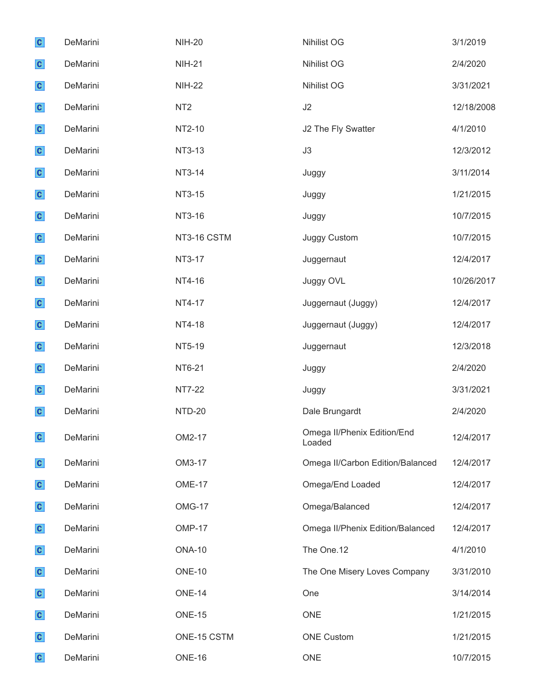| $\mathbf{c}$ | DeMarini | <b>NIH-20</b>   | <b>Nihilist OG</b>                    | 3/1/2019   |
|--------------|----------|-----------------|---------------------------------------|------------|
| $\mathbf{c}$ | DeMarini | <b>NIH-21</b>   | <b>Nihilist OG</b>                    | 2/4/2020   |
| $\mathbf{c}$ | DeMarini | <b>NIH-22</b>   | Nihilist OG                           | 3/31/2021  |
| $\mathbf{c}$ | DeMarini | NT <sub>2</sub> | J2                                    | 12/18/2008 |
| $\mathbf{c}$ | DeMarini | NT2-10          | J2 The Fly Swatter                    | 4/1/2010   |
| $\mathbf{c}$ | DeMarini | NT3-13          | J3                                    | 12/3/2012  |
| $\mathbf{c}$ | DeMarini | NT3-14          | Juggy                                 | 3/11/2014  |
| $\mathbf{c}$ | DeMarini | NT3-15          | Juggy                                 | 1/21/2015  |
| $\mathbf{c}$ | DeMarini | NT3-16          | Juggy                                 | 10/7/2015  |
| $\mathbf{c}$ | DeMarini | NT3-16 CSTM     | Juggy Custom                          | 10/7/2015  |
| $\mathbf{c}$ | DeMarini | NT3-17          | Juggernaut                            | 12/4/2017  |
| $\mathbf{c}$ | DeMarini | NT4-16          | Juggy OVL                             | 10/26/2017 |
| $\mathbf{c}$ | DeMarini | NT4-17          | Juggernaut (Juggy)                    | 12/4/2017  |
| $\mathbf{c}$ | DeMarini | NT4-18          | Juggernaut (Juggy)                    | 12/4/2017  |
| $\mathbf{c}$ | DeMarini | NT5-19          | Juggernaut                            | 12/3/2018  |
| $\mathbf{c}$ | DeMarini | NT6-21          | Juggy                                 | 2/4/2020   |
| $\mathbf{c}$ | DeMarini | <b>NT7-22</b>   | Juggy                                 | 3/31/2021  |
| $\mathbf{c}$ | DeMarini | <b>NTD-20</b>   | Dale Brungardt                        | 2/4/2020   |
| $\mathbf{c}$ | DeMarini | OM2-17          | Omega II/Phenix Edition/End<br>Loaded | 12/4/2017  |
| $\mathbf{c}$ | DeMarini | OM3-17          | Omega II/Carbon Edition/Balanced      | 12/4/2017  |
| $\mathbf{c}$ | DeMarini | <b>OME-17</b>   | Omega/End Loaded                      | 12/4/2017  |
| $\mathbf{c}$ | DeMarini | OMG-17          | Omega/Balanced                        | 12/4/2017  |
| $\mathbf{c}$ | DeMarini | <b>OMP-17</b>   | Omega II/Phenix Edition/Balanced      | 12/4/2017  |
| $\mathbf{c}$ | DeMarini | <b>ONA-10</b>   | The One.12                            | 4/1/2010   |
| $\mathbf{c}$ | DeMarini | <b>ONE-10</b>   | The One Misery Loves Company          | 3/31/2010  |
| $\mathbf{c}$ | DeMarini | <b>ONE-14</b>   | One                                   | 3/14/2014  |
| $\mathbf{c}$ | DeMarini | <b>ONE-15</b>   | <b>ONE</b>                            | 1/21/2015  |
| $\mathbf{c}$ | DeMarini | ONE-15 CSTM     | <b>ONE Custom</b>                     | 1/21/2015  |
| $\mathbf{c}$ | DeMarini | ONE-16          | <b>ONE</b>                            | 10/7/2015  |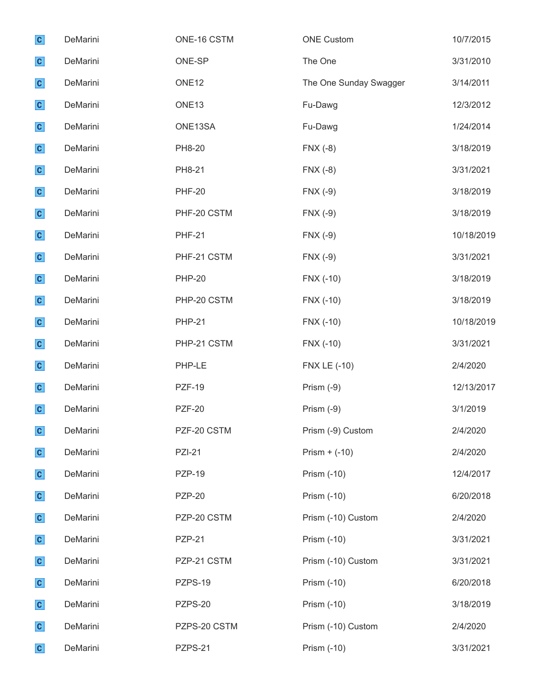| $\mathbf{c}$ | DeMarini | ONE-16 CSTM       | <b>ONE Custom</b>      | 10/7/2015  |
|--------------|----------|-------------------|------------------------|------------|
| $\mathbf{c}$ | DeMarini | ONE-SP            | The One                | 3/31/2010  |
| $\mathbf{c}$ | DeMarini | ONE <sub>12</sub> | The One Sunday Swagger | 3/14/2011  |
| $\mathbf{c}$ | DeMarini | ONE <sub>13</sub> | Fu-Dawg                | 12/3/2012  |
| $\mathbf{c}$ | DeMarini | ONE13SA           | Fu-Dawg                | 1/24/2014  |
| $\mathbf{c}$ | DeMarini | PH8-20            | $FNX(-8)$              | 3/18/2019  |
| $\mathbf{c}$ | DeMarini | PH8-21            | $FNX(-8)$              | 3/31/2021  |
| $\mathbf{c}$ | DeMarini | <b>PHF-20</b>     | $FNX(-9)$              | 3/18/2019  |
| $\mathbf{c}$ | DeMarini | PHF-20 CSTM       | $FNX(-9)$              | 3/18/2019  |
| $\mathbf{c}$ | DeMarini | <b>PHF-21</b>     | $FNX(-9)$              | 10/18/2019 |
| $\mathbf{c}$ | DeMarini | PHF-21 CSTM       | $FNX(-9)$              | 3/31/2021  |
| $\mathbf{c}$ | DeMarini | <b>PHP-20</b>     | FNX (-10)              | 3/18/2019  |
| $\mathbf{c}$ | DeMarini | PHP-20 CSTM       | FNX (-10)              | 3/18/2019  |
| $\mathbf{c}$ | DeMarini | <b>PHP-21</b>     | FNX (-10)              | 10/18/2019 |
| $\mathbf{c}$ | DeMarini | PHP-21 CSTM       | FNX (-10)              | 3/31/2021  |
| $\mathbf{c}$ | DeMarini | PHP-LE            | <b>FNX LE (-10)</b>    | 2/4/2020   |
| $\mathbf{c}$ | DeMarini | <b>PZF-19</b>     | Prism $(-9)$           | 12/13/2017 |
| $\mathbf{c}$ | DeMarini | <b>PZF-20</b>     | Prism (-9)             | 3/1/2019   |
| $\mathbf{c}$ | DeMarini | PZF-20 CSTM       | Prism (-9) Custom      | 2/4/2020   |
| $\mathbf{c}$ | DeMarini | <b>PZI-21</b>     | Prism $+$ (-10)        | 2/4/2020   |
| $\mathbf{c}$ | DeMarini | <b>PZP-19</b>     | Prism (-10)            | 12/4/2017  |
| $\mathbf{c}$ | DeMarini | <b>PZP-20</b>     | Prism (-10)            | 6/20/2018  |
| $\mathbf{c}$ | DeMarini | PZP-20 CSTM       | Prism (-10) Custom     | 2/4/2020   |
| $\mathbf{c}$ | DeMarini | <b>PZP-21</b>     | Prism (-10)            | 3/31/2021  |
| $\mathbf{c}$ | DeMarini | PZP-21 CSTM       | Prism (-10) Custom     | 3/31/2021  |
| $\mathbf{c}$ | DeMarini | PZPS-19           | Prism (-10)            | 6/20/2018  |
| $\mathbf{c}$ | DeMarini | PZPS-20           | Prism (-10)            | 3/18/2019  |
| $\mathbf{c}$ | DeMarini | PZPS-20 CSTM      | Prism (-10) Custom     | 2/4/2020   |
| $\mathbf{c}$ | DeMarini | PZPS-21           | Prism (-10)            | 3/31/2021  |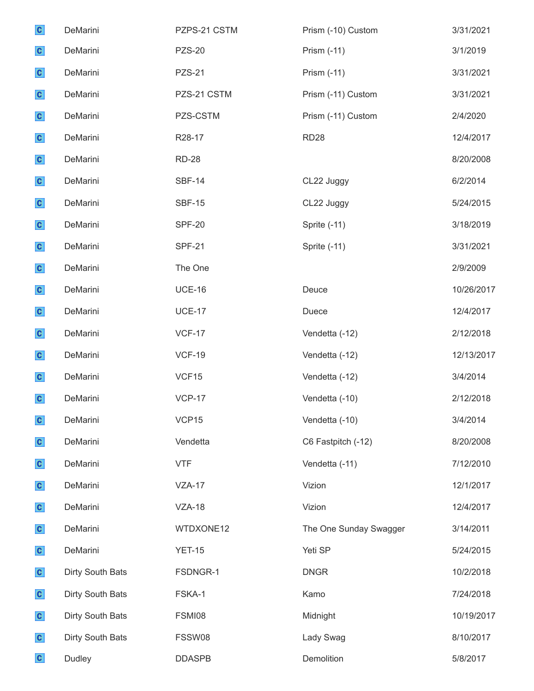| $\mathbf{c}$ | DeMarini         | PZPS-21 CSTM  | Prism (-10) Custom     | 3/31/2021  |
|--------------|------------------|---------------|------------------------|------------|
| $\mathbf{c}$ | DeMarini         | <b>PZS-20</b> | Prism (-11)            | 3/1/2019   |
| $\mathbf{c}$ | DeMarini         | <b>PZS-21</b> | Prism (-11)            | 3/31/2021  |
| $\mathbf{c}$ | DeMarini         | PZS-21 CSTM   | Prism (-11) Custom     | 3/31/2021  |
| $\mathbf{c}$ | DeMarini         | PZS-CSTM      | Prism (-11) Custom     | 2/4/2020   |
| $\mathbf{c}$ | DeMarini         | R28-17        | <b>RD28</b>            | 12/4/2017  |
| $\mathbf{c}$ | DeMarini         | <b>RD-28</b>  |                        | 8/20/2008  |
| $\mathbf{c}$ | DeMarini         | <b>SBF-14</b> | CL22 Juggy             | 6/2/2014   |
| $\mathbf{c}$ | DeMarini         | <b>SBF-15</b> | CL22 Juggy             | 5/24/2015  |
| $\mathbf{c}$ | DeMarini         | <b>SPF-20</b> | Sprite (-11)           | 3/18/2019  |
| $\mathbf{c}$ | DeMarini         | <b>SPF-21</b> | Sprite (-11)           | 3/31/2021  |
| $\mathbf{c}$ | DeMarini         | The One       |                        | 2/9/2009   |
| $\mathbf{c}$ | DeMarini         | <b>UCE-16</b> | Deuce                  | 10/26/2017 |
| $\mathbf{c}$ | DeMarini         | <b>UCE-17</b> | Duece                  | 12/4/2017  |
| $\mathbf{c}$ | DeMarini         | <b>VCF-17</b> | Vendetta (-12)         | 2/12/2018  |
| $\mathbf{c}$ | DeMarini         | <b>VCF-19</b> | Vendetta (-12)         | 12/13/2017 |
| $\mathbf{c}$ | DeMarini         | VCF15         | Vendetta (-12)         | 3/4/2014   |
| $\mathbf{c}$ | DeMarini         | <b>VCP-17</b> | Vendetta (-10)         | 2/12/2018  |
| $\mathbf{c}$ | DeMarini         | VCP15         | Vendetta (-10)         | 3/4/2014   |
| $\mathbf{c}$ | DeMarini         | Vendetta      | C6 Fastpitch (-12)     | 8/20/2008  |
| $\mathbf{c}$ | DeMarini         | <b>VTF</b>    | Vendetta (-11)         | 7/12/2010  |
| $\mathbf{c}$ | DeMarini         | $VZA-17$      | Vizion                 | 12/1/2017  |
| $\mathbf{c}$ | DeMarini         | <b>VZA-18</b> | Vizion                 | 12/4/2017  |
| $\mathbf{c}$ | DeMarini         | WTDXONE12     | The One Sunday Swagger | 3/14/2011  |
| $\mathbf{c}$ | DeMarini         | <b>YET-15</b> | Yeti SP                | 5/24/2015  |
| $\mathbf{c}$ | Dirty South Bats | FSDNGR-1      | <b>DNGR</b>            | 10/2/2018  |
| $\mathbf{c}$ | Dirty South Bats | FSKA-1        | Kamo                   | 7/24/2018  |
| $\mathbf{c}$ | Dirty South Bats | FSMI08        | Midnight               | 10/19/2017 |
| $\mathbf{c}$ | Dirty South Bats | FSSW08        | Lady Swag              | 8/10/2017  |
| $\mathbf{c}$ | Dudley           | <b>DDASPB</b> | Demolition             | 5/8/2017   |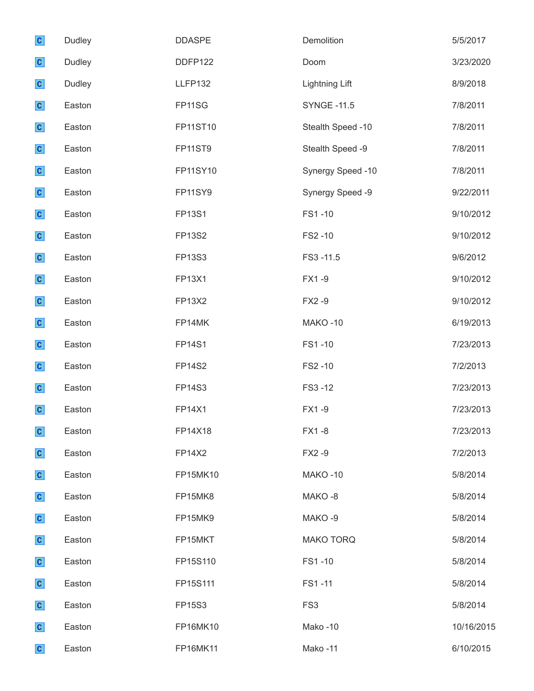| $\mathbf{c}$ | Dudley | <b>DDASPE</b>  | Demolition            | 5/5/2017   |
|--------------|--------|----------------|-----------------------|------------|
| $\mathbf{c}$ | Dudley | DDFP122        | Doom                  | 3/23/2020  |
| $\mathbf{c}$ | Dudley | <b>LLFP132</b> | <b>Lightning Lift</b> | 8/9/2018   |
| $\mathbf{c}$ | Easton | FP11SG         | <b>SYNGE -11.5</b>    | 7/8/2011   |
| $\mathbf{c}$ | Easton | FP11ST10       | Stealth Speed -10     | 7/8/2011   |
| $\mathbf{c}$ | Easton | <b>FP11ST9</b> | Stealth Speed -9      | 7/8/2011   |
| $\mathbf{c}$ | Easton | FP11SY10       | Synergy Speed -10     | 7/8/2011   |
| $\mathbf{c}$ | Easton | <b>FP11SY9</b> | Synergy Speed -9      | 9/22/2011  |
| $\mathbf{c}$ | Easton | <b>FP13S1</b>  | FS1-10                | 9/10/2012  |
| $\mathbf{c}$ | Easton | FP13S2         | FS2-10                | 9/10/2012  |
| $\mathbf{c}$ | Easton | FP13S3         | FS3-11.5              | 9/6/2012   |
| $\mathbf{c}$ | Easton | FP13X1         | FX1-9                 | 9/10/2012  |
| $\mathbf{c}$ | Easton | <b>FP13X2</b>  | FX2-9                 | 9/10/2012  |
| $\mathbf{c}$ | Easton | FP14MK         | <b>MAKO-10</b>        | 6/19/2013  |
| $\mathbf{c}$ | Easton | <b>FP14S1</b>  | FS1-10                | 7/23/2013  |
| $\mathbf{c}$ | Easton | <b>FP14S2</b>  | FS2-10                | 7/2/2013   |
| $\mathbf{c}$ | Easton | FP14S3         | FS3-12                | 7/23/2013  |
| $\mathbf{c}$ | Easton | <b>FP14X1</b>  | FX1-9                 | 7/23/2013  |
| $\mathbf{c}$ | Easton | FP14X18        | FX1-8                 | 7/23/2013  |
| $\mathbf{c}$ | Easton | <b>FP14X2</b>  | FX2-9                 | 7/2/2013   |
| $\mathbf{c}$ | Easton | FP15MK10       | MAKO-10               | 5/8/2014   |
| $\mathbf{c}$ | Easton | FP15MK8        | MAKO-8                | 5/8/2014   |
| $\mathbf{c}$ | Easton | FP15MK9        | MAKO-9                | 5/8/2014   |
| $\mathbf{c}$ | Easton | FP15MKT        | <b>MAKO TORQ</b>      | 5/8/2014   |
| $\mathbf{c}$ | Easton | FP15S110       | FS1-10                | 5/8/2014   |
| $\mathbf{c}$ | Easton | FP15S111       | FS1-11                | 5/8/2014   |
| $\mathbf{c}$ | Easton | <b>FP15S3</b>  | FS <sub>3</sub>       | 5/8/2014   |
| $\mathbf{c}$ | Easton | FP16MK10       | Mako-10               | 10/16/2015 |
| $\mathbf{c}$ | Easton | FP16MK11       | Mako-11               | 6/10/2015  |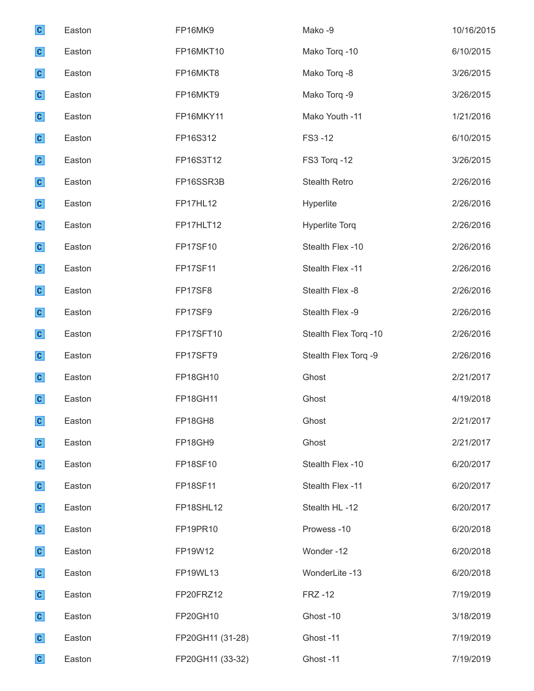| $\mathbf{c}$ | Easton | FP16MK9          | Mako-9                | 10/16/2015 |
|--------------|--------|------------------|-----------------------|------------|
| $\mathbf{c}$ | Easton | FP16MKT10        | Mako Torq -10         | 6/10/2015  |
| $\mathbf{c}$ | Easton | FP16MKT8         | Mako Torq -8          | 3/26/2015  |
| $\mathbf{c}$ | Easton | FP16MKT9         | Mako Torq -9          | 3/26/2015  |
| $\mathbf{c}$ | Easton | FP16MKY11        | Mako Youth -11        | 1/21/2016  |
| $\mathbf{c}$ | Easton | FP16S312         | FS3-12                | 6/10/2015  |
| $\mathbf{c}$ | Easton | FP16S3T12        | FS3 Torq -12          | 3/26/2015  |
| $\mathbf{c}$ | Easton | FP16SSR3B        | <b>Stealth Retro</b>  | 2/26/2016  |
| $\mathbf{c}$ | Easton | <b>FP17HL12</b>  | Hyperlite             | 2/26/2016  |
| $\mathbf{c}$ | Easton | FP17HLT12        | <b>Hyperlite Torq</b> | 2/26/2016  |
| $\mathbf{c}$ | Easton | FP17SF10         | Stealth Flex -10      | 2/26/2016  |
| $\mathbf{c}$ | Easton | <b>FP17SF11</b>  | Stealth Flex -11      | 2/26/2016  |
| $\mathbf{c}$ | Easton | FP17SF8          | Stealth Flex -8       | 2/26/2016  |
| $\mathbf{c}$ | Easton | FP17SF9          | Stealth Flex -9       | 2/26/2016  |
| $\mathbf{c}$ | Easton | FP17SFT10        | Stealth Flex Torq -10 | 2/26/2016  |
| $\mathbf{c}$ | Easton | FP17SFT9         | Stealth Flex Torq -9  | 2/26/2016  |
| $\mathbf{c}$ | Easton | FP18GH10         | Ghost                 | 2/21/2017  |
| $\mathbf{c}$ | Easton | <b>FP18GH11</b>  | Ghost                 | 4/19/2018  |
| $\mathbf{c}$ | Easton | FP18GH8          | Ghost                 | 2/21/2017  |
| $\mathbf{c}$ | Easton | FP18GH9          | Ghost                 | 2/21/2017  |
| $\mathbf{c}$ | Easton | FP18SF10         | Stealth Flex -10      | 6/20/2017  |
| $\mathbf{c}$ | Easton | FP18SF11         | Stealth Flex -11      | 6/20/2017  |
| $\mathbf{c}$ | Easton | FP18SHL12        | Stealth HL-12         | 6/20/2017  |
| $\mathbf{c}$ | Easton | FP19PR10         | Prowess-10            | 6/20/2018  |
| $\mathbf{c}$ | Easton | FP19W12          | Wonder-12             | 6/20/2018  |
| $\mathbf{c}$ | Easton | FP19WL13         | WonderLite -13        | 6/20/2018  |
| $\mathbf{c}$ | Easton | FP20FRZ12        | <b>FRZ-12</b>         | 7/19/2019  |
| $\mathbf{c}$ | Easton | FP20GH10         | Ghost-10              | 3/18/2019  |
| $\mathbf{c}$ | Easton | FP20GH11 (31-28) | Ghost-11              | 7/19/2019  |
| $\mathbf{c}$ | Easton | FP20GH11 (33-32) | Ghost-11              | 7/19/2019  |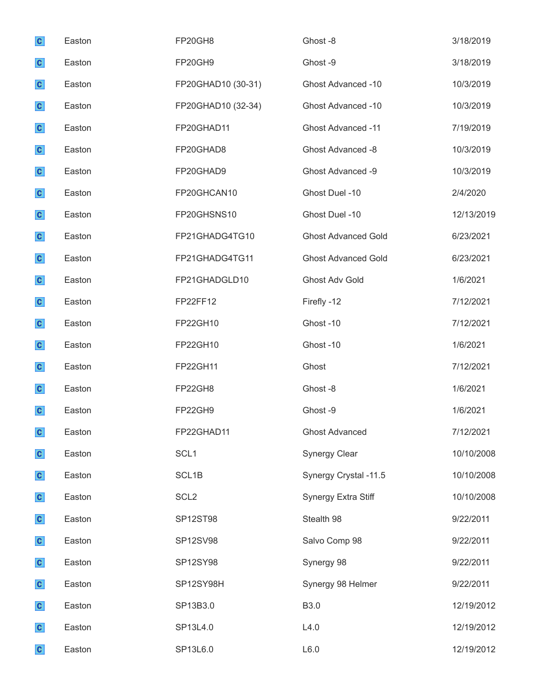| $\mathbf{c}$ | Easton | FP20GH8            | Ghost-8                    | 3/18/2019  |
|--------------|--------|--------------------|----------------------------|------------|
| $\mathbf{c}$ | Easton | FP20GH9            | Ghost-9                    | 3/18/2019  |
| $\mathbf{c}$ | Easton | FP20GHAD10 (30-31) | Ghost Advanced -10         | 10/3/2019  |
| $\mathbf{c}$ | Easton | FP20GHAD10 (32-34) | Ghost Advanced -10         | 10/3/2019  |
| $\mathbf{c}$ | Easton | FP20GHAD11         | <b>Ghost Advanced -11</b>  | 7/19/2019  |
| $\mathbf{c}$ | Easton | FP20GHAD8          | <b>Ghost Advanced -8</b>   | 10/3/2019  |
| $\mathbf{c}$ | Easton | FP20GHAD9          | Ghost Advanced -9          | 10/3/2019  |
| $\mathbf{c}$ | Easton | FP20GHCAN10        | Ghost Duel -10             | 2/4/2020   |
| $\mathbf{c}$ | Easton | FP20GHSNS10        | Ghost Duel -10             | 12/13/2019 |
| $\mathbf{c}$ | Easton | FP21GHADG4TG10     | <b>Ghost Advanced Gold</b> | 6/23/2021  |
| $\mathbf{c}$ | Easton | FP21GHADG4TG11     | <b>Ghost Advanced Gold</b> | 6/23/2021  |
| $\mathbf{c}$ | Easton | FP21GHADGLD10      | <b>Ghost Adv Gold</b>      | 1/6/2021   |
| $\mathbf{c}$ | Easton | FP22FF12           | Firefly -12                | 7/12/2021  |
| $\mathbf{c}$ | Easton | FP22GH10           | Ghost-10                   | 7/12/2021  |
| $\mathbf{c}$ | Easton | FP22GH10           | Ghost-10                   | 1/6/2021   |
| $\mathbf{c}$ | Easton | FP22GH11           | Ghost                      | 7/12/2021  |
| $\mathbf{c}$ | Easton | FP22GH8            | Ghost-8                    | 1/6/2021   |
| $\mathbf{c}$ | Easton | FP22GH9            | Ghost-9                    | 1/6/2021   |
| $\mathbf{c}$ | Easton | FP22GHAD11         | <b>Ghost Advanced</b>      | 7/12/2021  |
| $\mathbf{c}$ | Easton | SCL <sub>1</sub>   | <b>Synergy Clear</b>       | 10/10/2008 |
| $\mathbf{c}$ | Easton | SCL <sub>1B</sub>  | Synergy Crystal -11.5      | 10/10/2008 |
| $\mathbf{c}$ | Easton | SCL <sub>2</sub>   | Synergy Extra Stiff        | 10/10/2008 |
| $\mathbf{c}$ | Easton | SP12ST98           | Stealth 98                 | 9/22/2011  |
| $\mathbf{c}$ | Easton | SP12SV98           | Salvo Comp 98              | 9/22/2011  |
| $\mathbf{c}$ | Easton | SP12SY98           | Synergy 98                 | 9/22/2011  |
| $\mathbf{c}$ | Easton | SP12SY98H          | Synergy 98 Helmer          | 9/22/2011  |
| $\mathbf{c}$ | Easton | SP13B3.0           | <b>B3.0</b>                | 12/19/2012 |
| $\mathbf{c}$ | Easton | SP13L4.0           | L4.0                       | 12/19/2012 |
| $\mathbf{c}$ | Easton | SP13L6.0           | L6.0                       | 12/19/2012 |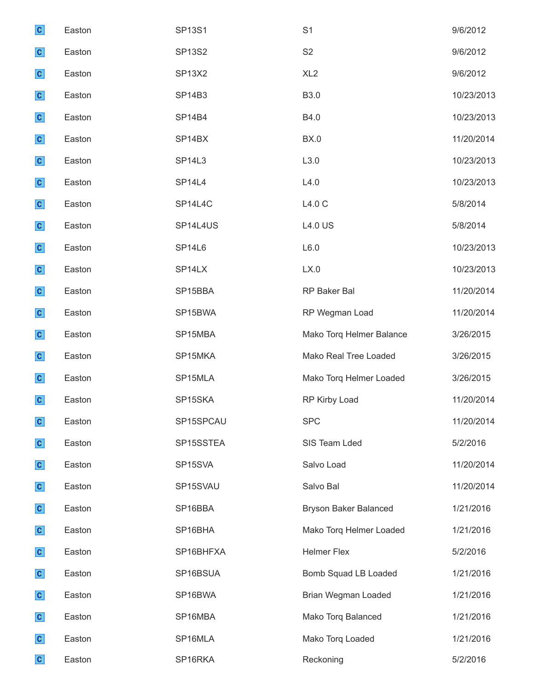| $\mathbf{c}$ | Easton | <b>SP13S1</b>      | S <sub>1</sub>               | 9/6/2012   |
|--------------|--------|--------------------|------------------------------|------------|
| $\mathbf{c}$ | Easton | <b>SP13S2</b>      | S <sub>2</sub>               | 9/6/2012   |
| $\mathbf{c}$ | Easton | <b>SP13X2</b>      | XL <sub>2</sub>              | 9/6/2012   |
| $\mathbf{c}$ | Easton | <b>SP14B3</b>      | B3.0                         | 10/23/2013 |
| $\mathbf{c}$ | Easton | <b>SP14B4</b>      | B4.0                         | 10/23/2013 |
| $\mathbf{c}$ | Easton | SP14BX             | <b>BX.0</b>                  | 11/20/2014 |
| $\mathbf{c}$ | Easton | <b>SP14L3</b>      | L3.0                         | 10/23/2013 |
| $\mathbf{c}$ | Easton | SP <sub>14L4</sub> | L4.0                         | 10/23/2013 |
| $\mathbf{c}$ | Easton | SP14L4C            | L4.0 C                       | 5/8/2014   |
| $\mathbf{c}$ | Easton | SP14L4US           | <b>L4.0 US</b>               | 5/8/2014   |
| $\mathbf{c}$ | Easton | SP14L6             | L6.0                         | 10/23/2013 |
| $\mathbf{c}$ | Easton | SP <sub>14LX</sub> | LX.0                         | 10/23/2013 |
| $\mathbf{c}$ | Easton | SP15BBA            | RP Baker Bal                 | 11/20/2014 |
| $\mathbf{c}$ | Easton | SP15BWA            | RP Wegman Load               | 11/20/2014 |
| $\mathbf{c}$ | Easton | SP15MBA            | Mako Torq Helmer Balance     | 3/26/2015  |
| $\mathbf{c}$ | Easton | SP15MKA            | Mako Real Tree Loaded        | 3/26/2015  |
| $\mathbf{c}$ | Easton | SP15MLA            | Mako Torq Helmer Loaded      | 3/26/2015  |
| $\mathbf{c}$ | Easton | SP15SKA            | RP Kirby Load                | 11/20/2014 |
| $\mathbf{C}$ | Easton | SP15SPCAU          | <b>SPC</b>                   | 11/20/2014 |
| $\mathbf{c}$ | Easton | SP15SSTEA          | SIS Team Lded                | 5/2/2016   |
| $\mathbf{c}$ | Easton | SP15SVA            | Salvo Load                   | 11/20/2014 |
| $\mathbf{c}$ | Easton | SP15SVAU           | Salvo Bal                    | 11/20/2014 |
| $\mathbf{c}$ | Easton | SP16BBA            | <b>Bryson Baker Balanced</b> | 1/21/2016  |
| $\mathbf{c}$ | Easton | SP16BHA            | Mako Torq Helmer Loaded      | 1/21/2016  |
| $\mathbf{c}$ | Easton | SP16BHFXA          | <b>Helmer Flex</b>           | 5/2/2016   |
| $\mathbf{c}$ | Easton | SP16BSUA           | <b>Bomb Squad LB Loaded</b>  | 1/21/2016  |
| $\mathbf{c}$ | Easton | SP16BWA            | Brian Wegman Loaded          | 1/21/2016  |
| $\mathbf{c}$ | Easton | SP16MBA            | Mako Torq Balanced           | 1/21/2016  |
| $\mathbf{c}$ | Easton | SP16MLA            | Mako Torq Loaded             | 1/21/2016  |
| $\mathbf{c}$ | Easton | SP16RKA            | Reckoning                    | 5/2/2016   |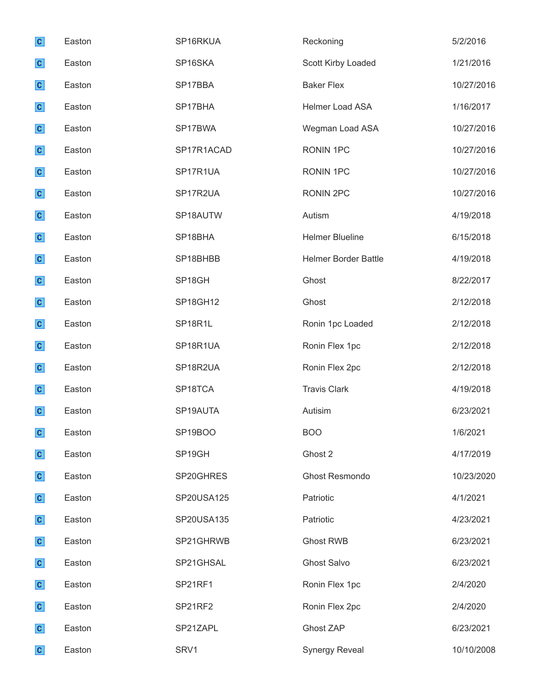| $\mathbf{c}$ | Easton | SP16RKUA        | Reckoning                   | 5/2/2016   |
|--------------|--------|-----------------|-----------------------------|------------|
| $\mathbf{c}$ | Easton | SP16SKA         | Scott Kirby Loaded          | 1/21/2016  |
| $\mathbf{c}$ | Easton | SP17BBA         | <b>Baker Flex</b>           | 10/27/2016 |
| $\mathbf{c}$ | Easton | SP17BHA         | Helmer Load ASA             | 1/16/2017  |
| $\mathbf{c}$ | Easton | SP17BWA         | Wegman Load ASA             | 10/27/2016 |
| $\mathbf{c}$ | Easton | SP17R1ACAD      | RONIN 1PC                   | 10/27/2016 |
| $\mathbf{c}$ | Easton | SP17R1UA        | RONIN 1PC                   | 10/27/2016 |
| $\mathbf{c}$ | Easton | SP17R2UA        | <b>RONIN 2PC</b>            | 10/27/2016 |
| $\mathbf{c}$ | Easton | SP18AUTW        | Autism                      | 4/19/2018  |
| $\mathbf{c}$ | Easton | SP18BHA         | <b>Helmer Blueline</b>      | 6/15/2018  |
| $\mathbf{c}$ | Easton | SP18BHBB        | <b>Helmer Border Battle</b> | 4/19/2018  |
| $\mathbf{c}$ | Easton | SP18GH          | Ghost                       | 8/22/2017  |
| $\mathbf{c}$ | Easton | <b>SP18GH12</b> | Ghost                       | 2/12/2018  |
| $\mathbf{c}$ | Easton | SP18R1L         | Ronin 1pc Loaded            | 2/12/2018  |
| $\mathbf{c}$ | Easton | SP18R1UA        | Ronin Flex 1pc              | 2/12/2018  |
| $\mathbf{c}$ | Easton | SP18R2UA        | Ronin Flex 2pc              | 2/12/2018  |
| $\mathbf{c}$ | Easton | SP18TCA         | <b>Travis Clark</b>         | 4/19/2018  |
| $\mathbf{c}$ | Easton | SP19AUTA        | Autisim                     | 6/23/2021  |
| $\mathbf{C}$ | Easton | SP19BOO         | <b>BOO</b>                  | 1/6/2021   |
| $\mathbf{c}$ | Easton | SP19GH          | Ghost 2                     | 4/17/2019  |
| $\mathbf{c}$ | Easton | SP20GHRES       | Ghost Resmondo              | 10/23/2020 |
| $\mathbf{c}$ | Easton | SP20USA125      | Patriotic                   | 4/1/2021   |
| $\mathbf{c}$ | Easton | SP20USA135      | Patriotic                   | 4/23/2021  |
| $\mathbf{c}$ | Easton | SP21GHRWB       | <b>Ghost RWB</b>            | 6/23/2021  |
| $\mathbf{c}$ | Easton | SP21GHSAL       | <b>Ghost Salvo</b>          | 6/23/2021  |
| $\mathbf{c}$ | Easton | SP21RF1         | Ronin Flex 1pc              | 2/4/2020   |
| $\mathbf{c}$ | Easton | SP21RF2         | Ronin Flex 2pc              | 2/4/2020   |
| $\mathbf{c}$ | Easton | SP21ZAPL        | Ghost ZAP                   | 6/23/2021  |
| $\mathbf{C}$ | Easton | SRV1            | <b>Synergy Reveal</b>       | 10/10/2008 |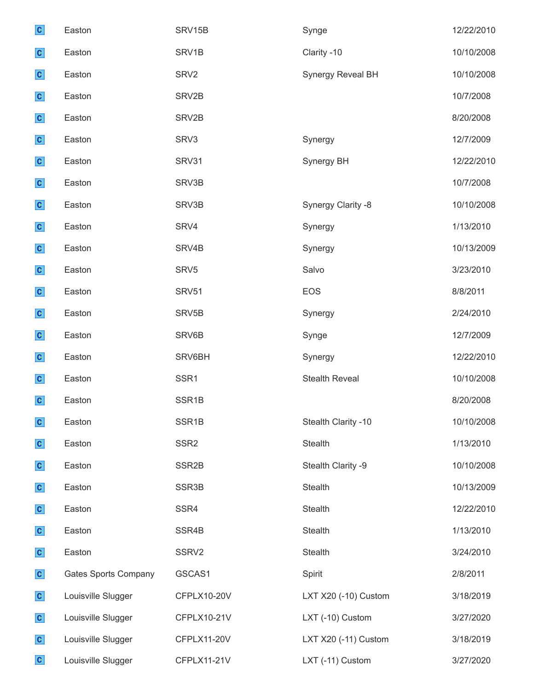| $\mathbf{c}$ | Easton                      | SRV15B             | Synge                 | 12/22/2010 |
|--------------|-----------------------------|--------------------|-----------------------|------------|
| $\mathbf{c}$ | Easton                      | SRV1B              | Clarity -10           | 10/10/2008 |
| $\mathbf{c}$ | Easton                      | SRV <sub>2</sub>   | Synergy Reveal BH     | 10/10/2008 |
| $\mathbf{c}$ | Easton                      | SRV2B              |                       | 10/7/2008  |
| $\mathbf{c}$ | Easton                      | SRV2B              |                       | 8/20/2008  |
| $\mathbf{c}$ | Easton                      | SRV3               | Synergy               | 12/7/2009  |
| $\mathbf{c}$ | Easton                      | SRV31              | Synergy BH            | 12/22/2010 |
| $\mathbf{c}$ | Easton                      | SRV3B              |                       | 10/7/2008  |
| $\mathbf{c}$ | Easton                      | SRV3B              | Synergy Clarity -8    | 10/10/2008 |
| $\mathbf{c}$ | Easton                      | SRV4               | Synergy               | 1/13/2010  |
| $\mathbf{c}$ | Easton                      | SRV4B              | Synergy               | 10/13/2009 |
| $\mathbf{c}$ | Easton                      | SRV <sub>5</sub>   | Salvo                 | 3/23/2010  |
| $\mathbf{c}$ | Easton                      | SRV51              | <b>EOS</b>            | 8/8/2011   |
| $\mathbf{c}$ | Easton                      | SRV <sub>5</sub> B | Synergy               | 2/24/2010  |
| $\mathbf{c}$ | Easton                      | SRV6B              | Synge                 | 12/7/2009  |
| $\mathbf{c}$ | Easton                      | SRV6BH             | Synergy               | 12/22/2010 |
| $\mathbf{c}$ | Easton                      | SSR1               | <b>Stealth Reveal</b> | 10/10/2008 |
| $\mathbf{c}$ | Easton                      | SSR <sub>1B</sub>  |                       | 8/20/2008  |
| $\mathbf{c}$ | Easton                      | SSR <sub>1B</sub>  | Stealth Clarity -10   | 10/10/2008 |
| $\mathbf{c}$ | Easton                      | SSR <sub>2</sub>   | Stealth               | 1/13/2010  |
| $\mathbf{c}$ | Easton                      | SSR <sub>2B</sub>  | Stealth Clarity -9    | 10/10/2008 |
| $\mathbf{c}$ | Easton                      | SSR <sub>3</sub> B | Stealth               | 10/13/2009 |
| $\mathbf{c}$ | Easton                      | SSR4               | Stealth               | 12/22/2010 |
| $\mathbf{c}$ | Easton                      | SSR4B              | Stealth               | 1/13/2010  |
| $\mathbf{c}$ | Easton                      | SSRV2              | Stealth               | 3/24/2010  |
| $\mathbf{c}$ | <b>Gates Sports Company</b> | GSCAS1             | Spirit                | 2/8/2011   |
| $\mathbf{c}$ | Louisville Slugger          | CFPLX10-20V        | LXT X20 (-10) Custom  | 3/18/2019  |
| $\mathbf{c}$ | Louisville Slugger          | CFPLX10-21V        | LXT (-10) Custom      | 3/27/2020  |
| $\mathbf{c}$ | Louisville Slugger          | CFPLX11-20V        | LXT X20 (-11) Custom  | 3/18/2019  |
| $\mathbf{c}$ | Louisville Slugger          | CFPLX11-21V        | LXT (-11) Custom      | 3/27/2020  |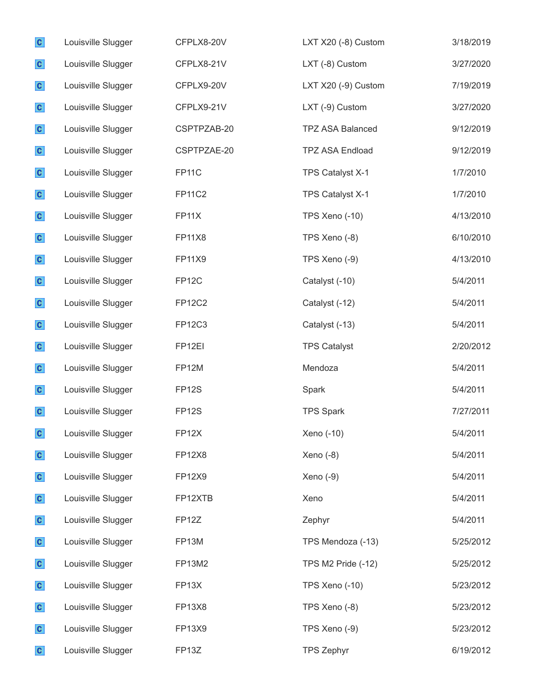| $\mathbf{c}$ | Louisville Slugger | CFPLX8-20V         | LXT X20 (-8) Custom     | 3/18/2019 |
|--------------|--------------------|--------------------|-------------------------|-----------|
| $\mathbf{c}$ | Louisville Slugger | CFPLX8-21V         | LXT (-8) Custom         | 3/27/2020 |
| $\mathbf{c}$ | Louisville Slugger | CFPLX9-20V         | LXT X20 (-9) Custom     | 7/19/2019 |
| $\mathbf{c}$ | Louisville Slugger | CFPLX9-21V         | LXT (-9) Custom         | 3/27/2020 |
| $\mathbf{c}$ | Louisville Slugger | CSPTPZAB-20        | <b>TPZ ASA Balanced</b> | 9/12/2019 |
| $\mathbf{c}$ | Louisville Slugger | CSPTPZAE-20        | <b>TPZ ASA Endload</b>  | 9/12/2019 |
| $\mathbf{c}$ | Louisville Slugger | FP <sub>11</sub> C | TPS Catalyst X-1        | 1/7/2010  |
| $\mathbf{c}$ | Louisville Slugger | <b>FP11C2</b>      | TPS Catalyst X-1        | 1/7/2010  |
| $\mathbf{c}$ | Louisville Slugger | <b>FP11X</b>       | TPS Xeno (-10)          | 4/13/2010 |
| $\mathbf{c}$ | Louisville Slugger | <b>FP11X8</b>      | TPS Xeno (-8)           | 6/10/2010 |
| $\mathbf{c}$ | Louisville Slugger | <b>FP11X9</b>      | TPS Xeno (-9)           | 4/13/2010 |
| $\mathbf{c}$ | Louisville Slugger | FP <sub>12</sub> C | Catalyst (-10)          | 5/4/2011  |
| $\mathbf{c}$ | Louisville Slugger | <b>FP12C2</b>      | Catalyst (-12)          | 5/4/2011  |
| $\mathbf{c}$ | Louisville Slugger | FP12C3             | Catalyst (-13)          | 5/4/2011  |
| $\mathbf{c}$ | Louisville Slugger | FP <sub>12EI</sub> | <b>TPS Catalyst</b>     | 2/20/2012 |
| $\mathbf{c}$ | Louisville Slugger | FP12M              | Mendoza                 | 5/4/2011  |
| $\mathbf{c}$ | Louisville Slugger | FP <sub>12</sub> S | Spark                   | 5/4/2011  |
| $\mathbf{c}$ | Louisville Slugger | FP <sub>12</sub> S | <b>TPS Spark</b>        | 7/27/2011 |
| $\mathbf{c}$ | Louisville Slugger | FP <sub>12</sub> X | Xeno (-10)              | 5/4/2011  |
| $\mathbf{c}$ | Louisville Slugger | <b>FP12X8</b>      | Xeno $(-8)$             | 5/4/2011  |
| $\mathbf{c}$ | Louisville Slugger | FP12X9             | $Xeno(-9)$              | 5/4/2011  |
| $\mathbf{c}$ | Louisville Slugger | FP12XTB            | Xeno                    | 5/4/2011  |
| $\mathbf{c}$ | Louisville Slugger | FP12Z              | Zephyr                  | 5/4/2011  |
| $\mathbf{c}$ | Louisville Slugger | FP13M              | TPS Mendoza (-13)       | 5/25/2012 |
| $\mathbf{c}$ | Louisville Slugger | FP13M2             | TPS M2 Pride (-12)      | 5/25/2012 |
| $\mathbf{c}$ | Louisville Slugger | FP <sub>13</sub> X | TPS Xeno (-10)          | 5/23/2012 |
| $\mathbf{c}$ | Louisville Slugger | <b>FP13X8</b>      | TPS Xeno (-8)           | 5/23/2012 |
| $\mathbf{c}$ | Louisville Slugger | FP13X9             | TPS Xeno (-9)           | 5/23/2012 |
| $\mathbf{c}$ | Louisville Slugger | FP13Z              | <b>TPS Zephyr</b>       | 6/19/2012 |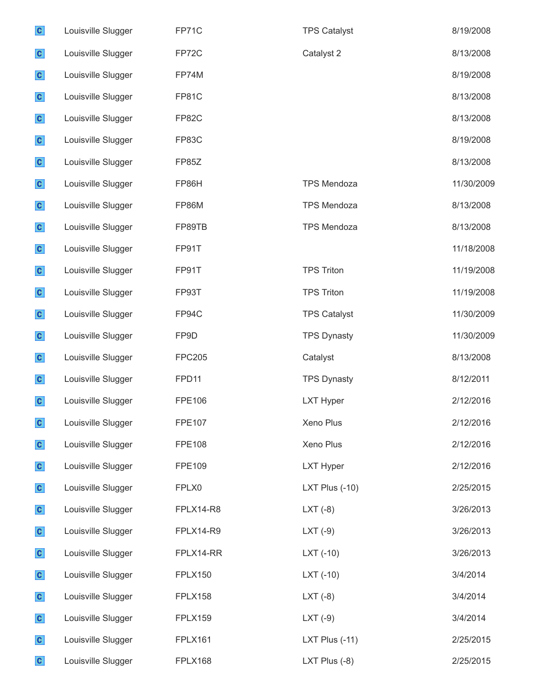| $\mathbf{c}$ | Louisville Slugger | FP71C          | <b>TPS Catalyst</b> | 8/19/2008  |
|--------------|--------------------|----------------|---------------------|------------|
| $\mathbf{c}$ | Louisville Slugger | FP72C          | Catalyst 2          | 8/13/2008  |
| $\mathbf{c}$ | Louisville Slugger | FP74M          |                     | 8/19/2008  |
| $\mathbf{c}$ | Louisville Slugger | FP81C          |                     | 8/13/2008  |
| $\mathbf{c}$ | Louisville Slugger | FP82C          |                     | 8/13/2008  |
| $\mathbf{c}$ | Louisville Slugger | FP83C          |                     | 8/19/2008  |
| $\mathbf{c}$ | Louisville Slugger | FP85Z          |                     | 8/13/2008  |
| $\mathbf{c}$ | Louisville Slugger | FP86H          | <b>TPS Mendoza</b>  | 11/30/2009 |
| $\mathbf{c}$ | Louisville Slugger | FP86M          | <b>TPS Mendoza</b>  | 8/13/2008  |
| $\mathbf{c}$ | Louisville Slugger | FP89TB         | <b>TPS Mendoza</b>  | 8/13/2008  |
| $\mathbf{c}$ | Louisville Slugger | FP91T          |                     | 11/18/2008 |
| $\mathbf{c}$ | Louisville Slugger | FP91T          | <b>TPS Triton</b>   | 11/19/2008 |
| $\mathbf{c}$ | Louisville Slugger | FP93T          | <b>TPS Triton</b>   | 11/19/2008 |
| $\mathbf{c}$ | Louisville Slugger | FP94C          | <b>TPS Catalyst</b> | 11/30/2009 |
| $\mathbf{c}$ | Louisville Slugger | FP9D           | <b>TPS Dynasty</b>  | 11/30/2009 |
| $\mathbf{c}$ | Louisville Slugger | <b>FPC205</b>  | Catalyst            | 8/13/2008  |
| $\mathbf{c}$ | Louisville Slugger | FPD11          | <b>TPS Dynasty</b>  | 8/12/2011  |
| $\mathbf{c}$ | Louisville Slugger | <b>FPE106</b>  | <b>LXT Hyper</b>    | 2/12/2016  |
| $\mathbf{c}$ | Louisville Slugger | <b>FPE107</b>  | Xeno Plus           | 2/12/2016  |
| $\mathbf{c}$ | Louisville Slugger | <b>FPE108</b>  | Xeno Plus           | 2/12/2016  |
| $\mathbf{c}$ | Louisville Slugger | FPE109         | <b>LXT Hyper</b>    | 2/12/2016  |
| $\mathbf{c}$ | Louisville Slugger | FPLX0          | LXT Plus (-10)      | 2/25/2015  |
| $\mathbf{c}$ | Louisville Slugger | FPLX14-R8      | $LXT(-8)$           | 3/26/2013  |
| $\mathbf{c}$ | Louisville Slugger | FPLX14-R9      | $LXT(-9)$           | 3/26/2013  |
| $\mathbf{c}$ | Louisville Slugger | FPLX14-RR      | $LXT(-10)$          | 3/26/2013  |
| $\mathbf{c}$ | Louisville Slugger | <b>FPLX150</b> | $LXT(-10)$          | 3/4/2014   |
| $\mathbf{c}$ | Louisville Slugger | FPLX158        | $LXT(-8)$           | 3/4/2014   |
| $\mathbf{c}$ | Louisville Slugger | <b>FPLX159</b> | $LXT(-9)$           | 3/4/2014   |
| $\mathbf{c}$ | Louisville Slugger | FPLX161        | LXT Plus (-11)      | 2/25/2015  |
| $\mathbf{c}$ | Louisville Slugger | <b>FPLX168</b> | LXT Plus (-8)       | 2/25/2015  |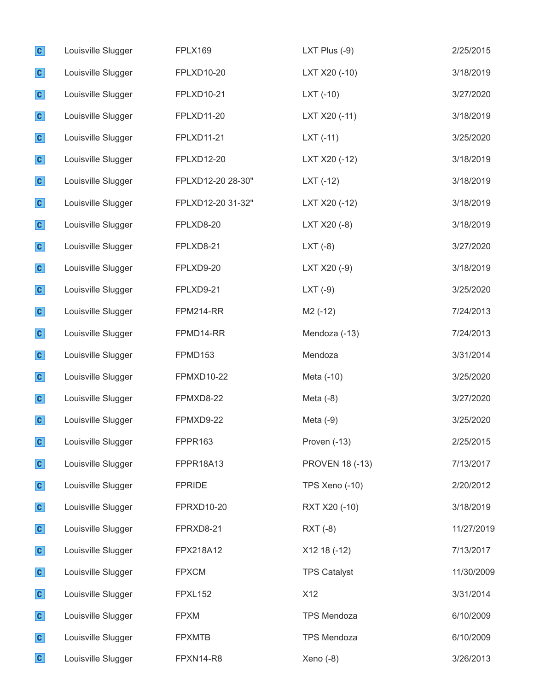| $\mathbf{c}$ | Louisville Slugger | <b>FPLX169</b>    | LXT Plus $(-9)$        | 2/25/2015  |
|--------------|--------------------|-------------------|------------------------|------------|
| $\mathbf{c}$ | Louisville Slugger | FPLXD10-20        | LXT X20 (-10)          | 3/18/2019  |
| $\mathbf{c}$ | Louisville Slugger | FPLXD10-21        | $LXT(-10)$             | 3/27/2020  |
| $\mathbf{c}$ | Louisville Slugger | FPLXD11-20        | LXT X20 (-11)          | 3/18/2019  |
| $\mathbf{c}$ | Louisville Slugger | FPLXD11-21        | $LXT(-11)$             | 3/25/2020  |
| $\mathbf{c}$ | Louisville Slugger | FPLXD12-20        | LXT X20 (-12)          | 3/18/2019  |
| $\mathbf{c}$ | Louisville Slugger | FPLXD12-20 28-30" | $LXT(-12)$             | 3/18/2019  |
| $\mathbf{c}$ | Louisville Slugger | FPLXD12-20 31-32" | LXT X20 (-12)          | 3/18/2019  |
| $\mathbf{c}$ | Louisville Slugger | FPLXD8-20         | LXT X20 (-8)           | 3/18/2019  |
| $\mathbf{c}$ | Louisville Slugger | FPLXD8-21         | $LXT(-8)$              | 3/27/2020  |
| $\mathbf{c}$ | Louisville Slugger | FPLXD9-20         | LXT X20 (-9)           | 3/18/2019  |
| $\mathbf{c}$ | Louisville Slugger | FPLXD9-21         | $LXT(-9)$              | 3/25/2020  |
| $\mathbf{c}$ | Louisville Slugger | <b>FPM214-RR</b>  | M2 (-12)               | 7/24/2013  |
| $\mathbf{c}$ | Louisville Slugger | FPMD14-RR         | Mendoza (-13)          | 7/24/2013  |
| $\mathbf{c}$ | Louisville Slugger | FPMD153           | Mendoza                | 3/31/2014  |
| $\mathbf{c}$ | Louisville Slugger | <b>FPMXD10-22</b> | Meta (-10)             | 3/25/2020  |
| $\mathbf{c}$ | Louisville Slugger | FPMXD8-22         | Meta $(-8)$            | 3/27/2020  |
| $\mathbf{c}$ | Louisville Slugger | FPMXD9-22         | Meta $(-9)$            | 3/25/2020  |
| $\mathbf{c}$ | Louisville Slugger | FPPR163           | Proven (-13)           | 2/25/2015  |
| $\mathbf{c}$ | Louisville Slugger | FPPR18A13         | <b>PROVEN 18 (-13)</b> | 7/13/2017  |
| $\mathbf{c}$ | Louisville Slugger | <b>FPRIDE</b>     | TPS Xeno (-10)         | 2/20/2012  |
| $\mathbf{c}$ | Louisville Slugger | <b>FPRXD10-20</b> | RXT X20 (-10)          | 3/18/2019  |
| $\mathbf{c}$ | Louisville Slugger | FPRXD8-21         | RXT (-8)               | 11/27/2019 |
| $\mathbf{c}$ | Louisville Slugger | FPX218A12         | X12 18 (-12)           | 7/13/2017  |
| $\mathbf{c}$ | Louisville Slugger | <b>FPXCM</b>      | <b>TPS Catalyst</b>    | 11/30/2009 |
| $\mathbf{c}$ | Louisville Slugger | FPXL152           | X12                    | 3/31/2014  |
| $\mathbf{c}$ | Louisville Slugger | <b>FPXM</b>       | <b>TPS Mendoza</b>     | 6/10/2009  |
| $\mathbf{c}$ | Louisville Slugger | <b>FPXMTB</b>     | <b>TPS Mendoza</b>     | 6/10/2009  |
| $\mathbf{C}$ | Louisville Slugger | FPXN14-R8         | Xeno $(-8)$            | 3/26/2013  |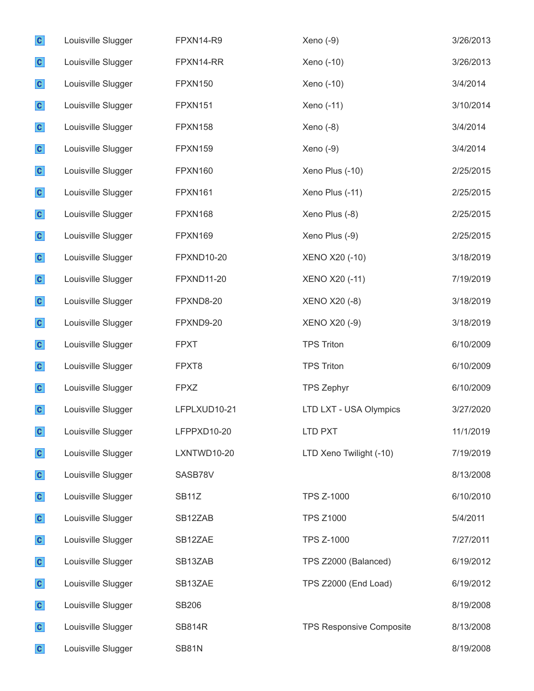| $\mathbf{c}$ | Louisville Slugger | FPXN14-R9          | Xeno (-9)                       | 3/26/2013 |
|--------------|--------------------|--------------------|---------------------------------|-----------|
| $\mathbf{c}$ | Louisville Slugger | FPXN14-RR          | Xeno (-10)                      | 3/26/2013 |
| $\mathbf{c}$ | Louisville Slugger | <b>FPXN150</b>     | Xeno (-10)                      | 3/4/2014  |
| $\mathbf{c}$ | Louisville Slugger | <b>FPXN151</b>     | Xeno (-11)                      | 3/10/2014 |
| $\mathbf{c}$ | Louisville Slugger | <b>FPXN158</b>     | Xeno (-8)                       | 3/4/2014  |
| $\mathbf{c}$ | Louisville Slugger | FPXN159            | Xeno (-9)                       | 3/4/2014  |
| $\mathbf{c}$ | Louisville Slugger | FPXN160            | Xeno Plus (-10)                 | 2/25/2015 |
| $\mathbf{c}$ | Louisville Slugger | <b>FPXN161</b>     | Xeno Plus (-11)                 | 2/25/2015 |
| $\mathbf{C}$ | Louisville Slugger | FPXN168            | Xeno Plus (-8)                  | 2/25/2015 |
| $\mathbf{c}$ | Louisville Slugger | FPXN169            | Xeno Plus (-9)                  | 2/25/2015 |
| $\mathbf{c}$ | Louisville Slugger | <b>FPXND10-20</b>  | <b>XENO X20 (-10)</b>           | 3/18/2019 |
| $\mathbf{c}$ | Louisville Slugger | <b>FPXND11-20</b>  | <b>XENO X20 (-11)</b>           | 7/19/2019 |
| $\mathbf{c}$ | Louisville Slugger | FPXND8-20          | <b>XENO X20 (-8)</b>            | 3/18/2019 |
| $\mathbf{c}$ | Louisville Slugger | FPXND9-20          | <b>XENO X20 (-9)</b>            | 3/18/2019 |
| $\mathbf{c}$ | Louisville Slugger | <b>FPXT</b>        | <b>TPS Triton</b>               | 6/10/2009 |
| $\mathbf{c}$ | Louisville Slugger | FPXT8              | <b>TPS Triton</b>               | 6/10/2009 |
| $\mathbf{c}$ | Louisville Slugger | <b>FPXZ</b>        | <b>TPS Zephyr</b>               | 6/10/2009 |
| $\mathbf{c}$ | Louisville Slugger | LFPLXUD10-21       | LTD LXT - USA Olympics          | 3/27/2020 |
| $\mathbf{C}$ | Louisville Slugger | LFPPXD10-20        | LTD PXT                         | 11/1/2019 |
| $\mathbf{c}$ | Louisville Slugger | LXNTWD10-20        | LTD Xeno Twilight (-10)         | 7/19/2019 |
| $\mathbf{c}$ | Louisville Slugger | SASB78V            |                                 | 8/13/2008 |
| $\mathbf{c}$ | Louisville Slugger | SB <sub>11</sub> Z | <b>TPS Z-1000</b>               | 6/10/2010 |
| $\mathbf{c}$ | Louisville Slugger | SB12ZAB            | <b>TPS Z1000</b>                | 5/4/2011  |
| $\mathbf{c}$ | Louisville Slugger | SB12ZAE            | <b>TPS Z-1000</b>               | 7/27/2011 |
| $\mathbf{c}$ | Louisville Slugger | SB13ZAB            | TPS Z2000 (Balanced)            | 6/19/2012 |
| $\mathbf{c}$ | Louisville Slugger | SB13ZAE            | TPS Z2000 (End Load)            | 6/19/2012 |
| $\mathbf{c}$ | Louisville Slugger | <b>SB206</b>       |                                 | 8/19/2008 |
| $\mathbf{c}$ | Louisville Slugger | <b>SB814R</b>      | <b>TPS Responsive Composite</b> | 8/13/2008 |
| $\mathbf{c}$ | Louisville Slugger | <b>SB81N</b>       |                                 | 8/19/2008 |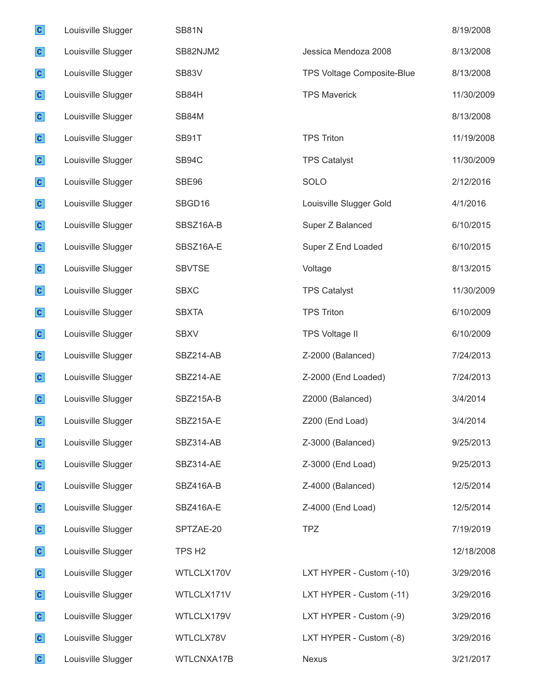| $\mathbf{c}$ | Louisville Slugger | <b>SB81N</b>       |                            | 8/19/2008  |
|--------------|--------------------|--------------------|----------------------------|------------|
| $\mathbf{c}$ | Louisville Slugger | SB82NJM2           | Jessica Mendoza 2008       | 8/13/2008  |
| $\mathbf{c}$ | Louisville Slugger | SB83V              | TPS Voltage Composite-Blue | 8/13/2008  |
| $\mathbf{c}$ | Louisville Slugger | SB84H              | <b>TPS Maverick</b>        | 11/30/2009 |
| $\mathbf{c}$ | Louisville Slugger | SB84M              |                            | 8/13/2008  |
| $\mathbf{c}$ | Louisville Slugger | SB91T              | <b>TPS Triton</b>          | 11/19/2008 |
| $\mathbf{c}$ | Louisville Slugger | SB94C              | <b>TPS Catalyst</b>        | 11/30/2009 |
| $\mathbf{c}$ | Louisville Slugger | SBE96              | SOLO                       | 2/12/2016  |
| $\mathbf{C}$ | Louisville Slugger | SBGD16             | Louisville Slugger Gold    | 4/1/2016   |
| $\mathbf{c}$ | Louisville Slugger | SBSZ16A-B          | Super Z Balanced           | 6/10/2015  |
| $\mathbf{c}$ | Louisville Slugger | SBSZ16A-E          | Super Z End Loaded         | 6/10/2015  |
| $\mathbf{c}$ | Louisville Slugger | <b>SBVTSE</b>      | Voltage                    | 8/13/2015  |
| $\mathbf{c}$ | Louisville Slugger | <b>SBXC</b>        | <b>TPS Catalyst</b>        | 11/30/2009 |
| $\mathbf{c}$ | Louisville Slugger | <b>SBXTA</b>       | <b>TPS Triton</b>          | 6/10/2009  |
| $\mathbf{c}$ | Louisville Slugger | <b>SBXV</b>        | <b>TPS Voltage II</b>      | 6/10/2009  |
| $\mathbf{c}$ | Louisville Slugger | SBZ214-AB          | Z-2000 (Balanced)          | 7/24/2013  |
| $\mathbf{c}$ | Louisville Slugger | SBZ214-AE          | Z-2000 (End Loaded)        | 7/24/2013  |
| $\mathbf{c}$ | Louisville Slugger | SBZ215A-B          | Z2000 (Balanced)           | 3/4/2014   |
| $\mathbf{C}$ | Louisville Slugger | SBZ215A-E          | Z200 (End Load)            | 3/4/2014   |
| $\mathbf{c}$ | Louisville Slugger | SBZ314-AB          | Z-3000 (Balanced)          | 9/25/2013  |
| $\mathbf{c}$ | Louisville Slugger | SBZ314-AE          | Z-3000 (End Load)          | 9/25/2013  |
| $\mathbf{c}$ | Louisville Slugger | SBZ416A-B          | Z-4000 (Balanced)          | 12/5/2014  |
| $\mathbf{c}$ | Louisville Slugger | SBZ416A-E          | Z-4000 (End Load)          | 12/5/2014  |
| $\mathbf{c}$ | Louisville Slugger | SPTZAE-20          | <b>TPZ</b>                 | 7/19/2019  |
| $\mathbf{c}$ | Louisville Slugger | TPS H <sub>2</sub> |                            | 12/18/2008 |
| $\mathbf{c}$ | Louisville Slugger | WTLCLX170V         | LXT HYPER - Custom (-10)   | 3/29/2016  |
| $\mathbf{c}$ | Louisville Slugger | WTLCLX171V         | LXT HYPER - Custom (-11)   | 3/29/2016  |
| $\mathbf{c}$ | Louisville Slugger | WTLCLX179V         | LXT HYPER - Custom (-9)    | 3/29/2016  |
| $\mathbf{c}$ | Louisville Slugger | WTLCLX78V          | LXT HYPER - Custom (-8)    | 3/29/2016  |
| $\mathbf{c}$ | Louisville Slugger | WTLCNXA17B         | Nexus                      | 3/21/2017  |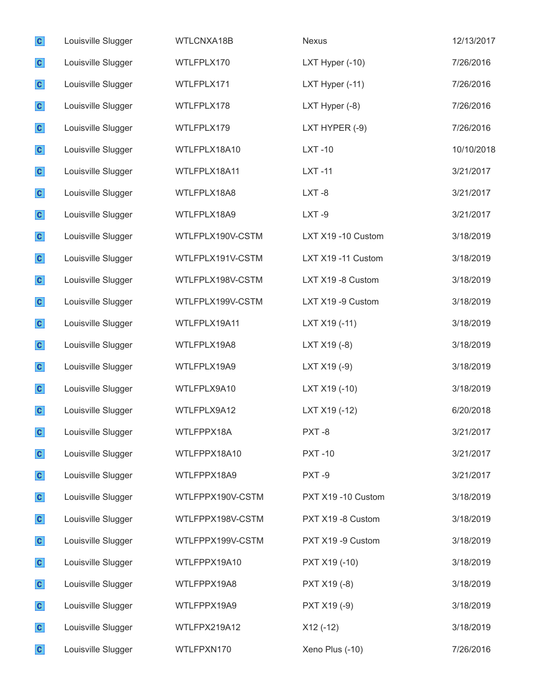| $\mathbf{c}$ | Louisville Slugger | WTLCNXA18B       | <b>Nexus</b>       | 12/13/2017 |
|--------------|--------------------|------------------|--------------------|------------|
| $\mathbf{c}$ | Louisville Slugger | WTLFPLX170       | LXT Hyper (-10)    | 7/26/2016  |
| $\mathbf{c}$ | Louisville Slugger | WTLFPLX171       | LXT Hyper (-11)    | 7/26/2016  |
| $\mathbf{c}$ | Louisville Slugger | WTLFPLX178       | LXT Hyper (-8)     | 7/26/2016  |
| $\mathbf{c}$ | Louisville Slugger | WTLFPLX179       | LXT HYPER (-9)     | 7/26/2016  |
| $\mathbf{c}$ | Louisville Slugger | WTLFPLX18A10     | <b>LXT-10</b>      | 10/10/2018 |
| $\mathbf{c}$ | Louisville Slugger | WTLFPLX18A11     | <b>LXT-11</b>      | 3/21/2017  |
| $\mathbf{c}$ | Louisville Slugger | WTLFPLX18A8      | $LXT - 8$          | 3/21/2017  |
| $\mathbf{c}$ | Louisville Slugger | WTLFPLX18A9      | $LXT -9$           | 3/21/2017  |
| $\mathbf{c}$ | Louisville Slugger | WTLFPLX190V-CSTM | LXT X19 -10 Custom | 3/18/2019  |
| $\mathbf{c}$ | Louisville Slugger | WTLFPLX191V-CSTM | LXT X19 -11 Custom | 3/18/2019  |
| $\mathbf{c}$ | Louisville Slugger | WTLFPLX198V-CSTM | LXT X19 -8 Custom  | 3/18/2019  |
| $\mathbf{c}$ | Louisville Slugger | WTLFPLX199V-CSTM | LXT X19 -9 Custom  | 3/18/2019  |
| $\mathbf{c}$ | Louisville Slugger | WTLFPLX19A11     | LXT X19 (-11)      | 3/18/2019  |
| $\mathbf{c}$ | Louisville Slugger | WTLFPLX19A8      | LXT X19 (-8)       | 3/18/2019  |
| $\mathbf{c}$ | Louisville Slugger | WTLFPLX19A9      | LXT X19 (-9)       | 3/18/2019  |
| $\mathbf{c}$ | Louisville Slugger | WTLFPLX9A10      | LXT X19 (-10)      | 3/18/2019  |
| $\mathbf{c}$ | Louisville Slugger | WTLFPLX9A12      | LXT X19 (-12)      | 6/20/2018  |
| $\mathbf{C}$ | Louisville Slugger | WTLFPPX18A       | PXT-8              | 3/21/2017  |
| $\mathbf{c}$ | Louisville Slugger | WTLFPPX18A10     | <b>PXT-10</b>      | 3/21/2017  |
| $\mathbf{c}$ | Louisville Slugger | WTLFPPX18A9      | PXT-9              | 3/21/2017  |
| $\mathbf{c}$ | Louisville Slugger | WTLFPPX190V-CSTM | PXT X19 -10 Custom | 3/18/2019  |
| $\mathbf{c}$ | Louisville Slugger | WTLFPPX198V-CSTM | PXT X19 -8 Custom  | 3/18/2019  |
| $\mathbf{c}$ | Louisville Slugger | WTLFPPX199V-CSTM | PXT X19 -9 Custom  | 3/18/2019  |
| $\mathbf{c}$ | Louisville Slugger | WTLFPPX19A10     | PXT X19 (-10)      | 3/18/2019  |
| $\mathbf{c}$ | Louisville Slugger | WTLFPPX19A8      | PXT X19 (-8)       | 3/18/2019  |
| $\mathbf{c}$ | Louisville Slugger | WTLFPPX19A9      | PXT X19 (-9)       | 3/18/2019  |
| $\mathbf{c}$ | Louisville Slugger | WTLFPX219A12     | $X12(-12)$         | 3/18/2019  |
| $\mathbf{c}$ | Louisville Slugger | WTLFPXN170       | Xeno Plus (-10)    | 7/26/2016  |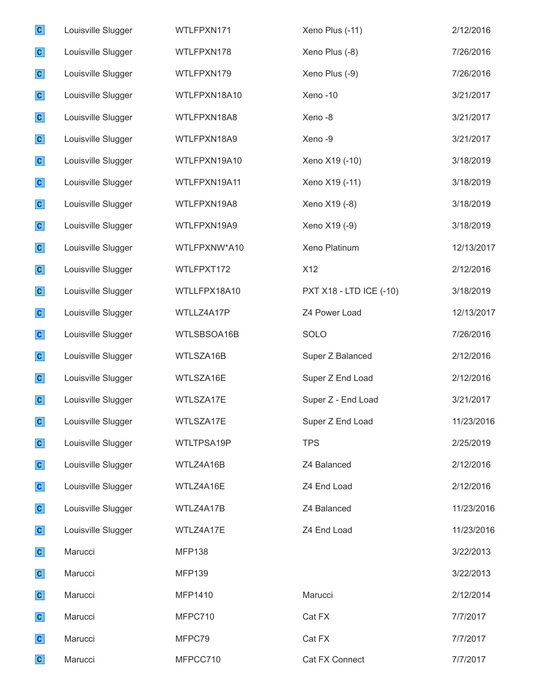| $\mathbf{C}$ | Louisville Slugger | WTLFPXN171    | Xeno Plus (-11)         | 2/12/2016  |
|--------------|--------------------|---------------|-------------------------|------------|
| $\mathbf{c}$ | Louisville Slugger | WTLFPXN178    | Xeno Plus (-8)          | 7/26/2016  |
| $\mathbf{c}$ | Louisville Slugger | WTLFPXN179    | Xeno Plus (-9)          | 7/26/2016  |
| $\mathbf{c}$ | Louisville Slugger | WTLFPXN18A10  | Xeno-10                 | 3/21/2017  |
| $\mathbf{c}$ | Louisville Slugger | WTLFPXN18A8   | Xeno-8                  | 3/21/2017  |
| $\mathbf{c}$ | Louisville Slugger | WTLFPXN18A9   | Xeno-9                  | 3/21/2017  |
| $\mathbf{c}$ | Louisville Slugger | WTLFPXN19A10  | Xeno X19 (-10)          | 3/18/2019  |
| $\mathbf{c}$ | Louisville Slugger | WTLFPXN19A11  | Xeno X19 (-11)          | 3/18/2019  |
| $\mathbf{c}$ | Louisville Slugger | WTLFPXN19A8   | Xeno X19 (-8)           | 3/18/2019  |
| $\mathbf{c}$ | Louisville Slugger | WTLFPXN19A9   | Xeno X19 (-9)           | 3/18/2019  |
| $\mathbf{c}$ | Louisville Slugger | WTLFPXNW*A10  | Xeno Platinum           | 12/13/2017 |
| $\mathbf{c}$ | Louisville Slugger | WTLFPXT172    | X12                     | 2/12/2016  |
| $\mathbf{c}$ | Louisville Slugger | WTLLFPX18A10  | PXT X18 - LTD ICE (-10) | 3/18/2019  |
| $\mathbf{c}$ | Louisville Slugger | WTLLZ4A17P    | Z4 Power Load           | 12/13/2017 |
| $\mathbf{c}$ | Louisville Slugger | WTLSBSOA16B   | SOLO                    | 7/26/2016  |
| $\mathbf{c}$ | Louisville Slugger | WTLSZA16B     | Super Z Balanced        | 2/12/2016  |
| $\mathbf{c}$ | Louisville Slugger | WTLSZA16E     | Super Z End Load        | 2/12/2016  |
| $\mathbf{c}$ | Louisville Slugger | WTLSZA17E     | Super Z - End Load      | 3/21/2017  |
| C            | Louisville Slugger | WTLSZA17E     | Super Z End Load        | 11/23/2016 |
| $\mathbf{c}$ | Louisville Slugger | WTLTPSA19P    | <b>TPS</b>              | 2/25/2019  |
| $\mathbf{c}$ | Louisville Slugger | WTLZ4A16B     | Z4 Balanced             | 2/12/2016  |
| $\mathbf{c}$ | Louisville Slugger | WTLZ4A16E     | Z4 End Load             | 2/12/2016  |
| $\mathbf{c}$ | Louisville Slugger | WTLZ4A17B     | Z4 Balanced             | 11/23/2016 |
| $\mathbf{c}$ | Louisville Slugger | WTLZ4A17E     | Z4 End Load             | 11/23/2016 |
| $\mathbf{c}$ | Marucci            | <b>MFP138</b> |                         | 3/22/2013  |
| $\mathbf{c}$ | Marucci            | <b>MFP139</b> |                         | 3/22/2013  |
| $\mathbf{c}$ | Marucci            | MFP1410       | Marucci                 | 2/12/2014  |
| $\mathbf{c}$ | Marucci            | MFPC710       | Cat FX                  | 7/7/2017   |
| $\mathbf{c}$ | Marucci            | MFPC79        | Cat FX                  | 7/7/2017   |
| $\mathbf{c}$ | Marucci            | MFPCC710      | Cat FX Connect          | 7/7/2017   |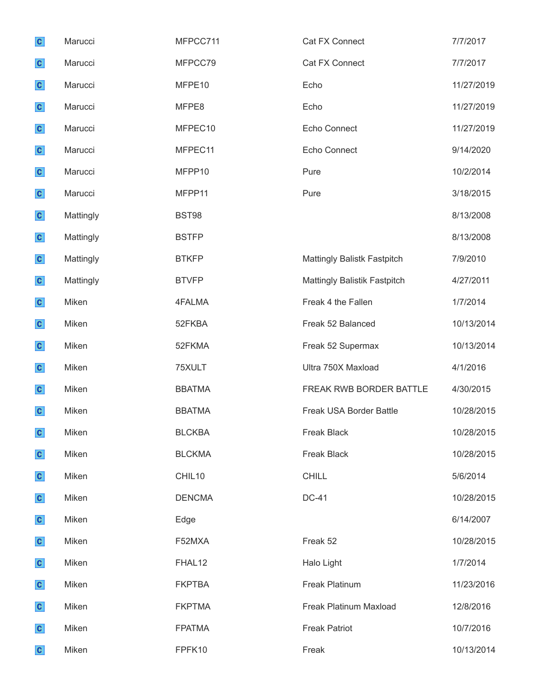| $\mathbf{c}$ | Marucci   | MFPCC711      | Cat FX Connect                     | 7/7/2017   |
|--------------|-----------|---------------|------------------------------------|------------|
| $\mathbf{c}$ | Marucci   | MFPCC79       | Cat FX Connect                     | 7/7/2017   |
| $\mathbf{c}$ | Marucci   | MFPE10        | Echo                               | 11/27/2019 |
| $\mathbf{c}$ | Marucci   | MFPE8         | Echo                               | 11/27/2019 |
| $\mathbf{c}$ | Marucci   | MFPEC10       | Echo Connect                       | 11/27/2019 |
| $\mathbf{c}$ | Marucci   | MFPEC11       | Echo Connect                       | 9/14/2020  |
| $\mathbf{c}$ | Marucci   | MFPP10        | Pure                               | 10/2/2014  |
| $\mathbf{c}$ | Marucci   | MFPP11        | Pure                               | 3/18/2015  |
| $\mathbf{c}$ | Mattingly | <b>BST98</b>  |                                    | 8/13/2008  |
| $\mathbf{c}$ | Mattingly | <b>BSTFP</b>  |                                    | 8/13/2008  |
| $\mathbf{c}$ | Mattingly | <b>BTKFP</b>  | <b>Mattingly Balistk Fastpitch</b> | 7/9/2010   |
| $\mathbf{c}$ | Mattingly | <b>BTVFP</b>  | Mattingly Balistik Fastpitch       | 4/27/2011  |
| $\mathbf{c}$ | Miken     | 4FALMA        | Freak 4 the Fallen                 | 1/7/2014   |
| $\mathbf{c}$ | Miken     | 52FKBA        | Freak 52 Balanced                  | 10/13/2014 |
| $\mathbf{c}$ | Miken     | 52FKMA        | Freak 52 Supermax                  | 10/13/2014 |
| $\mathbf{c}$ | Miken     | 75XULT        | Ultra 750X Maxload                 | 4/1/2016   |
| $\mathbf{c}$ | Miken     | <b>BBATMA</b> | FREAK RWB BORDER BATTLE            | 4/30/2015  |
| $\mathbf{c}$ | Miken     | <b>BBATMA</b> | Freak USA Border Battle            | 10/28/2015 |
| $\mathbf{C}$ | Miken     | <b>BLCKBA</b> | Freak Black                        | 10/28/2015 |
| $\mathbf{c}$ | Miken     | <b>BLCKMA</b> | <b>Freak Black</b>                 | 10/28/2015 |
| $\mathbf{c}$ | Miken     | CHIL10        | <b>CHILL</b>                       | 5/6/2014   |
| $\mathbf{c}$ | Miken     | <b>DENCMA</b> | <b>DC-41</b>                       | 10/28/2015 |
| $\mathbf{c}$ | Miken     | Edge          |                                    | 6/14/2007  |
| $\mathbf{c}$ | Miken     | F52MXA        | Freak 52                           | 10/28/2015 |
| $\mathbf{c}$ | Miken     | FHAL12        | Halo Light                         | 1/7/2014   |
| $\mathbf{c}$ | Miken     | <b>FKPTBA</b> | Freak Platinum                     | 11/23/2016 |
| $\mathbf{c}$ | Miken     | <b>FKPTMA</b> | Freak Platinum Maxload             | 12/8/2016  |
| $\mathbf{c}$ | Miken     | <b>FPATMA</b> | <b>Freak Patriot</b>               | 10/7/2016  |
| $\mathbf{c}$ | Miken     | FPFK10        | Freak                              | 10/13/2014 |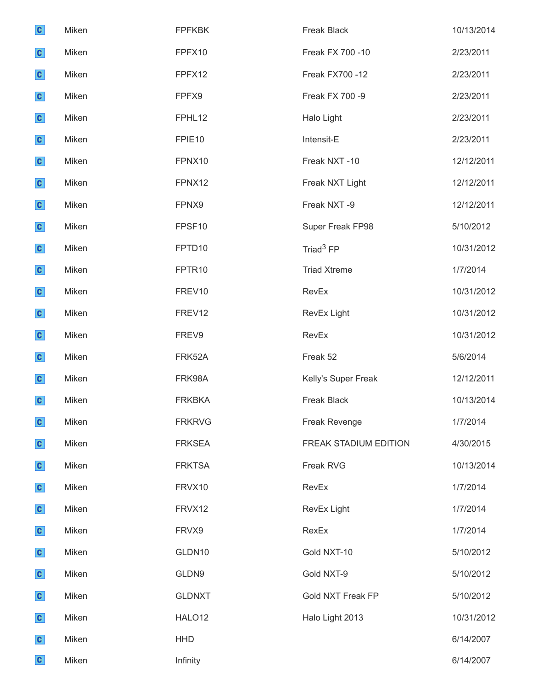| $\mathbf{c}$ | Miken | <b>FPFKBK</b>      | Freak Black           | 10/13/2014 |
|--------------|-------|--------------------|-----------------------|------------|
| $\mathbf{c}$ | Miken | FPFX10             | Freak FX 700 -10      | 2/23/2011  |
| $\mathbf{c}$ | Miken | FPFX12             | Freak FX700 -12       | 2/23/2011  |
| $\mathbf{c}$ | Miken | FPFX9              | Freak FX 700 -9       | 2/23/2011  |
| $\mathbf{c}$ | Miken | FPHL12             | Halo Light            | 2/23/2011  |
| $\mathbf{c}$ | Miken | FPIE <sub>10</sub> | Intensit-E            | 2/23/2011  |
| $\mathbf{c}$ | Miken | FPNX10             | Freak NXT-10          | 12/12/2011 |
| $\mathbf{c}$ | Miken | FPNX12             | Freak NXT Light       | 12/12/2011 |
| $\mathbf{c}$ | Miken | FPNX9              | Freak NXT-9           | 12/12/2011 |
| $\mathbf{c}$ | Miken | FPSF10             | Super Freak FP98      | 5/10/2012  |
| $\mathbf{c}$ | Miken | FPTD10             | Triad <sup>3</sup> FP | 10/31/2012 |
| $\mathbf{c}$ | Miken | FPTR <sub>10</sub> | <b>Triad Xtreme</b>   | 1/7/2014   |
| $\mathbf{c}$ | Miken | FREV10             | RevEx                 | 10/31/2012 |
| $\mathbf{c}$ | Miken | FREV12             | RevEx Light           | 10/31/2012 |
| $\mathbf{c}$ | Miken | FREV9              | RevEx                 | 10/31/2012 |
| $\mathbf{c}$ | Miken | FRK52A             | Freak 52              | 5/6/2014   |
| $\mathbf{c}$ | Miken | FRK98A             | Kelly's Super Freak   | 12/12/2011 |
| $\mathbf{c}$ | Miken | <b>FRKBKA</b>      | <b>Freak Black</b>    | 10/13/2014 |
| $\mathbf{c}$ | Miken | <b>FRKRVG</b>      | Freak Revenge         | 1/7/2014   |
| $\mathbf{c}$ | Miken | <b>FRKSEA</b>      | FREAK STADIUM EDITION | 4/30/2015  |
| $\mathbf{c}$ | Miken | <b>FRKTSA</b>      | Freak RVG             | 10/13/2014 |
| $\mathbf{c}$ | Miken | FRVX10             | RevEx                 | 1/7/2014   |
| $\mathbf{c}$ | Miken | FRVX12             | RevEx Light           | 1/7/2014   |
| $\mathbf{c}$ | Miken | FRVX9              | RexEx                 | 1/7/2014   |
| $\mathbf{c}$ | Miken | GLDN10             | Gold NXT-10           | 5/10/2012  |
| $\mathbf{c}$ | Miken | GLDN9              | Gold NXT-9            | 5/10/2012  |
| $\mathbf{c}$ | Miken | <b>GLDNXT</b>      | Gold NXT Freak FP     | 5/10/2012  |
| $\mathbf{c}$ | Miken | HALO <sub>12</sub> | Halo Light 2013       | 10/31/2012 |
| $\mathbf{c}$ | Miken | <b>HHD</b>         |                       | 6/14/2007  |
| $\mathbf{c}$ | Miken | Infinity           |                       | 6/14/2007  |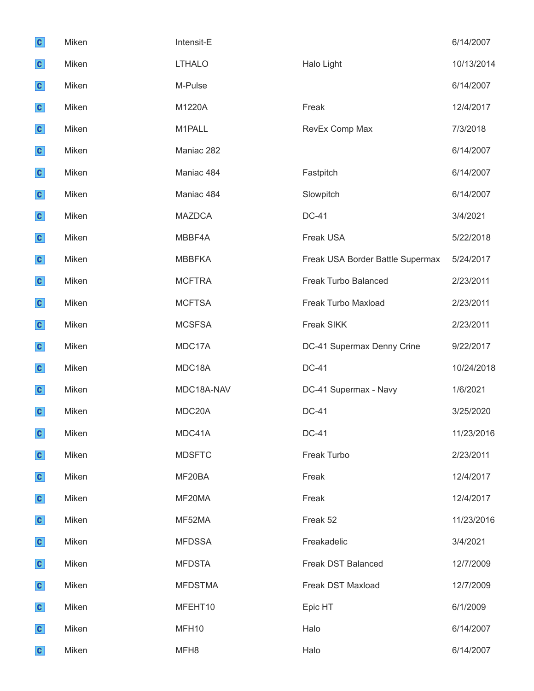| $\mathbf{c}$ | Miken | Intensit-E     |                                  | 6/14/2007  |
|--------------|-------|----------------|----------------------------------|------------|
| $\mathbf{c}$ | Miken | <b>LTHALO</b>  | Halo Light                       | 10/13/2014 |
| $\mathbf{c}$ | Miken | M-Pulse        |                                  | 6/14/2007  |
| $\mathbf{c}$ | Miken | M1220A         | Freak                            | 12/4/2017  |
| $\mathbf{c}$ | Miken | M1PALL         | RevEx Comp Max                   | 7/3/2018   |
| $\mathbf{c}$ | Miken | Maniac 282     |                                  | 6/14/2007  |
| $\mathbf{c}$ | Miken | Maniac 484     | Fastpitch                        | 6/14/2007  |
| $\mathbf{c}$ | Miken | Maniac 484     | Slowpitch                        | 6/14/2007  |
| $\mathbf{c}$ | Miken | <b>MAZDCA</b>  | <b>DC-41</b>                     | 3/4/2021   |
| $\mathbf{c}$ | Miken | MBBF4A         | Freak USA                        | 5/22/2018  |
| $\mathbf{c}$ | Miken | <b>MBBFKA</b>  | Freak USA Border Battle Supermax | 5/24/2017  |
| $\mathbf{c}$ | Miken | <b>MCFTRA</b>  | Freak Turbo Balanced             | 2/23/2011  |
| $\mathbf{c}$ | Miken | <b>MCFTSA</b>  | Freak Turbo Maxload              | 2/23/2011  |
| $\mathbf{c}$ | Miken | <b>MCSFSA</b>  | Freak SIKK                       | 2/23/2011  |
| $\mathbf{c}$ | Miken | MDC17A         | DC-41 Supermax Denny Crine       | 9/22/2017  |
| $\mathbf{c}$ | Miken | MDC18A         | <b>DC-41</b>                     | 10/24/2018 |
| $\mathbf{c}$ | Miken | MDC18A-NAV     | DC-41 Supermax - Navy            | 1/6/2021   |
| $\mathbf{c}$ | Miken | MDC20A         | <b>DC-41</b>                     | 3/25/2020  |
| $\mathbf{c}$ | Miken | MDC41A         | <b>DC-41</b>                     | 11/23/2016 |
| $\mathbf{c}$ | Miken | <b>MDSFTC</b>  | Freak Turbo                      | 2/23/2011  |
| $\mathbf{c}$ | Miken | MF20BA         | Freak                            | 12/4/2017  |
| $\mathbf{c}$ | Miken | MF20MA         | Freak                            | 12/4/2017  |
| $\mathbf{c}$ | Miken | MF52MA         | Freak 52                         | 11/23/2016 |
| $\mathbf{c}$ | Miken | <b>MFDSSA</b>  | Freakadelic                      | 3/4/2021   |
| $\mathbf{c}$ | Miken | <b>MFDSTA</b>  | Freak DST Balanced               | 12/7/2009  |
| $\mathbf{c}$ | Miken | <b>MFDSTMA</b> | Freak DST Maxload                | 12/7/2009  |
| $\mathbf{c}$ | Miken | MFEHT10        | Epic HT                          | 6/1/2009   |
| $\mathbf{c}$ | Miken | MFH10          | Halo                             | 6/14/2007  |
| $\mathbf{c}$ | Miken | MFH8           | Halo                             | 6/14/2007  |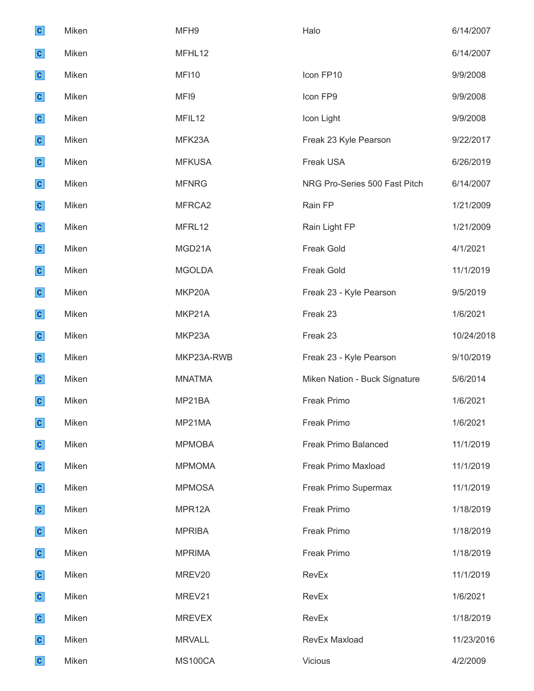| $\mathbf{c}$ | Miken | MFH9          | Halo                          | 6/14/2007  |
|--------------|-------|---------------|-------------------------------|------------|
| $\mathbf{c}$ | Miken | MFHL12        |                               | 6/14/2007  |
| $\mathbf{c}$ | Miken | <b>MF110</b>  | Icon FP10                     | 9/9/2008   |
| $\mathbf{c}$ | Miken | MFI9          | Icon FP9                      | 9/9/2008   |
| $\mathbf{c}$ | Miken | MFIL12        | Icon Light                    | 9/9/2008   |
| $\mathbf{c}$ | Miken | MFK23A        | Freak 23 Kyle Pearson         | 9/22/2017  |
| $\mathbf{c}$ | Miken | <b>MFKUSA</b> | Freak USA                     | 6/26/2019  |
| $\mathbf{c}$ | Miken | <b>MFNRG</b>  | NRG Pro-Series 500 Fast Pitch | 6/14/2007  |
| $\mathbf{c}$ | Miken | MFRCA2        | Rain FP                       | 1/21/2009  |
| $\mathbf{c}$ | Miken | MFRL12        | Rain Light FP                 | 1/21/2009  |
| $\mathbf{c}$ | Miken | MGD21A        | <b>Freak Gold</b>             | 4/1/2021   |
| $\mathbf{c}$ | Miken | <b>MGOLDA</b> | <b>Freak Gold</b>             | 11/1/2019  |
| $\mathbf{c}$ | Miken | MKP20A        | Freak 23 - Kyle Pearson       | 9/5/2019   |
| $\mathbf{c}$ | Miken | MKP21A        | Freak 23                      | 1/6/2021   |
| $\mathbf{c}$ | Miken | MKP23A        | Freak 23                      | 10/24/2018 |
| $\mathbf{c}$ | Miken | MKP23A-RWB    | Freak 23 - Kyle Pearson       | 9/10/2019  |
| $\mathbf{c}$ | Miken | <b>MNATMA</b> | Miken Nation - Buck Signature | 5/6/2014   |
| $\mathbf{c}$ | Miken | MP21BA        | <b>Freak Primo</b>            | 1/6/2021   |
| $\mathbf{c}$ | Miken | MP21MA        | Freak Primo                   | 1/6/2021   |
| $\mathbf{c}$ | Miken | <b>MPMOBA</b> | Freak Primo Balanced          | 11/1/2019  |
| $\mathbf{c}$ | Miken | <b>MPMOMA</b> | Freak Primo Maxload           | 11/1/2019  |
| $\mathbf{c}$ | Miken | <b>MPMOSA</b> | Freak Primo Supermax          | 11/1/2019  |
| $\mathbf{c}$ | Miken | MPR12A        | <b>Freak Primo</b>            | 1/18/2019  |
| $\mathbf{c}$ | Miken | <b>MPRIBA</b> | Freak Primo                   | 1/18/2019  |
| $\mathbf{c}$ | Miken | <b>MPRIMA</b> | Freak Primo                   | 1/18/2019  |
| $\mathbf{c}$ | Miken | MREV20        | RevEx                         | 11/1/2019  |
| $\mathbf{c}$ | Miken | MREV21        | RevEx                         | 1/6/2021   |
|              |       |               |                               |            |
| $\mathbf{c}$ | Miken | <b>MREVEX</b> | RevEx                         | 1/18/2019  |
| $\mathbf{c}$ | Miken | <b>MRVALL</b> | RevEx Maxload                 | 11/23/2016 |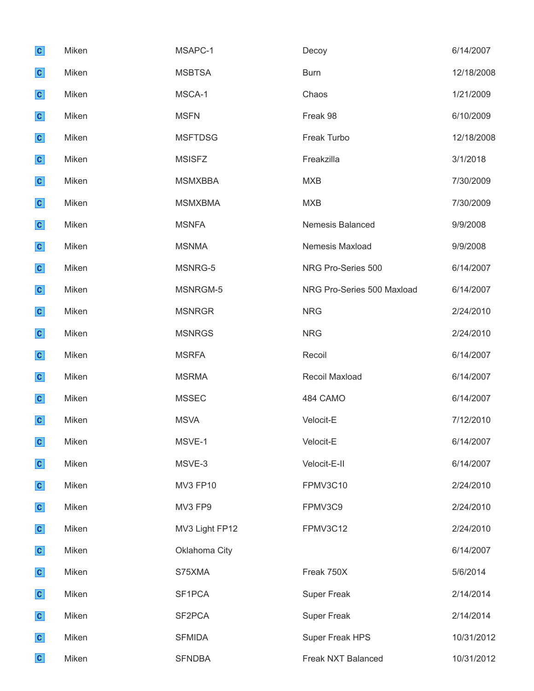| $\mathbf{c}$ | Miken | MSAPC-1         | Decoy                      | 6/14/2007  |
|--------------|-------|-----------------|----------------------------|------------|
| $\mathbf{c}$ | Miken | <b>MSBTSA</b>   | <b>Burn</b>                | 12/18/2008 |
| $\mathbf{c}$ | Miken | MSCA-1          | Chaos                      | 1/21/2009  |
| $\mathbf{c}$ | Miken | <b>MSFN</b>     | Freak 98                   | 6/10/2009  |
| $\mathbf{c}$ | Miken | <b>MSFTDSG</b>  | Freak Turbo                | 12/18/2008 |
| $\mathbf{c}$ | Miken | <b>MSISFZ</b>   | Freakzilla                 | 3/1/2018   |
| $\mathbf{c}$ | Miken | <b>MSMXBBA</b>  | <b>MXB</b>                 | 7/30/2009  |
| $\mathbf{c}$ | Miken | <b>MSMXBMA</b>  | <b>MXB</b>                 | 7/30/2009  |
| $\mathbf{c}$ | Miken | <b>MSNFA</b>    | Nemesis Balanced           | 9/9/2008   |
| $\mathbf{c}$ | Miken | <b>MSNMA</b>    | Nemesis Maxload            | 9/9/2008   |
| $\mathbf{c}$ | Miken | MSNRG-5         | NRG Pro-Series 500         | 6/14/2007  |
| $\mathbf{c}$ | Miken | MSNRGM-5        | NRG Pro-Series 500 Maxload | 6/14/2007  |
| $\mathbf{c}$ | Miken | <b>MSNRGR</b>   | <b>NRG</b>                 | 2/24/2010  |
| $\mathbf{c}$ | Miken | <b>MSNRGS</b>   | <b>NRG</b>                 | 2/24/2010  |
| $\mathbf{c}$ | Miken | <b>MSRFA</b>    | Recoil                     | 6/14/2007  |
| $\mathbf{c}$ | Miken | <b>MSRMA</b>    | Recoil Maxload             | 6/14/2007  |
| $\mathbf{c}$ | Miken | <b>MSSEC</b>    | 484 CAMO                   | 6/14/2007  |
| $\mathbf{c}$ | Miken | <b>MSVA</b>     | Velocit-E                  | 7/12/2010  |
| $\mathbf{c}$ | Miken | MSVE-1          | Velocit-E                  | 6/14/2007  |
| $\mathbf{c}$ | Miken | MSVE-3          | Velocit-E-II               | 6/14/2007  |
| $\mathbf{c}$ | Miken | <b>MV3 FP10</b> | FPMV3C10                   | 2/24/2010  |
| $\mathbf{c}$ | Miken | MV3 FP9         | FPMV3C9                    | 2/24/2010  |
| $\mathbf{c}$ | Miken | MV3 Light FP12  | FPMV3C12                   | 2/24/2010  |
| $\mathbf{c}$ | Miken | Oklahoma City   |                            | 6/14/2007  |
| $\mathbf{c}$ | Miken | S75XMA          | Freak 750X                 | 5/6/2014   |
| $\mathbf{c}$ | Miken | SF1PCA          | <b>Super Freak</b>         | 2/14/2014  |
| $\mathbf{c}$ | Miken | SF2PCA          | <b>Super Freak</b>         | 2/14/2014  |
| $\mathbf{c}$ | Miken | <b>SFMIDA</b>   | Super Freak HPS            | 10/31/2012 |
| $\mathbf{c}$ | Miken | <b>SFNDBA</b>   | Freak NXT Balanced         | 10/31/2012 |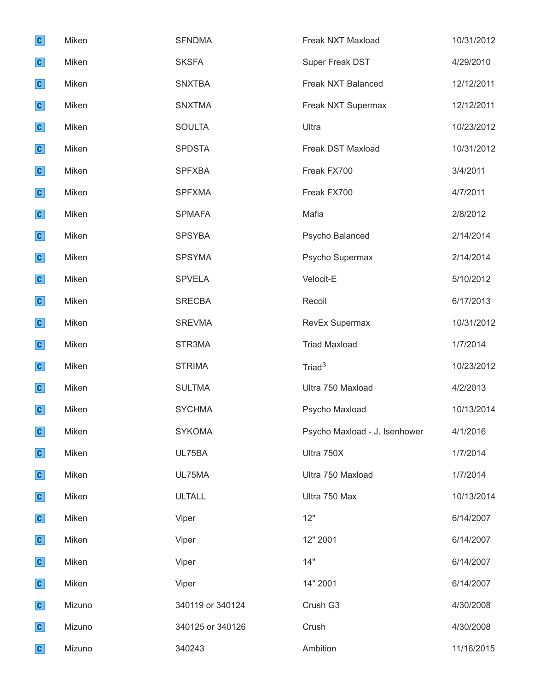| $\mathbf{c}$ | Miken  | <b>SFNDMA</b>    | Freak NXT Maxload             | 10/31/2012 |
|--------------|--------|------------------|-------------------------------|------------|
| $\mathbf{c}$ | Miken  | <b>SKSFA</b>     | Super Freak DST               | 4/29/2010  |
| $\mathbf{c}$ | Miken  | <b>SNXTBA</b>    | Freak NXT Balanced            | 12/12/2011 |
| $\mathbf{c}$ | Miken  | <b>SNXTMA</b>    | Freak NXT Supermax            | 12/12/2011 |
| $\mathbf{c}$ | Miken  | <b>SOULTA</b>    | Ultra                         | 10/23/2012 |
| $\mathbf{c}$ | Miken  | <b>SPDSTA</b>    | Freak DST Maxload             | 10/31/2012 |
| $\mathbf{c}$ | Miken  | <b>SPFXBA</b>    | Freak FX700                   | 3/4/2011   |
| $\mathbf{c}$ | Miken  | <b>SPFXMA</b>    | Freak FX700                   | 4/7/2011   |
| $\mathbf{c}$ | Miken  | <b>SPMAFA</b>    | Mafia                         | 2/8/2012   |
| $\mathbf{c}$ | Miken  | <b>SPSYBA</b>    | Psycho Balanced               | 2/14/2014  |
| $\mathbf{c}$ | Miken  | <b>SPSYMA</b>    | Psycho Supermax               | 2/14/2014  |
| $\mathbf{c}$ | Miken  | <b>SPVELA</b>    | Velocit-E                     | 5/10/2012  |
| $\mathbf{c}$ | Miken  | <b>SRECBA</b>    | Recoil                        | 6/17/2013  |
| $\mathbf{c}$ | Miken  | <b>SREVMA</b>    | RevEx Supermax                | 10/31/2012 |
| $\mathbf{c}$ | Miken  | STR3MA           | <b>Triad Maxload</b>          | 1/7/2014   |
| $\mathbf{c}$ | Miken  | <b>STRIMA</b>    | Triad <sup>3</sup>            | 10/23/2012 |
| $\mathbf{c}$ | Miken  | <b>SULTMA</b>    | Ultra 750 Maxload             | 4/2/2013   |
| $\mathbf{C}$ | Miken  | <b>SYCHMA</b>    | Psycho Maxload                | 10/13/2014 |
| $\mathbf{c}$ | Miken  | <b>SYKOMA</b>    | Psycho Maxload - J. Isenhower | 4/1/2016   |
| $\mathbf{c}$ | Miken  | UL75BA           | Ultra 750X                    | 1/7/2014   |
| $\mathbf{c}$ | Miken  | UL75MA           | Ultra 750 Maxload             | 1/7/2014   |
| $\mathbf{c}$ | Miken  | <b>ULTALL</b>    | Ultra 750 Max                 | 10/13/2014 |
| $\mathbf{c}$ | Miken  | Viper            | 12"                           | 6/14/2007  |
| $\mathbf{c}$ | Miken  | Viper            | 12" 2001                      | 6/14/2007  |
| $\mathbf{c}$ | Miken  | Viper            | 14"                           | 6/14/2007  |
| $\mathbf{c}$ | Miken  | Viper            | 14" 2001                      | 6/14/2007  |
| $\mathbf{c}$ | Mizuno | 340119 or 340124 | Crush G3                      | 4/30/2008  |
| $\mathbf{c}$ | Mizuno | 340125 or 340126 | Crush                         | 4/30/2008  |
| $\mathbf{c}$ | Mizuno | 340243           | Ambition                      | 11/16/2015 |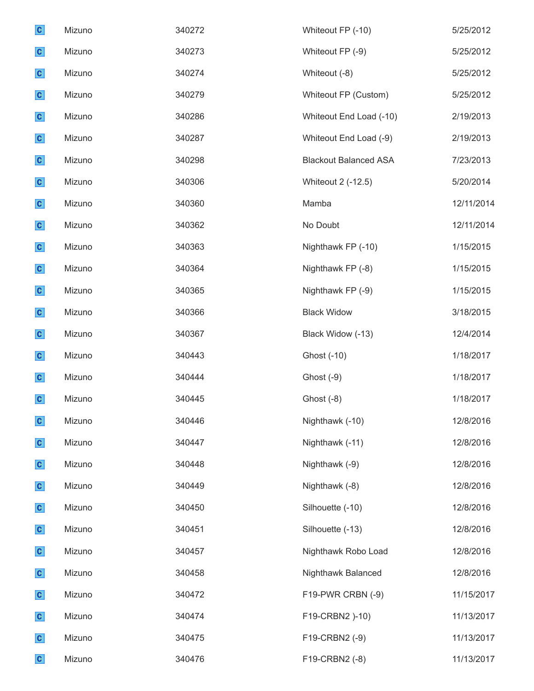| $\mathbf{c}$ | Mizuno | 340272 | Whiteout FP (-10)            | 5/25/2012  |
|--------------|--------|--------|------------------------------|------------|
| $\mathbf{c}$ | Mizuno | 340273 | Whiteout FP (-9)             | 5/25/2012  |
| $\mathbf{c}$ | Mizuno | 340274 | Whiteout (-8)                | 5/25/2012  |
| $\mathbf{c}$ | Mizuno | 340279 | Whiteout FP (Custom)         | 5/25/2012  |
| $\mathbf{c}$ | Mizuno | 340286 | Whiteout End Load (-10)      | 2/19/2013  |
| $\mathbf{c}$ | Mizuno | 340287 | Whiteout End Load (-9)       | 2/19/2013  |
| $\mathbf{c}$ | Mizuno | 340298 | <b>Blackout Balanced ASA</b> | 7/23/2013  |
| $\mathbf{c}$ | Mizuno | 340306 | Whiteout 2 (-12.5)           | 5/20/2014  |
| $\mathbf{c}$ | Mizuno | 340360 | Mamba                        | 12/11/2014 |
| $\mathbf{c}$ | Mizuno | 340362 | No Doubt                     | 12/11/2014 |
| $\mathbf{c}$ | Mizuno | 340363 | Nighthawk FP (-10)           | 1/15/2015  |
| $\mathbf{c}$ | Mizuno | 340364 | Nighthawk FP (-8)            | 1/15/2015  |
| $\mathbf{c}$ | Mizuno | 340365 | Nighthawk FP (-9)            | 1/15/2015  |
| $\mathbf{c}$ | Mizuno | 340366 | <b>Black Widow</b>           | 3/18/2015  |
| $\mathbf{c}$ | Mizuno | 340367 | Black Widow (-13)            | 12/4/2014  |
| $\mathbf{c}$ | Mizuno | 340443 | Ghost (-10)                  | 1/18/2017  |
| $\mathbf{c}$ | Mizuno | 340444 | Ghost (-9)                   | 1/18/2017  |
| $\mathbf{c}$ | Mizuno | 340445 | Ghost (-8)                   | 1/18/2017  |
| $\mathbf{c}$ | Mizuno | 340446 | Nighthawk (-10)              | 12/8/2016  |
| $\mathbf{c}$ | Mizuno | 340447 | Nighthawk (-11)              | 12/8/2016  |
| $\mathbf{c}$ | Mizuno | 340448 | Nighthawk (-9)               | 12/8/2016  |
| $\mathbf{c}$ | Mizuno | 340449 | Nighthawk (-8)               | 12/8/2016  |
| $\mathbf{c}$ | Mizuno | 340450 | Silhouette (-10)             | 12/8/2016  |
| $\mathbf{c}$ | Mizuno | 340451 | Silhouette (-13)             | 12/8/2016  |
| $\mathbf{c}$ | Mizuno | 340457 | Nighthawk Robo Load          | 12/8/2016  |
| $\mathbf{c}$ | Mizuno | 340458 | Nighthawk Balanced           | 12/8/2016  |
| $\mathbf{c}$ | Mizuno | 340472 | F19-PWR CRBN (-9)            | 11/15/2017 |
| $\mathbf{c}$ | Mizuno | 340474 | F19-CRBN2 )-10)              | 11/13/2017 |
| $\mathbf{c}$ | Mizuno | 340475 | F19-CRBN2 (-9)               | 11/13/2017 |
| $\mathbf{c}$ | Mizuno | 340476 | F19-CRBN2 (-8)               | 11/13/2017 |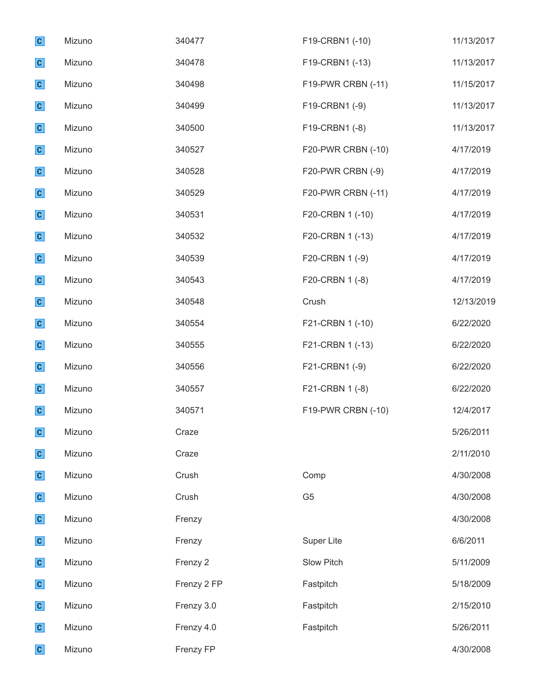| $\mathbf{c}$ | Mizuno | 340477      | F19-CRBN1 (-10)    | 11/13/2017 |
|--------------|--------|-------------|--------------------|------------|
| $\mathbf{c}$ | Mizuno | 340478      | F19-CRBN1 (-13)    | 11/13/2017 |
| $\mathbf{c}$ | Mizuno | 340498      | F19-PWR CRBN (-11) | 11/15/2017 |
| $\mathbf{c}$ | Mizuno | 340499      | F19-CRBN1 (-9)     | 11/13/2017 |
| $\mathbf{c}$ | Mizuno | 340500      | F19-CRBN1 (-8)     | 11/13/2017 |
| $\mathbf{c}$ | Mizuno | 340527      | F20-PWR CRBN (-10) | 4/17/2019  |
| $\mathbf{c}$ | Mizuno | 340528      | F20-PWR CRBN (-9)  | 4/17/2019  |
| $\mathbf{c}$ | Mizuno | 340529      | F20-PWR CRBN (-11) | 4/17/2019  |
| $\mathbf{c}$ | Mizuno | 340531      | F20-CRBN 1 (-10)   | 4/17/2019  |
| $\mathbf{c}$ | Mizuno | 340532      | F20-CRBN 1 (-13)   | 4/17/2019  |
| $\mathbf{c}$ | Mizuno | 340539      | F20-CRBN 1 (-9)    | 4/17/2019  |
| $\mathbf{c}$ | Mizuno | 340543      | F20-CRBN 1 (-8)    | 4/17/2019  |
| $\mathbf{c}$ | Mizuno | 340548      | Crush              | 12/13/2019 |
| $\mathbf{c}$ | Mizuno | 340554      | F21-CRBN 1 (-10)   | 6/22/2020  |
| $\mathbf{c}$ | Mizuno | 340555      | F21-CRBN 1 (-13)   | 6/22/2020  |
| $\mathbf{c}$ | Mizuno | 340556      | F21-CRBN1 (-9)     | 6/22/2020  |
| $\mathbf{c}$ | Mizuno | 340557      | F21-CRBN 1 (-8)    | 6/22/2020  |
| $\mathbf{c}$ | Mizuno | 340571      | F19-PWR CRBN (-10) | 12/4/2017  |
| $\mathbf{c}$ | Mizuno | Craze       |                    | 5/26/2011  |
| $\mathbf{c}$ | Mizuno | Craze       |                    | 2/11/2010  |
| $\mathbf{c}$ | Mizuno | Crush       | Comp               | 4/30/2008  |
| $\mathbf{c}$ | Mizuno | Crush       | G <sub>5</sub>     | 4/30/2008  |
| $\mathbf{c}$ | Mizuno | Frenzy      |                    | 4/30/2008  |
| $\mathbf{c}$ | Mizuno | Frenzy      | <b>Super Lite</b>  | 6/6/2011   |
| $\mathbf{c}$ | Mizuno | Frenzy 2    | Slow Pitch         | 5/11/2009  |
| $\mathbf{c}$ | Mizuno | Frenzy 2 FP | Fastpitch          | 5/18/2009  |
| $\mathbf{c}$ | Mizuno | Frenzy 3.0  | Fastpitch          | 2/15/2010  |
| $\mathbf{c}$ | Mizuno | Frenzy 4.0  | Fastpitch          | 5/26/2011  |
| $\mathbf{c}$ | Mizuno | Frenzy FP   |                    | 4/30/2008  |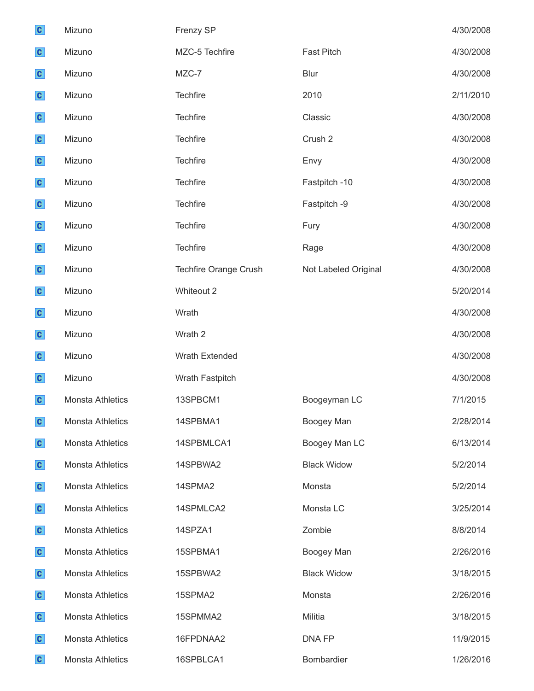| $\mathbf{c}$ | Mizuno                  | Frenzy SP                    |                      | 4/30/2008 |
|--------------|-------------------------|------------------------------|----------------------|-----------|
| $\mathbf{c}$ | Mizuno                  | MZC-5 Techfire               | <b>Fast Pitch</b>    | 4/30/2008 |
| $\mathbf{c}$ | Mizuno                  | MZC-7                        | <b>Blur</b>          | 4/30/2008 |
| $\mathbf{c}$ | Mizuno                  | Techfire                     | 2010                 | 2/11/2010 |
| $\mathbf{c}$ | Mizuno                  | <b>Techfire</b>              | Classic              | 4/30/2008 |
| $\mathbf{c}$ | Mizuno                  | <b>Techfire</b>              | Crush 2              | 4/30/2008 |
| $\mathbf{c}$ | Mizuno                  | Techfire                     | Envy                 | 4/30/2008 |
| $\mathbf{c}$ | Mizuno                  | Techfire                     | Fastpitch -10        | 4/30/2008 |
| $\mathbf{c}$ | Mizuno                  | Techfire                     | Fastpitch -9         | 4/30/2008 |
| $\mathbf{c}$ | Mizuno                  | <b>Techfire</b>              | Fury                 | 4/30/2008 |
| $\mathbf{c}$ | Mizuno                  | Techfire                     | Rage                 | 4/30/2008 |
| $\mathbf{c}$ | Mizuno                  | <b>Techfire Orange Crush</b> | Not Labeled Original | 4/30/2008 |
| $\mathbf{c}$ | Mizuno                  | Whiteout 2                   |                      | 5/20/2014 |
| $\mathbf{c}$ | Mizuno                  | Wrath                        |                      | 4/30/2008 |
| $\mathbf{c}$ | Mizuno                  | Wrath 2                      |                      | 4/30/2008 |
| $\mathbf{c}$ | Mizuno                  | Wrath Extended               |                      | 4/30/2008 |
| $\mathbf{c}$ | Mizuno                  | Wrath Fastpitch              |                      | 4/30/2008 |
| $\mathbf{c}$ | <b>Monsta Athletics</b> | 13SPBCM1                     | Boogeyman LC         | 7/1/2015  |
| $\mathbf{C}$ | Monsta Athletics        | 14SPBMA1                     | Boogey Man           | 2/28/2014 |
| $\mathbf{c}$ | <b>Monsta Athletics</b> | 14SPBMLCA1                   | Boogey Man LC        | 6/13/2014 |
| $\mathbf{c}$ | Monsta Athletics        | 14SPBWA2                     | <b>Black Widow</b>   | 5/2/2014  |
| $\mathbf{c}$ | Monsta Athletics        | 14SPMA2                      | Monsta               | 5/2/2014  |
| $\mathbf{c}$ | <b>Monsta Athletics</b> | 14SPMLCA2                    | Monsta LC            | 3/25/2014 |
| $\mathbf{c}$ | Monsta Athletics        | 14SPZA1                      | Zombie               | 8/8/2014  |
| $\mathbf{c}$ | <b>Monsta Athletics</b> | 15SPBMA1                     | Boogey Man           | 2/26/2016 |
| $\mathbf{c}$ | Monsta Athletics        | 15SPBWA2                     | <b>Black Widow</b>   | 3/18/2015 |
| $\mathbf{c}$ | Monsta Athletics        | 15SPMA2                      | Monsta               | 2/26/2016 |
| $\mathbf{c}$ | Monsta Athletics        | 15SPMMA2                     | Militia              | 3/18/2015 |
| $\mathbf{c}$ | Monsta Athletics        | 16FPDNAA2                    | DNA FP               | 11/9/2015 |
| $\mathbf{c}$ | Monsta Athletics        | 16SPBLCA1                    | Bombardier           | 1/26/2016 |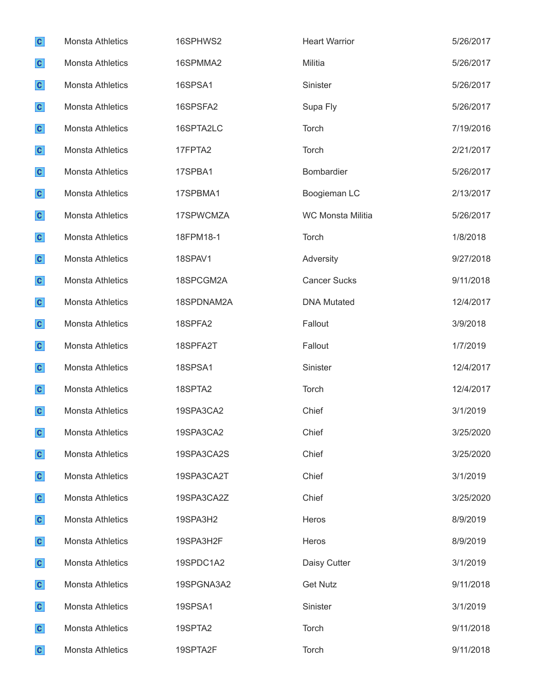| $\mathbf{c}$ | Monsta Athletics        | 16SPHWS2   | <b>Heart Warrior</b>     | 5/26/2017 |
|--------------|-------------------------|------------|--------------------------|-----------|
| $\mathbf{c}$ | Monsta Athletics        | 16SPMMA2   | Militia                  | 5/26/2017 |
| $\mathbf{c}$ | <b>Monsta Athletics</b> | 16SPSA1    | Sinister                 | 5/26/2017 |
| $\mathbf{c}$ | <b>Monsta Athletics</b> | 16SPSFA2   | Supa Fly                 | 5/26/2017 |
| $\mathbf{c}$ | <b>Monsta Athletics</b> | 16SPTA2LC  | Torch                    | 7/19/2016 |
| $\mathbf{c}$ | <b>Monsta Athletics</b> | 17FPTA2    | Torch                    | 2/21/2017 |
| $\mathbf{c}$ | <b>Monsta Athletics</b> | 17SPBA1    | Bombardier               | 5/26/2017 |
| $\mathbf{c}$ | <b>Monsta Athletics</b> | 17SPBMA1   | Boogieman LC             | 2/13/2017 |
| $\mathbf{c}$ | <b>Monsta Athletics</b> | 17SPWCMZA  | <b>WC Monsta Militia</b> | 5/26/2017 |
| $\mathbf{c}$ | <b>Monsta Athletics</b> | 18FPM18-1  | Torch                    | 1/8/2018  |
| $\mathbf{c}$ | <b>Monsta Athletics</b> | 18SPAV1    | Adversity                | 9/27/2018 |
| $\mathbf{c}$ | Monsta Athletics        | 18SPCGM2A  | <b>Cancer Sucks</b>      | 9/11/2018 |
| $\mathbf{c}$ | <b>Monsta Athletics</b> | 18SPDNAM2A | <b>DNA Mutated</b>       | 12/4/2017 |
| $\mathbf{c}$ | <b>Monsta Athletics</b> | 18SPFA2    | Fallout                  | 3/9/2018  |
| $\mathbf{c}$ | <b>Monsta Athletics</b> | 18SPFA2T   | Fallout                  | 1/7/2019  |
| $\mathbf{c}$ | <b>Monsta Athletics</b> | 18SPSA1    | Sinister                 | 12/4/2017 |
| $\mathbf{c}$ | <b>Monsta Athletics</b> | 18SPTA2    | Torch                    | 12/4/2017 |
| $\mathbf{c}$ | <b>Monsta Athletics</b> | 19SPA3CA2  | Chief                    | 3/1/2019  |
| $\mathbf{c}$ | <b>Monsta Athletics</b> | 19SPA3CA2  | Chief                    | 3/25/2020 |
| $\mathbf{c}$ | <b>Monsta Athletics</b> | 19SPA3CA2S | Chief                    | 3/25/2020 |
| $\mathbf{c}$ | <b>Monsta Athletics</b> | 19SPA3CA2T | Chief                    | 3/1/2019  |
| $\mathbf{c}$ | <b>Monsta Athletics</b> | 19SPA3CA2Z | Chief                    | 3/25/2020 |
| $\mathbf{c}$ | <b>Monsta Athletics</b> | 19SPA3H2   | Heros                    | 8/9/2019  |
| $\mathbf{c}$ | <b>Monsta Athletics</b> | 19SPA3H2F  | Heros                    | 8/9/2019  |
| $\mathbf{c}$ | <b>Monsta Athletics</b> | 19SPDC1A2  | Daisy Cutter             | 3/1/2019  |
| $\mathbf{c}$ | <b>Monsta Athletics</b> | 19SPGNA3A2 | <b>Get Nutz</b>          | 9/11/2018 |
| $\mathbf{c}$ | <b>Monsta Athletics</b> | 19SPSA1    | Sinister                 | 3/1/2019  |
| $\mathbf{c}$ | <b>Monsta Athletics</b> | 19SPTA2    | Torch                    | 9/11/2018 |
| $\mathbf{c}$ | Monsta Athletics        | 19SPTA2F   | Torch                    | 9/11/2018 |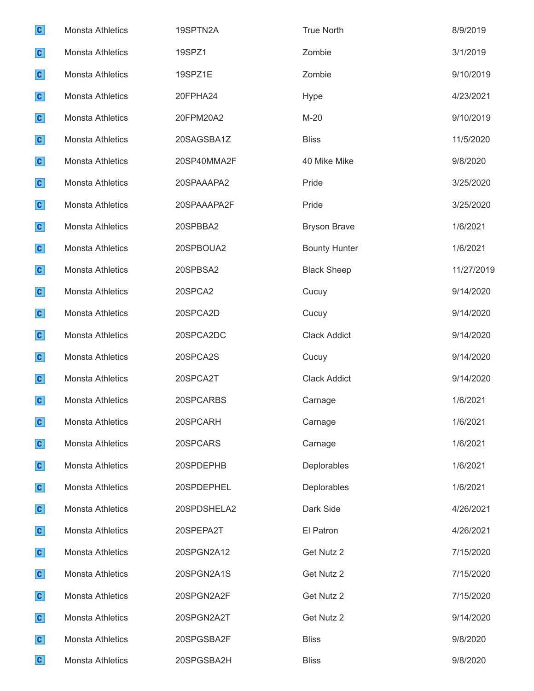| $\mathbf{c}$ | <b>Monsta Athletics</b> | 19SPTN2A    | <b>True North</b>    | 8/9/2019   |
|--------------|-------------------------|-------------|----------------------|------------|
| $\mathbf{c}$ | <b>Monsta Athletics</b> | 19SPZ1      | Zombie               | 3/1/2019   |
| $\mathbf{c}$ | <b>Monsta Athletics</b> | 19SPZ1E     | Zombie               | 9/10/2019  |
| $\mathbf{c}$ | <b>Monsta Athletics</b> | 20FPHA24    | Hype                 | 4/23/2021  |
| $\mathbf{c}$ | <b>Monsta Athletics</b> | 20FPM20A2   | $M-20$               | 9/10/2019  |
| $\mathbf{c}$ | <b>Monsta Athletics</b> | 20SAGSBA1Z  | <b>Bliss</b>         | 11/5/2020  |
| $\mathbf{c}$ | <b>Monsta Athletics</b> | 20SP40MMA2F | 40 Mike Mike         | 9/8/2020   |
| $\mathbf{c}$ | <b>Monsta Athletics</b> | 20SPAAAPA2  | Pride                | 3/25/2020  |
| $\mathbf{c}$ | <b>Monsta Athletics</b> | 20SPAAAPA2F | Pride                | 3/25/2020  |
| $\mathbf{c}$ | <b>Monsta Athletics</b> | 20SPBBA2    | <b>Bryson Brave</b>  | 1/6/2021   |
| $\mathbf{c}$ | <b>Monsta Athletics</b> | 20SPBOUA2   | <b>Bounty Hunter</b> | 1/6/2021   |
| $\mathbf{c}$ | <b>Monsta Athletics</b> | 20SPBSA2    | <b>Black Sheep</b>   | 11/27/2019 |
| $\mathbf{c}$ | <b>Monsta Athletics</b> | 20SPCA2     | Cucuy                | 9/14/2020  |
| $\mathbf{c}$ | <b>Monsta Athletics</b> | 20SPCA2D    | Cucuy                | 9/14/2020  |
| $\mathbf{c}$ | <b>Monsta Athletics</b> | 20SPCA2DC   | <b>Clack Addict</b>  | 9/14/2020  |
| $\mathbf{c}$ | <b>Monsta Athletics</b> | 20SPCA2S    | Cucuy                | 9/14/2020  |
| $\mathbf{c}$ | <b>Monsta Athletics</b> | 20SPCA2T    | <b>Clack Addict</b>  | 9/14/2020  |
| $\mathbf{c}$ | <b>Monsta Athletics</b> | 20SPCARBS   | Carnage              | 1/6/2021   |
| $\mathbf{c}$ | <b>Monsta Athletics</b> | 20SPCARH    | Carnage              | 1/6/2021   |
| $\mathbf{c}$ | <b>Monsta Athletics</b> | 20SPCARS    | Carnage              | 1/6/2021   |
| $\mathbf{c}$ | <b>Monsta Athletics</b> | 20SPDEPHB   | Deplorables          | 1/6/2021   |
| $\mathbf{c}$ | <b>Monsta Athletics</b> | 20SPDEPHEL  | Deplorables          | 1/6/2021   |
| $\mathbf{c}$ | <b>Monsta Athletics</b> | 20SPDSHELA2 | Dark Side            | 4/26/2021  |
| $\mathbf{c}$ | <b>Monsta Athletics</b> | 20SPEPA2T   | El Patron            | 4/26/2021  |
| $\mathbf{c}$ | <b>Monsta Athletics</b> | 20SPGN2A12  | Get Nutz 2           | 7/15/2020  |
| $\mathbf{c}$ | <b>Monsta Athletics</b> | 20SPGN2A1S  | Get Nutz 2           | 7/15/2020  |
| $\mathbf{c}$ | <b>Monsta Athletics</b> | 20SPGN2A2F  | Get Nutz 2           | 7/15/2020  |
| $\mathbf{c}$ | <b>Monsta Athletics</b> | 20SPGN2A2T  | Get Nutz 2           | 9/14/2020  |
| $\mathbf{c}$ | <b>Monsta Athletics</b> | 20SPGSBA2F  | <b>Bliss</b>         | 9/8/2020   |
| $\mathbf{c}$ | Monsta Athletics        | 20SPGSBA2H  | <b>Bliss</b>         | 9/8/2020   |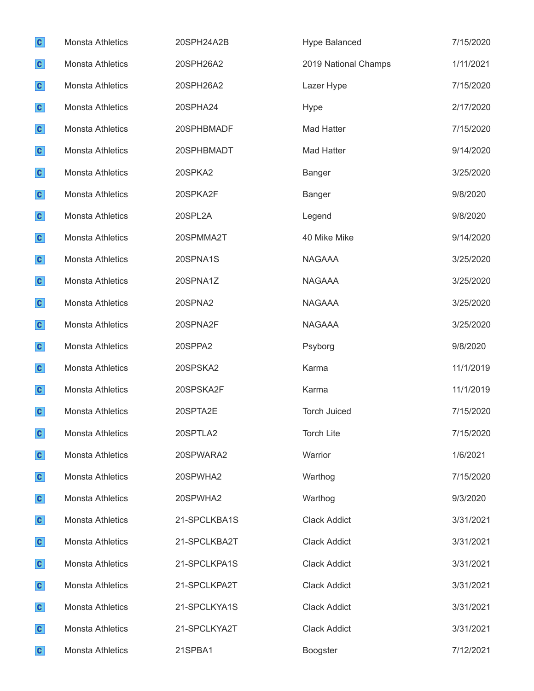| $\mathbf{c}$ | Monsta Athletics        | 20SPH24A2B   | <b>Hype Balanced</b> | 7/15/2020 |
|--------------|-------------------------|--------------|----------------------|-----------|
| $\mathbf{c}$ | <b>Monsta Athletics</b> | 20SPH26A2    | 2019 National Champs | 1/11/2021 |
| $\mathbf{c}$ | <b>Monsta Athletics</b> | 20SPH26A2    | Lazer Hype           | 7/15/2020 |
| $\mathbf{c}$ | <b>Monsta Athletics</b> | 20SPHA24     | Hype                 | 2/17/2020 |
| $\mathbf{c}$ | <b>Monsta Athletics</b> | 20SPHBMADF   | <b>Mad Hatter</b>    | 7/15/2020 |
| $\mathbf{c}$ | <b>Monsta Athletics</b> | 20SPHBMADT   | <b>Mad Hatter</b>    | 9/14/2020 |
| $\mathbf{c}$ | <b>Monsta Athletics</b> | 20SPKA2      | <b>Banger</b>        | 3/25/2020 |
| $\mathbf{c}$ | <b>Monsta Athletics</b> | 20SPKA2F     | <b>Banger</b>        | 9/8/2020  |
| $\mathbf{c}$ | Monsta Athletics        | 20SPL2A      | Legend               | 9/8/2020  |
| $\mathbf{c}$ | <b>Monsta Athletics</b> | 20SPMMA2T    | 40 Mike Mike         | 9/14/2020 |
| $\mathbf{c}$ | <b>Monsta Athletics</b> | 20SPNA1S     | <b>NAGAAA</b>        | 3/25/2020 |
| $\mathbf{c}$ | <b>Monsta Athletics</b> | 20SPNA1Z     | <b>NAGAAA</b>        | 3/25/2020 |
| $\mathbf{c}$ | <b>Monsta Athletics</b> | 20SPNA2      | <b>NAGAAA</b>        | 3/25/2020 |
| $\mathbf{c}$ | <b>Monsta Athletics</b> | 20SPNA2F     | <b>NAGAAA</b>        | 3/25/2020 |
| $\mathbf{c}$ | <b>Monsta Athletics</b> | 20SPPA2      | Psyborg              | 9/8/2020  |
| $\mathbf{c}$ | <b>Monsta Athletics</b> | 20SPSKA2     | Karma                | 11/1/2019 |
| $\mathbf{c}$ | <b>Monsta Athletics</b> | 20SPSKA2F    | Karma                | 11/1/2019 |
| $\mathbf{c}$ | <b>Monsta Athletics</b> | 20SPTA2E     | <b>Torch Juiced</b>  | 7/15/2020 |
| $\mathbf{c}$ | <b>Monsta Athletics</b> | 20SPTLA2     | <b>Torch Lite</b>    | 7/15/2020 |
| $\mathbf{c}$ | <b>Monsta Athletics</b> | 20SPWARA2    | Warrior              | 1/6/2021  |
| $\mathbf{c}$ | <b>Monsta Athletics</b> | 20SPWHA2     | Warthog              | 7/15/2020 |
| $\mathbf{c}$ | <b>Monsta Athletics</b> | 20SPWHA2     | Warthog              | 9/3/2020  |
| $\mathbf{c}$ | <b>Monsta Athletics</b> | 21-SPCLKBA1S | <b>Clack Addict</b>  | 3/31/2021 |
| $\mathbf{c}$ | <b>Monsta Athletics</b> | 21-SPCLKBA2T | <b>Clack Addict</b>  | 3/31/2021 |
| $\mathbf{c}$ | <b>Monsta Athletics</b> | 21-SPCLKPA1S | <b>Clack Addict</b>  | 3/31/2021 |
| $\mathbf{c}$ | <b>Monsta Athletics</b> | 21-SPCLKPA2T | <b>Clack Addict</b>  | 3/31/2021 |
| $\mathbf{c}$ | <b>Monsta Athletics</b> | 21-SPCLKYA1S | <b>Clack Addict</b>  | 3/31/2021 |
| $\mathbf{c}$ | <b>Monsta Athletics</b> | 21-SPCLKYA2T | <b>Clack Addict</b>  | 3/31/2021 |
| $\mathbf{c}$ | Monsta Athletics        | 21SPBA1      | Boogster             | 7/12/2021 |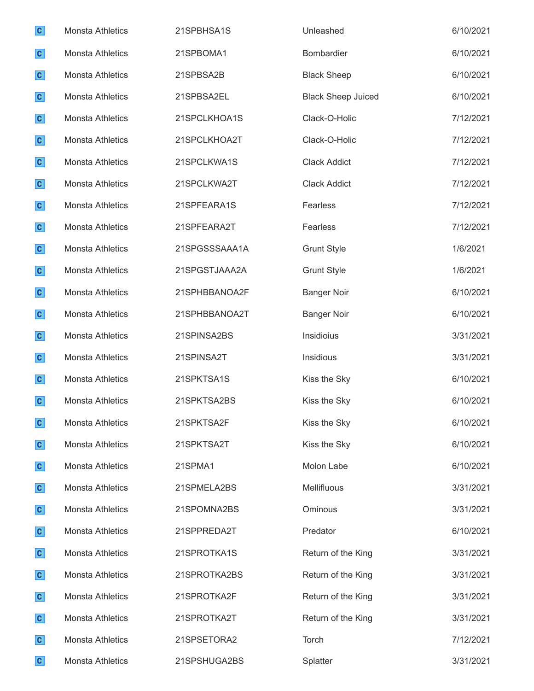| $\mathbf{c}$ | <b>Monsta Athletics</b> | 21SPBHSA1S    | Unleashed                 | 6/10/2021 |
|--------------|-------------------------|---------------|---------------------------|-----------|
| $\mathbf{c}$ | <b>Monsta Athletics</b> | 21SPBOMA1     | Bombardier                | 6/10/2021 |
| $\mathbf{c}$ | <b>Monsta Athletics</b> | 21SPBSA2B     | <b>Black Sheep</b>        | 6/10/2021 |
| $\mathbf{c}$ | <b>Monsta Athletics</b> | 21SPBSA2EL    | <b>Black Sheep Juiced</b> | 6/10/2021 |
| $\mathbf{c}$ | <b>Monsta Athletics</b> | 21SPCLKHOA1S  | Clack-O-Holic             | 7/12/2021 |
| $\mathbf{c}$ | <b>Monsta Athletics</b> | 21SPCLKHOA2T  | Clack-O-Holic             | 7/12/2021 |
| $\mathbf{c}$ | <b>Monsta Athletics</b> | 21SPCLKWA1S   | <b>Clack Addict</b>       | 7/12/2021 |
| $\mathbf{c}$ | <b>Monsta Athletics</b> | 21SPCLKWA2T   | <b>Clack Addict</b>       | 7/12/2021 |
| $\mathbf{c}$ | <b>Monsta Athletics</b> | 21SPFEARA1S   | Fearless                  | 7/12/2021 |
| $\mathbf{c}$ | <b>Monsta Athletics</b> | 21SPFEARA2T   | Fearless                  | 7/12/2021 |
| $\mathbf{c}$ | <b>Monsta Athletics</b> | 21SPGSSSAAA1A | <b>Grunt Style</b>        | 1/6/2021  |
| $\mathbf{c}$ | <b>Monsta Athletics</b> | 21SPGSTJAAA2A | <b>Grunt Style</b>        | 1/6/2021  |
| $\mathbf{c}$ | <b>Monsta Athletics</b> | 21SPHBBANOA2F | <b>Banger Noir</b>        | 6/10/2021 |
| $\mathbf{c}$ | <b>Monsta Athletics</b> | 21SPHBBANOA2T | <b>Banger Noir</b>        | 6/10/2021 |
| $\mathbf{c}$ | <b>Monsta Athletics</b> | 21SPINSA2BS   | Insidioius                | 3/31/2021 |
| $\mathbf{c}$ | <b>Monsta Athletics</b> | 21SPINSA2T    | Insidious                 | 3/31/2021 |
| $\mathbf{c}$ | <b>Monsta Athletics</b> | 21SPKTSA1S    | Kiss the Sky              | 6/10/2021 |
| $\mathbf{c}$ | <b>Monsta Athletics</b> | 21SPKTSA2BS   | Kiss the Sky              | 6/10/2021 |
| $\mathbf{C}$ | <b>Monsta Athletics</b> | 21SPKTSA2F    | Kiss the Sky              | 6/10/2021 |
| $\mathbf{c}$ | Monsta Athletics        | 21SPKTSA2T    | Kiss the Sky              | 6/10/2021 |
| $\mathbf{c}$ | Monsta Athletics        | 21SPMA1       | Molon Labe                | 6/10/2021 |
| $\mathbf{c}$ | <b>Monsta Athletics</b> | 21SPMELA2BS   | Mellifluous               | 3/31/2021 |
| $\mathbf{c}$ | <b>Monsta Athletics</b> | 21SPOMNA2BS   | Ominous                   | 3/31/2021 |
| $\mathbf{c}$ | <b>Monsta Athletics</b> | 21SPPREDA2T   | Predator                  | 6/10/2021 |
| $\mathbf{c}$ | <b>Monsta Athletics</b> | 21SPROTKA1S   | Return of the King        | 3/31/2021 |
| $\mathbf{c}$ | <b>Monsta Athletics</b> | 21SPROTKA2BS  | Return of the King        | 3/31/2021 |
| $\mathbf{c}$ | <b>Monsta Athletics</b> | 21SPROTKA2F   | Return of the King        | 3/31/2021 |
| $\mathbf{c}$ | Monsta Athletics        | 21SPROTKA2T   | Return of the King        | 3/31/2021 |
| $\mathbf{c}$ | Monsta Athletics        | 21SPSETORA2   | Torch                     | 7/12/2021 |
| $\mathbf{C}$ | Monsta Athletics        | 21SPSHUGA2BS  | Splatter                  | 3/31/2021 |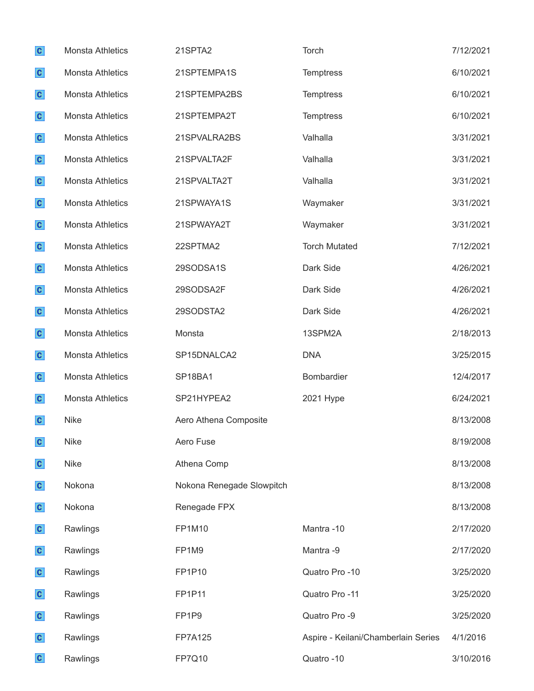| $\mathbf{c}$ | <b>Monsta Athletics</b> | 21SPTA2                   | Torch                               | 7/12/2021 |
|--------------|-------------------------|---------------------------|-------------------------------------|-----------|
| $\mathbf{c}$ | <b>Monsta Athletics</b> | 21SPTEMPA1S               | Temptress                           | 6/10/2021 |
| $\mathbf{c}$ | <b>Monsta Athletics</b> | 21SPTEMPA2BS              | <b>Temptress</b>                    | 6/10/2021 |
| $\mathbf{c}$ | <b>Monsta Athletics</b> | 21SPTEMPA2T               | Temptress                           | 6/10/2021 |
| $\mathbf{c}$ | <b>Monsta Athletics</b> | 21SPVALRA2BS              | Valhalla                            | 3/31/2021 |
| $\mathbf{c}$ | Monsta Athletics        | 21SPVALTA2F               | Valhalla                            | 3/31/2021 |
| $\mathbf{c}$ | <b>Monsta Athletics</b> | 21SPVALTA2T               | Valhalla                            | 3/31/2021 |
| $\mathbf{c}$ | Monsta Athletics        | 21SPWAYA1S                | Waymaker                            | 3/31/2021 |
| $\mathbf{c}$ | <b>Monsta Athletics</b> | 21SPWAYA2T                | Waymaker                            | 3/31/2021 |
| $\mathbf{c}$ | <b>Monsta Athletics</b> | 22SPTMA2                  | <b>Torch Mutated</b>                | 7/12/2021 |
| $\mathbf{c}$ | <b>Monsta Athletics</b> | 29SODSA1S                 | Dark Side                           | 4/26/2021 |
| $\mathbf{c}$ | <b>Monsta Athletics</b> | 29SODSA2F                 | Dark Side                           | 4/26/2021 |
| $\mathbf{c}$ | <b>Monsta Athletics</b> | 29SODSTA2                 | Dark Side                           | 4/26/2021 |
| $\mathbf{c}$ | Monsta Athletics        | Monsta                    | 13SPM2A                             | 2/18/2013 |
| $\mathbf{c}$ | <b>Monsta Athletics</b> | SP15DNALCA2               | <b>DNA</b>                          | 3/25/2015 |
| $\mathbf{c}$ | Monsta Athletics        | SP18BA1                   | Bombardier                          | 12/4/2017 |
| $\mathbf{c}$ | Monsta Athletics        | SP21HYPEA2                | 2021 Hype                           | 6/24/2021 |
| $\mathbf{c}$ | <b>Nike</b>             | Aero Athena Composite     |                                     | 8/13/2008 |
| $\mathbf{c}$ | Nike                    | Aero Fuse                 |                                     | 8/19/2008 |
| $\mathbf{c}$ | <b>Nike</b>             | Athena Comp               |                                     | 8/13/2008 |
| $\mathbf{c}$ | Nokona                  | Nokona Renegade Slowpitch |                                     | 8/13/2008 |
| $\mathbf{c}$ | Nokona                  | Renegade FPX              |                                     | 8/13/2008 |
| $\mathbf{c}$ | Rawlings                | FP1M10                    | Mantra-10                           | 2/17/2020 |
| $\mathbf{c}$ | Rawlings                | FP1M9                     | Mantra -9                           | 2/17/2020 |
| $\mathbf{c}$ | Rawlings                | FP1P10                    | Quatro Pro -10                      | 3/25/2020 |
| $\mathbf{c}$ | Rawlings                | FP1P11                    | Quatro Pro -11                      | 3/25/2020 |
| $\mathbf{c}$ | Rawlings                | FP1P9                     | Quatro Pro -9                       | 3/25/2020 |
| $\mathbf{c}$ | Rawlings                | <b>FP7A125</b>            | Aspire - Keilani/Chamberlain Series | 4/1/2016  |
| $\mathbf{c}$ | Rawlings                | FP7Q10                    | Quatro -10                          | 3/10/2016 |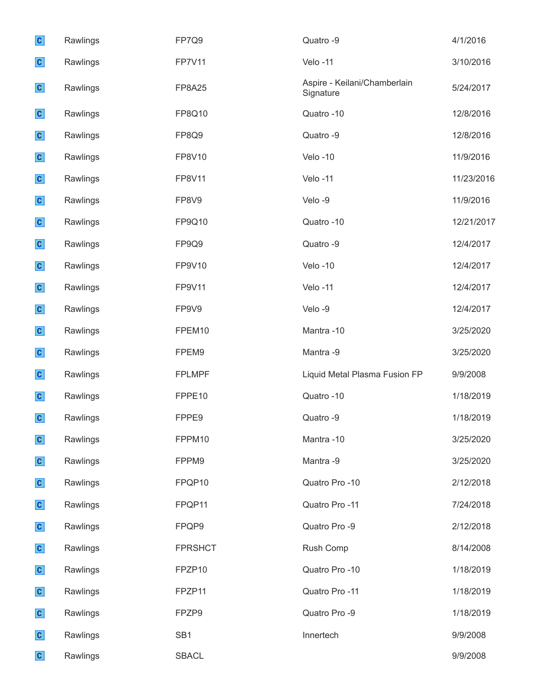| $\mathbf{c}$ | Rawlings | FP7Q9           | Quatro -9                                 | 4/1/2016   |
|--------------|----------|-----------------|-------------------------------------------|------------|
| $\mathbf{c}$ | Rawlings | <b>FP7V11</b>   | Velo-11                                   | 3/10/2016  |
| $\mathbf{c}$ | Rawlings | <b>FP8A25</b>   | Aspire - Keilani/Chamberlain<br>Signature | 5/24/2017  |
| $\mathbf{c}$ | Rawlings | FP8Q10          | Quatro -10                                | 12/8/2016  |
| $\mathbf{c}$ | Rawlings | FP8Q9           | Quatro -9                                 | 12/8/2016  |
| $\mathbf{c}$ | Rawlings | FP8V10          | Velo-10                                   | 11/9/2016  |
| $\mathbf{c}$ | Rawlings | <b>FP8V11</b>   | Velo-11                                   | 11/23/2016 |
| $\mathbf{c}$ | Rawlings | FP8V9           | Velo-9                                    | 11/9/2016  |
| $\mathbf{c}$ | Rawlings | FP9Q10          | Quatro -10                                | 12/21/2017 |
| $\mathbf{c}$ | Rawlings | FP9Q9           | Quatro -9                                 | 12/4/2017  |
| $\mathbf{c}$ | Rawlings | FP9V10          | Velo-10                                   | 12/4/2017  |
| $\mathbf{c}$ | Rawlings | FP9V11          | Velo-11                                   | 12/4/2017  |
| $\mathbf{c}$ | Rawlings | FP9V9           | Velo-9                                    | 12/4/2017  |
| $\mathbf{c}$ | Rawlings | FPEM10          | Mantra-10                                 | 3/25/2020  |
| $\mathbf{c}$ | Rawlings | FPEM9           | Mantra -9                                 | 3/25/2020  |
| $\mathbf{c}$ | Rawlings | <b>FPLMPF</b>   | Liquid Metal Plasma Fusion FP             | 9/9/2008   |
| $\mathbf{c}$ | Rawlings | FPPE10          | Quatro -10                                | 1/18/2019  |
| $\mathbf{c}$ | Rawlings | FPPE9           | Quatro -9                                 | 1/18/2019  |
| $\mathbf{c}$ | Rawlings | FPPM10          | Mantra-10                                 | 3/25/2020  |
| $\mathbf{c}$ | Rawlings | FPPM9           | Mantra -9                                 | 3/25/2020  |
| $\mathbf{c}$ | Rawlings | FPQP10          | Quatro Pro -10                            | 2/12/2018  |
| $\mathbf{c}$ | Rawlings | FPQP11          | Quatro Pro -11                            | 7/24/2018  |
| $\mathbf{c}$ | Rawlings | FPQP9           | Quatro Pro -9                             | 2/12/2018  |
| $\mathbf{c}$ | Rawlings | <b>FPRSHCT</b>  | Rush Comp                                 | 8/14/2008  |
| $\mathbf{c}$ | Rawlings | FPZP10          | Quatro Pro -10                            | 1/18/2019  |
| $\mathbf{c}$ | Rawlings | FPZP11          | Quatro Pro -11                            | 1/18/2019  |
| $\mathbf{c}$ | Rawlings | FPZP9           | Quatro Pro -9                             | 1/18/2019  |
| $\mathbf{c}$ | Rawlings | SB <sub>1</sub> | Innertech                                 | 9/9/2008   |
| $\mathbf{c}$ | Rawlings | <b>SBACL</b>    |                                           | 9/9/2008   |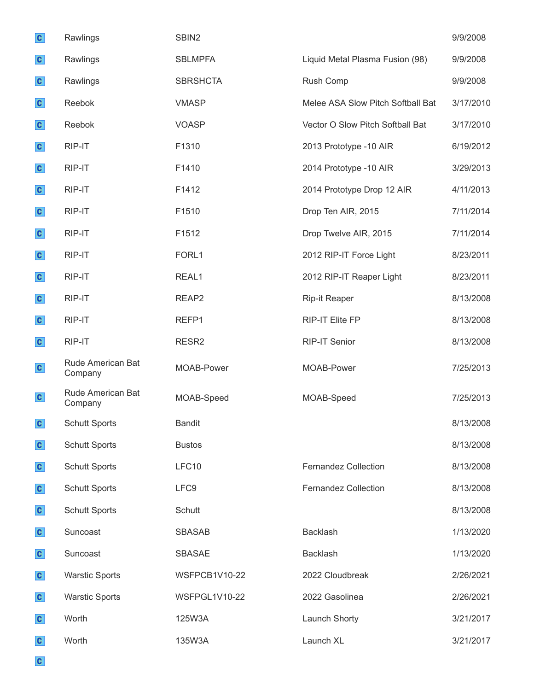| $\mathbf{c}$ | Rawlings                     | SBIN2                |                                   | 9/9/2008  |
|--------------|------------------------------|----------------------|-----------------------------------|-----------|
| $\mathbf{c}$ | Rawlings                     | <b>SBLMPFA</b>       | Liquid Metal Plasma Fusion (98)   | 9/9/2008  |
| $\mathbf{c}$ | Rawlings                     | <b>SBRSHCTA</b>      | Rush Comp                         | 9/9/2008  |
| $\mathbf{c}$ | Reebok                       | <b>VMASP</b>         | Melee ASA Slow Pitch Softball Bat | 3/17/2010 |
| $\mathbf{c}$ | Reebok                       | <b>VOASP</b>         | Vector O Slow Pitch Softball Bat  | 3/17/2010 |
| $\mathbf{c}$ | RIP-IT                       | F1310                | 2013 Prototype -10 AIR            | 6/19/2012 |
| $\mathbf{c}$ | RIP-IT                       | F1410                | 2014 Prototype -10 AIR            | 3/29/2013 |
| $\mathbf{c}$ | RIP-IT                       | F1412                | 2014 Prototype Drop 12 AIR        | 4/11/2013 |
| $\mathbf{c}$ | RIP-IT                       | F1510                | Drop Ten AIR, 2015                | 7/11/2014 |
| $\mathbf{C}$ | RIP-IT                       | F1512                | Drop Twelve AIR, 2015             | 7/11/2014 |
| $\mathbf{c}$ | RIP-IT                       | FORL1                | 2012 RIP-IT Force Light           | 8/23/2011 |
| $\mathbf{c}$ | RIP-IT                       | REAL1                | 2012 RIP-IT Reaper Light          | 8/23/2011 |
| $\mathbf{c}$ | RIP-IT                       | REAP <sub>2</sub>    | <b>Rip-it Reaper</b>              | 8/13/2008 |
| $\mathbf{c}$ | RIP-IT                       | REFP1                | RIP-IT Elite FP                   | 8/13/2008 |
| $\mathbf{c}$ | RIP-IT                       | RESR <sub>2</sub>    | <b>RIP-IT Senior</b>              | 8/13/2008 |
| $\mathbf{c}$ | Rude American Bat<br>Company | MOAB-Power           | MOAB-Power                        | 7/25/2013 |
| $\mathbf{C}$ | Rude American Bat<br>Company | MOAB-Speed           | MOAB-Speed                        | 7/25/2013 |
| $\mathbf{c}$ | <b>Schutt Sports</b>         | <b>Bandit</b>        |                                   | 8/13/2008 |
| $\mathbf{c}$ | <b>Schutt Sports</b>         | <b>Bustos</b>        |                                   | 8/13/2008 |
| $\mathbf{c}$ | <b>Schutt Sports</b>         | LFC10                | <b>Fernandez Collection</b>       | 8/13/2008 |
| $\mathbf{c}$ | <b>Schutt Sports</b>         | LFC9                 | Fernandez Collection              | 8/13/2008 |
| $\mathbf{c}$ | <b>Schutt Sports</b>         | Schutt               |                                   | 8/13/2008 |
| $\mathbf{c}$ | Suncoast                     | <b>SBASAB</b>        | Backlash                          | 1/13/2020 |
| $\mathbf{c}$ | Suncoast                     | SBASAE               | <b>Backlash</b>                   | 1/13/2020 |
| $\mathbf{c}$ | <b>Warstic Sports</b>        | WSFPCB1V10-22        | 2022 Cloudbreak                   | 2/26/2021 |
| $\mathbf{c}$ | <b>Warstic Sports</b>        | <b>WSFPGL1V10-22</b> | 2022 Gasolinea                    | 2/26/2021 |
| $\mathbf{c}$ | Worth                        | 125W3A               | Launch Shorty                     | 3/21/2017 |
| $\mathbf{c}$ | Worth                        | 135W3A               | Launch XL                         | 3/21/2017 |
| $\mathbf{c}$ |                              |                      |                                   |           |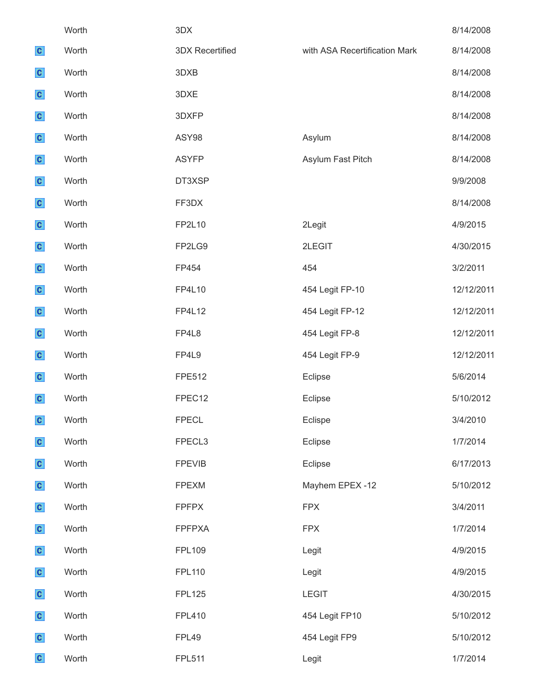|              | Worth | 3DX                    |                               | 8/14/2008  |
|--------------|-------|------------------------|-------------------------------|------------|
| $\mathbf{c}$ | Worth | <b>3DX Recertified</b> | with ASA Recertification Mark | 8/14/2008  |
| $\mathbf{c}$ | Worth | 3DXB                   |                               | 8/14/2008  |
| $\mathbf{c}$ | Worth | 3DXE                   |                               | 8/14/2008  |
| $\mathbf{c}$ | Worth | 3DXFP                  |                               | 8/14/2008  |
| $\mathbf{c}$ | Worth | ASY98                  | Asylum                        | 8/14/2008  |
| $\mathbf{c}$ | Worth | <b>ASYFP</b>           | Asylum Fast Pitch             | 8/14/2008  |
| $\mathbf{c}$ | Worth | DT3XSP                 |                               | 9/9/2008   |
| $\mathbf{c}$ | Worth | FF3DX                  |                               | 8/14/2008  |
| $\mathbf{c}$ | Worth | FP2L10                 | 2Legit                        | 4/9/2015   |
| $\mathbf{c}$ | Worth | FP2LG9                 | 2LEGIT                        | 4/30/2015  |
| $\mathbf{c}$ | Worth | FP454                  | 454                           | 3/2/2011   |
| $\mathbf{c}$ | Worth | FP4L10                 | 454 Legit FP-10               | 12/12/2011 |
| $\mathbf{c}$ | Worth | <b>FP4L12</b>          | 454 Legit FP-12               | 12/12/2011 |
| $\mathbf{c}$ | Worth | FP4L8                  | 454 Legit FP-8                | 12/12/2011 |
| $\mathbf{c}$ | Worth | FP4L9                  | 454 Legit FP-9                | 12/12/2011 |
| $\mathbf{c}$ | Worth | <b>FPE512</b>          | Eclipse                       | 5/6/2014   |
| $\mathbf{c}$ | Worth | FPEC12                 | Eclipse                       | 5/10/2012  |
| $\mathbf{c}$ | Worth | <b>FPECL</b>           | Eclispe                       | 3/4/2010   |
| $\mathbf{c}$ | Worth | FPECL3                 | Eclipse                       | 1/7/2014   |
| $\mathbf{c}$ | Worth | <b>FPEVIB</b>          | Eclipse                       | 6/17/2013  |
| $\mathbf{c}$ | Worth | <b>FPEXM</b>           | Mayhem EPEX -12               | 5/10/2012  |
| $\mathbf{c}$ | Worth | <b>FPFPX</b>           | <b>FPX</b>                    | 3/4/2011   |
| $\mathbf{c}$ | Worth | <b>FPFPXA</b>          | <b>FPX</b>                    | 1/7/2014   |
| $\mathbf{c}$ | Worth | <b>FPL109</b>          | Legit                         | 4/9/2015   |
| $\mathbf{c}$ | Worth | <b>FPL110</b>          | Legit                         | 4/9/2015   |
| $\mathbf{c}$ | Worth | <b>FPL125</b>          | <b>LEGIT</b>                  | 4/30/2015  |
| $\mathbf{c}$ | Worth | <b>FPL410</b>          | 454 Legit FP10                | 5/10/2012  |
| $\mathbf{c}$ | Worth | FPL49                  | 454 Legit FP9                 | 5/10/2012  |
| $\mathbf{c}$ | Worth | <b>FPL511</b>          | Legit                         | 1/7/2014   |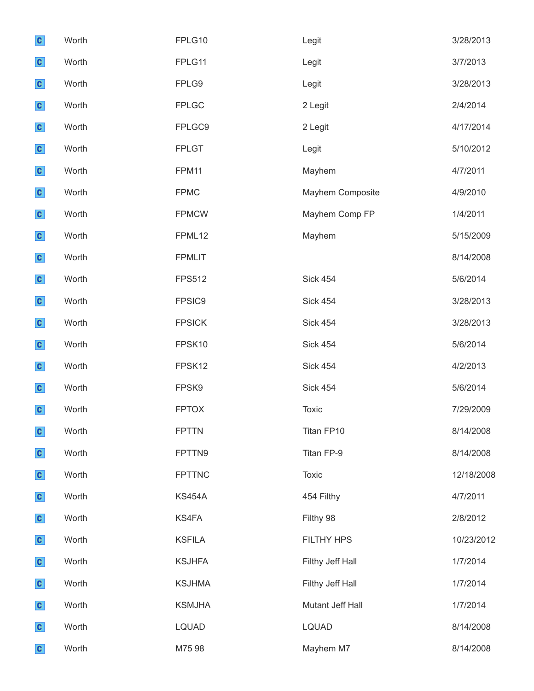| $\mathbf{c}$ | Worth | FPLG10        | Legit            | 3/28/2013  |
|--------------|-------|---------------|------------------|------------|
| $\mathbf{c}$ | Worth | FPLG11        | Legit            | 3/7/2013   |
| $\mathbf{c}$ | Worth | FPLG9         | Legit            | 3/28/2013  |
| $\mathbf{c}$ | Worth | <b>FPLGC</b>  | 2 Legit          | 2/4/2014   |
| $\mathbf{c}$ | Worth | FPLGC9        | 2 Legit          | 4/17/2014  |
| $\mathbf{c}$ | Worth | <b>FPLGT</b>  | Legit            | 5/10/2012  |
| $\mathbf{c}$ | Worth | FPM11         | Mayhem           | 4/7/2011   |
| $\mathbf{c}$ | Worth | <b>FPMC</b>   | Mayhem Composite | 4/9/2010   |
| $\mathbf{c}$ | Worth | <b>FPMCW</b>  | Mayhem Comp FP   | 1/4/2011   |
| $\mathbf{c}$ | Worth | FPML12        | Mayhem           | 5/15/2009  |
| $\mathbf{c}$ | Worth | <b>FPMLIT</b> |                  | 8/14/2008  |
| $\mathbf{c}$ | Worth | <b>FPS512</b> | <b>Sick 454</b>  | 5/6/2014   |
| $\mathbf{c}$ | Worth | FPSIC9        | <b>Sick 454</b>  | 3/28/2013  |
| $\mathbf{c}$ | Worth | <b>FPSICK</b> | <b>Sick 454</b>  | 3/28/2013  |
| $\mathbf{c}$ | Worth | FPSK10        | <b>Sick 454</b>  | 5/6/2014   |
| $\mathbf{c}$ | Worth | FPSK12        | <b>Sick 454</b>  | 4/2/2013   |
| $\mathbf{c}$ | Worth | FPSK9         | <b>Sick 454</b>  | 5/6/2014   |
| $\mathbf{c}$ | Worth | <b>FPTOX</b>  | Toxic            | 7/29/2009  |
| $\mathbf{c}$ | Worth | <b>FPTTN</b>  | Titan FP10       | 8/14/2008  |
| $\mathbf{c}$ | Worth | FPTTN9        | Titan FP-9       | 8/14/2008  |
| $\mathbf{c}$ | Worth | <b>FPTTNC</b> | Toxic            | 12/18/2008 |
| $\mathbf{c}$ | Worth | <b>KS454A</b> | 454 Filthy       | 4/7/2011   |
| $\mathbf{c}$ | Worth | KS4FA         | Filthy 98        | 2/8/2012   |
| $\mathbf{c}$ | Worth | <b>KSFILA</b> | FILTHY HPS       | 10/23/2012 |
| $\mathbf{c}$ | Worth | <b>KSJHFA</b> | Filthy Jeff Hall | 1/7/2014   |
| $\mathbf{c}$ | Worth | <b>KSJHMA</b> | Filthy Jeff Hall | 1/7/2014   |
| $\mathbf{c}$ | Worth | <b>KSMJHA</b> | Mutant Jeff Hall | 1/7/2014   |
| $\mathbf{c}$ | Worth | <b>LQUAD</b>  | <b>LQUAD</b>     | 8/14/2008  |
| $\mathbf{c}$ | Worth | M75 98        | Mayhem M7        | 8/14/2008  |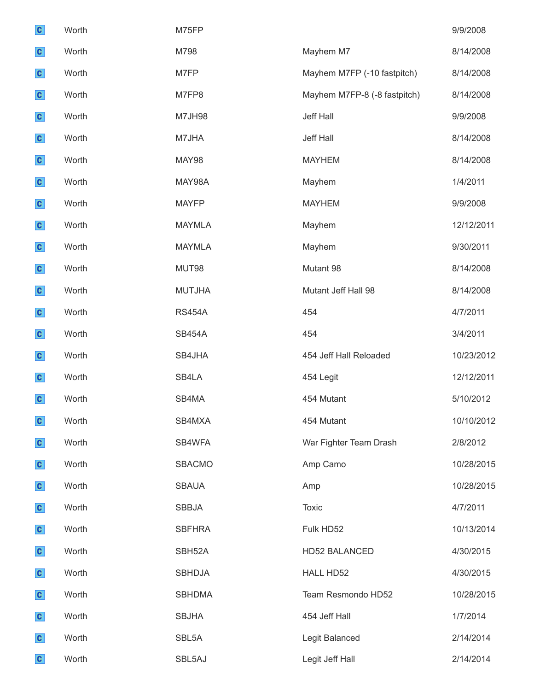| $\mathbf{c}$ | Worth | M75FP         |                              | 9/9/2008   |
|--------------|-------|---------------|------------------------------|------------|
| $\mathbf{c}$ | Worth | M798          | Mayhem M7                    | 8/14/2008  |
| $\mathbf{c}$ | Worth | M7FP          | Mayhem M7FP (-10 fastpitch)  | 8/14/2008  |
| $\mathbf{c}$ | Worth | M7FP8         | Mayhem M7FP-8 (-8 fastpitch) | 8/14/2008  |
| $\mathbf{c}$ | Worth | <b>M7JH98</b> | Jeff Hall                    | 9/9/2008   |
| $\mathbf{c}$ | Worth | M7JHA         | Jeff Hall                    | 8/14/2008  |
| $\mathbf{c}$ | Worth | MAY98         | <b>MAYHEM</b>                | 8/14/2008  |
| $\mathbf{c}$ | Worth | MAY98A        | Mayhem                       | 1/4/2011   |
| $\mathbf{c}$ | Worth | <b>MAYFP</b>  | <b>MAYHEM</b>                | 9/9/2008   |
| $\mathbf{c}$ | Worth | <b>MAYMLA</b> | Mayhem                       | 12/12/2011 |
| $\mathbf{c}$ | Worth | <b>MAYMLA</b> | Mayhem                       | 9/30/2011  |
| $\mathbf{c}$ | Worth | MUT98         | Mutant 98                    | 8/14/2008  |
| $\mathbf{c}$ | Worth | <b>MUTJHA</b> | Mutant Jeff Hall 98          | 8/14/2008  |
| $\mathbf{c}$ | Worth | <b>RS454A</b> | 454                          | 4/7/2011   |
| $\mathbf{c}$ | Worth | <b>SB454A</b> | 454                          | 3/4/2011   |
| $\mathbf{c}$ | Worth | SB4JHA        | 454 Jeff Hall Reloaded       | 10/23/2012 |
| $\mathbf{c}$ | Worth | SB4LA         | 454 Legit                    | 12/12/2011 |
| $\mathbf{c}$ | Worth | SB4MA         | 454 Mutant                   | 5/10/2012  |
| $\mathbf{c}$ | Worth | SB4MXA        | 454 Mutant                   | 10/10/2012 |
| $\mathbf{c}$ | Worth | SB4WFA        | War Fighter Team Drash       | 2/8/2012   |
| $\mathbf{c}$ | Worth | <b>SBACMO</b> | Amp Camo                     | 10/28/2015 |
| $\mathbf{c}$ | Worth | <b>SBAUA</b>  | Amp                          | 10/28/2015 |
| $\mathbf{c}$ | Worth | <b>SBBJA</b>  | Toxic                        | 4/7/2011   |
| $\mathbf{c}$ | Worth | <b>SBFHRA</b> | Fulk HD52                    | 10/13/2014 |
| $\mathbf{c}$ | Worth | SBH52A        | <b>HD52 BALANCED</b>         | 4/30/2015  |
| $\mathbf{c}$ | Worth | <b>SBHDJA</b> | HALL HD52                    | 4/30/2015  |
| $\mathbf{c}$ | Worth | <b>SBHDMA</b> | Team Resmondo HD52           | 10/28/2015 |
| $\mathbf{c}$ | Worth | <b>SBJHA</b>  | 454 Jeff Hall                | 1/7/2014   |
| $\mathbf{c}$ | Worth | SBL5A         | Legit Balanced               | 2/14/2014  |
| $\mathbf{c}$ | Worth | SBL5AJ        | Legit Jeff Hall              | 2/14/2014  |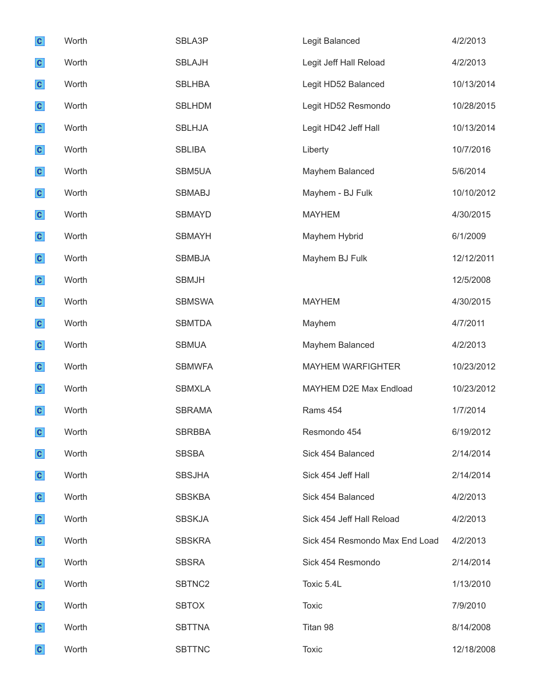| $\mathbf{c}$ | Worth | SBLA3P        | Legit Balanced                 | 4/2/2013   |
|--------------|-------|---------------|--------------------------------|------------|
| $\mathbf{c}$ | Worth | <b>SBLAJH</b> | Legit Jeff Hall Reload         | 4/2/2013   |
| $\mathbf{c}$ | Worth | <b>SBLHBA</b> | Legit HD52 Balanced            | 10/13/2014 |
| $\mathbf{c}$ | Worth | <b>SBLHDM</b> | Legit HD52 Resmondo            | 10/28/2015 |
| $\mathbf{c}$ | Worth | <b>SBLHJA</b> | Legit HD42 Jeff Hall           | 10/13/2014 |
| $\mathbf{c}$ | Worth | <b>SBLIBA</b> | Liberty                        | 10/7/2016  |
| $\mathbf{c}$ | Worth | SBM5UA        | Mayhem Balanced                | 5/6/2014   |
| $\mathbf{c}$ | Worth | <b>SBMABJ</b> | Mayhem - BJ Fulk               | 10/10/2012 |
| $\mathbf{c}$ | Worth | <b>SBMAYD</b> | <b>MAYHEM</b>                  | 4/30/2015  |
| $\mathbf{c}$ | Worth | <b>SBMAYH</b> | Mayhem Hybrid                  | 6/1/2009   |
| $\mathbf{c}$ | Worth | <b>SBMBJA</b> | Mayhem BJ Fulk                 | 12/12/2011 |
| $\mathbf{c}$ | Worth | <b>SBMJH</b>  |                                | 12/5/2008  |
| $\mathbf{c}$ | Worth | <b>SBMSWA</b> | <b>MAYHEM</b>                  | 4/30/2015  |
| $\mathbf{c}$ | Worth | <b>SBMTDA</b> | Mayhem                         | 4/7/2011   |
| $\mathbf{c}$ | Worth | <b>SBMUA</b>  | Mayhem Balanced                | 4/2/2013   |
| $\mathbf{c}$ | Worth | <b>SBMWFA</b> | <b>MAYHEM WARFIGHTER</b>       | 10/23/2012 |
| $\mathbf{c}$ | Worth | <b>SBMXLA</b> | MAYHEM D2E Max Endload         | 10/23/2012 |
| $\mathbf{c}$ | Worth | <b>SBRAMA</b> | Rams 454                       | 1/7/2014   |
| $\mathbf{c}$ | Worth | <b>SBRBBA</b> | Resmondo 454                   | 6/19/2012  |
| $\mathbf{c}$ | Worth | <b>SBSBA</b>  | Sick 454 Balanced              | 2/14/2014  |
| $\mathbf{c}$ | Worth | <b>SBSJHA</b> | Sick 454 Jeff Hall             | 2/14/2014  |
| $\mathbf{c}$ | Worth | <b>SBSKBA</b> | Sick 454 Balanced              | 4/2/2013   |
| $\mathbf{c}$ | Worth | <b>SBSKJA</b> | Sick 454 Jeff Hall Reload      | 4/2/2013   |
| $\mathbf{c}$ | Worth | <b>SBSKRA</b> | Sick 454 Resmondo Max End Load | 4/2/2013   |
| $\mathbf{c}$ | Worth | <b>SBSRA</b>  | Sick 454 Resmondo              | 2/14/2014  |
| $\mathbf{c}$ | Worth | SBTNC2        | Toxic 5.4L                     | 1/13/2010  |
| $\mathbf{c}$ | Worth | <b>SBTOX</b>  | <b>Toxic</b>                   | 7/9/2010   |
| $\mathbf{c}$ | Worth | <b>SBTTNA</b> | Titan 98                       | 8/14/2008  |
| $\mathbf{c}$ | Worth | <b>SBTTNC</b> | <b>Toxic</b>                   | 12/18/2008 |